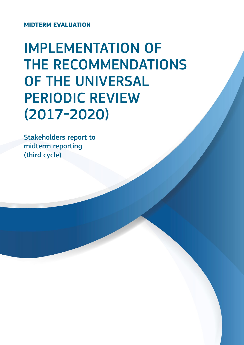**Midterm evaluation**

# Implementation of THE RECOMMENDATIONS of the Universal Periodic Review (2017-2020)

Stakeholders report to midterm reporting (third cycle)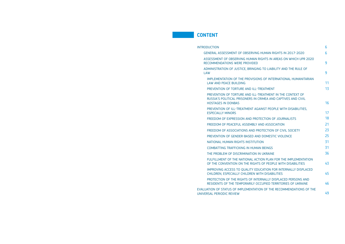# INTRODUCTION

- GENERAL ASSESSMENT OF OBSERVING H
- ASSESSMENT OF OBSERVING HUMAN RIGHTS RECOMMENDATIONS WERE PROVIDED
- ADMINISTRATION OF JUSTICE, BRINGING LAW
- IMPLEMENTATION OF THE PROVISIONS law and peace Building
- PREVENTION OF TORTURE AND ILL-TRE
- PREVENTION OF TORTURE AND ILL-TRE RUSSIA'S POLITICAL PRISONERS IN CRI HOSTAGES IN DONBAS
- PREVENTION OF ILL-TREATMENT AGAIN ESPECIALLY MINORS
- FREEDOM OF EXPRESSION AND PROTE
- FREEDOM OF PEACEFUL ASSEMBLY AN
- FREEDOM OF ASSOCIATIONS AND PROT
- PREVENTION OF GENDER-BASED AND
- NATIONAL HUMAN RIGHTS INSTITUTION
- COMBATTING TRAFFICKING IN HUMAN
- THE PROBLEM OF DISCRIMINATION IN
- FULFILLMENT OF THE NATIONAL ACTION OF THE CONVENTION ON THE RIGHTS
- IMPROVING ACCESS TO QUALITY EDUC CHILDREN, ESPECIALLY CHILDREN WITH
- PROTECTION OF THE RIGHTS OF INTER RESIDENTS OF THE TEMPORARILY OCCI

EVALUATION OF STATUS OF IMPLEMENTATION UNIVERSAL PERIODIC REVIEW

# **CONTENT**

|                                                                     | 6  |
|---------------------------------------------------------------------|----|
| <b>HUMAN RIGHTS IN 2017-2020</b>                                    | 6  |
| GHTS IN AREAS ON WHICH UPR 2020                                     |    |
|                                                                     | 9  |
| TO LIABILITY AND THE RULE OF                                        | 9  |
| <b>S OF INTERNATIONAL HUMANITARIAN</b>                              |    |
|                                                                     | 11 |
| <b>EATMENT</b>                                                      | 13 |
| <b>EATMENT IN THE CONTEXT OF</b>                                    |    |
| <b>IMEA AND CAPTIVES AND CIVIL</b>                                  |    |
|                                                                     | 16 |
| NST PEOPLE WITH DISABILITIES.                                       | 17 |
|                                                                     | 18 |
| <b>ECTION OF JOURNALISTS</b>                                        |    |
| <b>VD ASSOCIATION</b>                                               | 21 |
| <b>ITECTION OF CIVIL SOCIETY</b>                                    | 23 |
| <b>DOMESTIC VIOLENCE</b>                                            | 25 |
| ΙŃ                                                                  | 31 |
| <b>BEINGS</b>                                                       | 31 |
| <b>UKRAINE</b>                                                      | 36 |
| ON PLAN FOR THE IMPLEMENTATION<br>OF PEOPLE WITH DISABILITIES       | 43 |
| CATION FOR INTERNALLY DISPLACED<br><b>H DISABILITIES</b>            | 45 |
| RNALLY DISPLACED PERSONS AND<br><b>UPIED TERRITORIES OF UKRAINE</b> | 46 |
| N OF THE RECOMMENDATIONS OF THE                                     |    |
|                                                                     | 49 |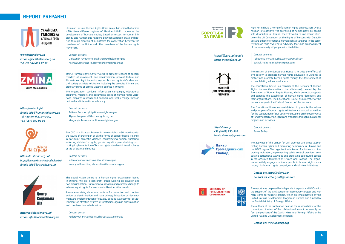# **Report prepared**

**УКРАЇНСЬКА ГЕЛЬСІНСЬКА** СПІЛКА З ПРАВ люлини

Ukrainian Helsinki Human Rights Union is a public union that unites NGOs from different regions of Ukraine. UHHRU promotes the development of humane society based on respect to human life, dignity and harmonious relations between a person, state and nature through creation of a platform for cooperation between the members of the Union and other members of the human rights movement.

*www.helsinki.org.ua. Email office@helsinki.org.ua Tel +38 044 485 17 92*



ZMINA Human Rights Center works to protect freedom of speech, freedom of movement, anti-discrimination, prevent torture and ill-treatment, fight impunity, support human rights defenders and civil society activists in Ukraine, including the occupied Crimea, and protect victims of armed violence. conflict in Ukraine.

The organization conducts information campaigns, educational programs, monitors and documents cases of human rights violations, prepares research and analysis, and seeks change through national and international advocacy.

*https://zmina.info/ Email: info@humanrights.org.ua Tel: +38 (044) 272-42-52, +38 (067) 502 08 01*



The CSO «La Strada-Ukraine» is human rights NGO working with the issues of prevention of all the forms of gender-based violence, in particular domestic violence, counteracting human trafficking, enforcing children`s rights, gender equality, peacebuilding, promoting implementation of human rights standards into all spheres of life of state and society.

The Social Action Centre is a human rights organization based in Ukraine. We are a non-profit group working on equality and non-discrimination. Our mision we develop and promote change to achieve equal rights for everyone in Ukraine. What we do:

Awareness-raising about mechanisms for protection and counteraction to discrimination and hate crimes; Education on development and implementation of equality policies; Advocacy for establishment of effective system of protection against discrimination and counteraction to hate crimes.

Contact person Fedorovych Iryna fedorovych@socialaction.org.ua



*https://la-strada.org.ua/ https://facebook.com/lastradaukraine/ Email: info@la-strada.org.ua*



Fight For Right is a non-profit human rights organization, whose mission is to achieve free exercising of human rights by people with disabilities in Ukraine. The FFR works to implement effectively the UN Convention on the Rights of Persons with Disabilities and other international human rights standards in the country through raise awareness, advocacy tools and empowerment of the community of people with disabilities.

#### Contact persons:

Tekuchova Iryna tekuchova.iryna@gmail.com Sachuk Yuliia juliesachuk@gmail.com

The mission of the Educational House is to unite the efforts of civil society to promote human rights education in Ukraine; to protect and promote human rights through the development of a consolidating educational space.

The educational house is a member of the Network of Human Rights Houses (hereinafter - the «Network»), headed by the Foundation of Human Rights Houses, which protects, supports and expands the capabilities of human rights defenders and their organizations. The Educational House, as a member of the Network, respects the Code of Conduct of the Network. The Educational House was established to promote the values and principles of human rights in Ukraine and abroad, as well as for the cooperation of civil society institutions on the observance of fundamental human rights and freedoms through educational projects and activities.

Contact person:

Burov Serhiy

#### Contact persons

Oleksandr Pavlichenko pavlichenko@helsinki.org.ua Kseniia Semorkina ks.semyorkina@helsinki.org.ua

#### Contact persons

Tetiana Pechonchyk tp@humanrights.org.ua Alyona Lunyova al@humanrights.org.ua Margaryta Tarasova mt@humanrights.org.ua

Contact persons

Yuliia Anosova y.anosova@la-strada.org.ua Kateryna Borozdina, k.borozdina@la-strada.org.ua

*http://socialaction.org.ua/ Email: info@socialaction.org.ua* *https://ffr.org.ua/node/4 Email: info@ffr.org.ua*



*http://ehrh.org/ +38 (0462) 930-907 Email: ehrh.che@gmail.com*



**MINISTRY OF** 

**OF DENMARK** 

**FOREIGN AFFAIRS** 

**Громадянських** 

(C)

The activities of the Center for Civil Liberties are aimed at protecting human rights and promoting democracy in Ukraine and the OSCE region. The organization is known for its work on improving legislation, implementing public control practices, conducting educational activities and protecting persecuted people in the occupied territories of Crimea and Donbas. The organization widely engages ordinary people in human rights work through its human rights campaigns and volunteer initiatives. *Details on: https://ccl.org.ua/*

The report was prepared by independent experts and NGOs with the support of the Civil Society for Democracy project and Human Rights for Ukraine project, which are implemented by the United Nations Development Program in Ukraine and funded by the Danish Ministry of Foreign Affairs.

The authors of the publication bear all the responsibility for the content, and the text of the publication does not necessarily reflect the positions of the Danish Ministry of Foreign Affairs or the United Nations Development Program.



# *Contact us: ccl.org.ua@gmail.com*

#### *Details on: www.ua.undp.org*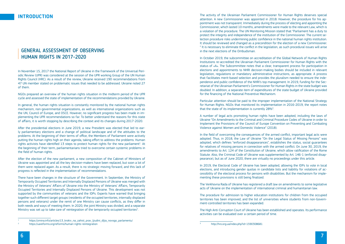# GENERAL ASSESSMENT OF OBSERVING HUMAN RIGHTS IN 2017-2020

In November 15, 2017 the National Report of Ukraine in the framework of the Universal Periodic Review (UPR) was considered at the session of the UPR working Group of the UN Human Rights Council (HRC). As a result of the review, Ukraine received 190 recommendations from 47 UN member stated on problematic issues that needed to be addressed. Ukraine noted 27 of them.

NGOs prepared an overview of the human rights situation in the midterm period of the UPR cycle and assessed the state of implementation of the recommendations provided by Ukraine.

In general, the human rights situation is constantly monitored by the national human rights mechanism, non-governmental organizations, as well as international organizations such as the UN, Council of Europe, and OSCE. However, no significant progress has been made in implementing the UPR recommendations so far. To better understand the reasons for this state of affairs, it is worth stopping by describing the context and its changes during 2017-2020.

After the presidential elections in June 2019, a new President was elected that led to early parliamentary elections and a change of political landscape and of the attitudes to the problems. At the beginning of their terms of office, the Members of Parliament were actively putting the human rights high on their agenda, taking effort to address the problems. Human rights activists have identified  $13$  steps to protect human rights for the new parliament<sup>1</sup>. At the beginning of their term, parliamentarians tried to overcome certain systemic problems in the field of human rights.

After the election of the new parliament, a new composition of the Cabinet of Ministers of Ukraine was appointed and all the key decision-makers have been replaced, but soon a lot of them were replaced again. As a result, there is no strategic moving forward, and this lack of progress is reflected in the implementation of recommendations.

There have been changes in the structure of the Government. In September, the Ministry of Temporarily Occupied Territories and Internally Displaced Persons of Ukraine was merged with the Ministry of Veterans' Affairs of Ukraine into the Ministry of Veterans' Affairs, Temporarily Occupied Territories and Internally Displaced Persons of Ukraine. This development was not supported by the communities of veterans and the IDPs. Experts have warned that bringing together such different target groups (residents of the occupied territories, internally displaced persons and veterans) under the remit of one Ministry can cause conflicts, as they differ in both needs and ways of meeting them. In 2020, the joint Ministry was divided, and a separate Ministry was set up to take care of reintegration of the temporarily occupied territories<sup>2</sup>. .

The activity of the Ukrainian Parliament Commissioner for Human Rights deserves special attention. A new Commissioner was appointed in 2018. However, the procedure for his appointment was not transparent. Immediately during the process of electing and appointing the Commissioner, which lasted 10 months, amendments were made to the relevant Law, which is a violation of the procedure. The UN Monitoring Mission stated that "Parliament has a duty to protect the integrity and independence of the institution of the Commissioner. The current selection procedure risks undermining public confidence in the national human rights institution. It should be reviewed and changed as a precondition for the election of a new Commissioner. " It is necessary to eliminate the conflict in the legislation, as such procedural issues will arise in the next elections of the Ombudsman.

In October 2019, the subcommittee on accreditation of the Global Network of Human Rights Institutions re-accredited the Ukrainian Parliament Commissioner for Human Rights with the status of «A». The Subcommittee notes that a clear, transparent process for participation in elections and appointments to NHRI decision-making bodies should be included in relevant legislation, regulations or mandatory administrative instructions, as appropriate. A process that facilitates merit-based selection and provides the pluralism needed to ensure the independence and public confidence of the NHRI's top management. In 2019, funding for the Secretariat of the Ukrainian Parliament's Commissioner for Human Rights in the state budget was doubled. In addition, a separate item of expenditures of the state budget of Ukraine provided for the financing of the National Preventive Mechanism.

Particular attention should be paid to the improper implementation of the National Strategy for Human Rights. NGOs that monitored its implementation in 2016-2019, the report notes that the state of its implementation is currently  $28\%$ <sup>3</sup>. .

A number of legal acts promoting human rights have been adopted, including the laws of Ukraine "On Amendments to the Criminal and Criminal Procedure Codes of Ukraine in order to Implement the Provisions of the Council of Europe Convention on Preventing and Combating Violence against Women and Domestic Violence" (2018).

In the field of overcoming the consequences of the armed conflict, important legal acts were adopted. Thus, in 2018, the Law of Ukraine "On the Legal Status of Missing Persons" was adopted, which defines "enforced disappearances", establishes the status, social guarantees for relatives of missing persons in connection with the armed conflict. On June 30, 2019, the amendments to Art. 124 of the Constitution of Ukraine, which allow ratification of the Rome Statute. Also, the Criminal Code of Ukraine was supplemented by Art. 146-1 (enforced disappearance), but as of June 2020, there are virtually no proceedings under this article.

In 2019, the Electoral Code of Ukraine has been adopted, allowing the IDPs to vote in local elections, and introducing gender quotas in candidate lists and liability for violations of accessibility of the electoral process for persons with disabilities. But the mechanism for implementing these provisions is still being finalized.

The Verkhovna Rada of Ukraine has registered a draft law on amendments to some legislative acts of Ukraine on the implementation of international criminal and humanitarian law.

The procedure for admission to higher education institutions for children from the occupied territories has been improved, and the list of universities where students from non-Government-controlled territories has been expanded.

The High Anti-Corruption Court of Ukraine has been established and operates. Its performance activities can be evaluated over a certain period of time.

# **INTRODUCTION**

https://zmina.info/articles/13 krokiv na zahist prav ljiudini dljia novogo parlamentu/

<sup>2</sup> <https://uareforms.org/reforms/human-rights-reintegration>

<sup>3</sup><http://hro.org.ua/index.php?id=1590308681>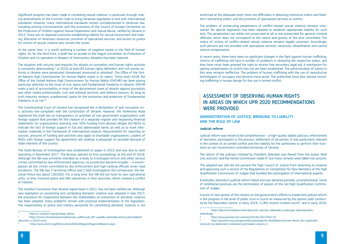Significant progress has been made in combating sexual violence, in particular through making amendments to the Criminal Code to bring Ukrainian legislation in line with international standards. However, many international standards remain unimplemented in Ukrainian law, including existing inconsistencies with the provisions of the Council of Europe Convention on the Protection of Children against Sexual Exploitation and Sexual Abuse, ratified by Ukraine in 2012. There are no separate provisions establishing liability for sexual harassment and stalking. Allocation of necessary resources, provision of specialized services, and access to justice for victims of sexual violence also remain the issues.

At the same time, it is worth outlining a number of negative trends in the field of human rights. So, for the third time, a draft law to accede to the Hague Convention on Protection of Children and Co-operation in Respect of Intercountry Adoption has been rejected.

The situation with security and impunity for attacks on journalists and human rights activists is constantly deteriorating <sup>4</sup>. In 2019, at least 83 human rights defenders and civil society activists in Ukraine were persecuted, threatened, pressured or attacked<sup>s</sup>. The Office of the United Nations High Commissioner for Human Rights states in its report: "Since early 2018, the Office of the United Nations High Commissioner for Human Rights (OHCHR) has been paying particular attention to the issue of civic space and fundamental freedoms in Ukraine. OHCHR notes a lack of accountability in most of the documented cases of attacks against journalists and other media professionals, civic and political activists, and defence lawyers. As long as such impunity remains unaddressed, space for the promotion and protection of fundamental freedoms is at risk."6

The Constitutional Court of Ukraine has recognized the e-declaration of anti-corruption civic activists non-compliant with the Constitution of Ukraine. However, the Verkhovna Rada registered the draft law on transparency of activities of non-government organizations with foreign support that provides for the creation of a separate register and requesting financial statements for organizations receiving over 50% funding from abroad, obliges the NGOs to indicate the fact of foreign support in full and abbreviated name, as well as to mark information materials in the framework of international projects. Requirements for reporting on sources, amounts of funding and activities also apply to charitable organizations. Leaders of NGOs with foreign support (by agreement) will undergo a polygraph on possible betrayal of state interests of the country.

> The reform of the judiciary initiated by President Zelenskyi was flawed from the outset. Both civic activists<sup>7</sup> and the Venice Commission noted it<sup>8</sup>, but many remarks were taken into account.

The State Bureau of Investigation was established on paper in 2015 and was due to start operating in November 2017. The Bureau opened its first proceedings at the end of 2018. Although the SBI was primarily intended as a body to investigate torture and other serious crimes committed by law enforcement agencies, its jurisdiction became broader – it encompasses all the crimes committed by law enforcement and high-ranking officials (even road accidents). The SBI has 7 territorial offices and 1,500 investigators (for comparison, the National Police has about 130,000). For a long time, the SBI did not have its own operational units, so they involved police and SBU operatives in their activities, which created a conflict of interest.

> A prove of real opinion of the citizens on the government's efforts to implement judicial reform is the progress in the level of public trust in courts as measured by the opinion polls conducted by the Razumkov Centre: in early 2019, 11.8% citizens trusted courts<sup>9</sup>, and in early 2020,

The Istanbul Convention that Ukraine signed back in 2011, has not been ratified yet. Although new legislation on preventing and combating domestic violence was adopted in late 2017, the procedure for cooperation between the stakeholders on prevention of domestic violence has been adopted, many problems remain with practical implementation of the legislation. The responsibility of police and military personnel for committing domestic violence is not

enshrined at the adequate level, there are difficulties in obtaining restrictive orders and fixedterm restraining orders, and the provision of specialized services to victims.

The problem of prosecuting perpetrators of conflict-related sexual violence remains unresolved. No special legislation has been adopted to establish appropriate liability for such acts. The perpetrators are either not prosecuted at all or are prosecuted for general criminal offenses, which does not correspond to the nature and gravity of the acts committed. The status of victims of conflict-related sexual violence remains legally uncertain. Accordingly, such persons are not provided with specialized services, necessary rehabilitation and cannot receive compensation.

In recent years, there have been no significant changes in the fight against human trafficking. Victims of trafficking still face a number of problems in obtaining the respective status, and they have never been granted the right to receive free secondary legal aid. A mechanism for paying compensation to victims has not yet been established. The administration of justice in this area remains ineffective. The problem of human trafficking with the use of reproductive technologies of surrogacy has become more acute. The authorities have also started recording trafficking in human beings for the use in armed conflict.

# ASSESSMENT OF OBSERVING HUMAN RIGHTS IN AREAS ON WHICH UPR 2020 RECOMMENDATIONS WERE PROVIDED

# ADMINISTRATION oF JUSTICE, BRINGING TO LIABILITY AND THE RULE OF LAW

# **Judicial reform**

Judicial reform was meant to be comprehensive – a high-quality stable judiciary, enforcement of decisions, participants in the process, settlement of all parties. It was particularly relevant in the context of an armed conflict and the inability for the authorities to perform their functions on non-Government-controlled territories of Ukraine.

The adopted law still did not prevent the High Council of Justice from distorting its essence and approving such a version of the Regulations on Competition for New Members of the High Qualification Commission of Judges that levelled the participation of international experts.

Eventually, Zelenskyi's judicial reform failed and was declared partially unconstitutional. Some of conditional positives are the termination of powers of the old High Qualification Commission of Judges.

7 https://dejure.foundation/news/aktyvisty-nazvaly-nebezpeky-sudovogo-zakonoproektu-

9 http://razumkov.org.ua/napriamky/sotsiologichni-doslidzhennia/riven-doviry-do-suspilnykh-

http://cs-coalition.org/ua/mapa-zahroz

<sup>5</sup> [https://zmina.info/news/pravozahysnyky-zafiksuvaly-83-vypadky-peresliduvannya-gromadskyh](https://zmina.info/news/pravozahysnyky-zafiksuvaly-83-vypadky-peresliduvannya-gromadskyh-aktyvistiv-u-2019-roczi/)[aktyvistiv-u-2019-roczi/](https://zmina.info/news/pravozahysnyky-zafiksuvaly-83-vypadky-peresliduvannya-gromadskyh-aktyvistiv-u-2019-roczi/)

<sup>6</sup> <https://www.ohchr.org/EN/Countries/ENACARegion/Pages/UAReports.aspx>

zelenskogo

<sup>8</sup> https://www.pravda.com.ua/news/2019/12/6/7234113/

instytutiv-ta-elektoralni-oriientatsii-gromadian-ukrainy-2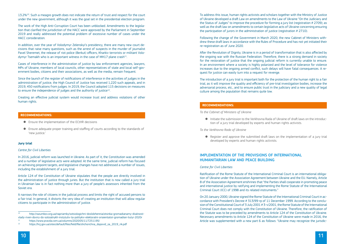$13.2\%$ <sup>10</sup>. Such a meagre growth does not indicate the return of trust and respect for the court under the new government, although it was the goal set in the presidential election program.

In addition, over the year of Volodymyr Zelenskyi's presidency, there are many new court decisions that raise many questions, such as the arrest of suspects in the murder of journalist Pavel Sheremet, the release of riot police (Berkut) officers, Kharkiv terrorists or militant Volodymyr Tsemakh who is an important witness in the case of MH17 plane crash<sup>11</sup>.

The work of the High Anti-Corruption Court has been unblocked. Amendments to the legislation that clarified the jurisdiction of the HACC were approved by the Parliament in September 2019 and really addressed the potential problem of excessive number of cases under the HACC consideration.

Since the launch of the register of notifications of interference in the activities of judges in the administration of justice, the High Council of Justice has received 1,220 such appeals, and in 2019, 450 notifications from judges. In 2019, the Council adopted 115 decisions on measures to ensure the independence of judges and the authority of justice<sup>12</sup>.

Cases of interference in the administration of justice by law enforcement agencies, lawyers, MPs of Ukraine, members of local councils, other representatives of state and local self-government bodies, citizens and their associations, as well as the media, remain frequent.

Creating an effective judicial system would increase trust and address violations of other human rights.

# **Recommendations:**

- Ensure the implementation of the ECtHR decisions
- Ensure adequate proper training and staffing of courts according to the standards of 'new justice.'

# **Jury trial**

### *Centre for Civil Liberties*

In 2016, judicial reform was launched in Ukraine. As part of it, the Constitution was amended and a number of legislative acts were adopted. At the same time, judicial reform has focused on achieving pinpoint targets, and legislative changes have not addressed a number of issues, including the establishment of a jury trial.

Article 124 of the Constitution of Ukraine stipulates that the people are directly involved in the administration of justice through juries. But the institution that is now called a jury trial in Ukrainian law is in fact nothing more than a jury of people's assessors inherited from the Soviet era.

It narrows the role of citizens in the judicial process and limits the right of accused persons to a fair trial. In general, it distorts the very idea of creating an institution that will allow regular citizens to participate in the administration of justice.

To address this issue, human rights activists and scholars together with the Ministry of Justice of Ukraine developed a draft Law on amendments to the Law of Ukraine "On the Judiciary and the Status of Judges" to improve the procedure for forming a jury list (registration # 2709); as well as the draft law on amendments to certain legislative acts of Ukraine concerning ensuring the participation of jurors in the administration of justice (registration # 2710).

Following the change of the Government in March 2020, the new Cabinet of Ministers withdrew these draft laws in accordance with the Rules of Procedure and has not yet initiated their re-registration as of June 2020.

After the Revolution of Dignity, Ukraine is in a period of transformation that is also affected by the ongoing war with the Russian Federation. Therefore, there is a strong demand in society for the restoration of justice that the ongoing judicial reform is currently unable to ensure. In an environment where a society is highly polarized and the level of tolerance for violence increases due to the ongoing armed conflict, such delays will have fatal consequences. A request for justice can easily turn into a request for revenge.

The introduction of a jury trial is important both for the protection of the human right to a fair trial, as it will improve the quality and efficiency of pre-trial investigation bodies, increase the adversarial process, etc., and to ensure public trust in the judiciary and a new quality of legal culture among the population that remains quite low.

# **Recommendations:**

*To the Cabinet of Ministers of Ukraine*

● Initiate the submission to the Verkhovna Rada of Ukraine of draft laws on the introduc-

tion of a jury trial developed by experts and human rights activists.

*To the Verkhovna Rada of Ukraine*

● Register and approve the submitted draft laws on the implementation of a jury trial

developed by experts and human rights activists.

# IMPLEMENTATION OF THE PROVISIONS of international humanitarian law and peace Building

# *Centre for Civil Liberties*

Ratification of the Rome Statute of the International Criminal Court is an international obligation of Ukraine under the Association Agreement between Ukraine and the EU. Namely, Article 8 of the Association Agreement enshrines that "the Parties shall cooperate in promoting peace and international justice by ratifying and implementing the Rome Statute of the International Criminal Court (ICC) of 1998 and its related instruments."

On 20 January 2000, Ukraine signed the Rome Statute of the International Criminal Court in accordance with President's Decree # 313/99-rp of 11 December 1999. According to the conclusion of the Constitutional Court of 3 July 2001 # 3-v/2001, the Rome Statute of the International Criminal Court does not comply with the Constitution of Ukraine. Therefore, the ratification of the Statute was to be preceded by amendments to Article 124 of the Constitution of Ukraine. Necessary amendments to Article 124 of the Constitution of Ukraine were made in 2016, the Article was supplemented with a new part 6 as follows: "Ukraine may recognize the jurisdic-

<sup>10</sup> http://razumkov.org.ua/napriamky/sotsiologichni-doslidzhennia/otsinka-gromadianamy-diialnostivlady-riven-doviry-do-sotsialnykh-instytutiv-ta-politykiv-elektoralni-oriaientatsii-gromadian-liutyi-2020r

<sup>11</sup><https://www.pravda.com.ua/columns/2020/05/11/7251195/>

<sup>12</sup> [https://hcj.gov.ua/sites/default/files/field/file/shchorichna\\_dopovid\\_za\\_2019\\_rik.pdf](https://hcj.gov.ua/sites/default/files/field/file/shchorichna_dopovid_za_2019_rik.pdf)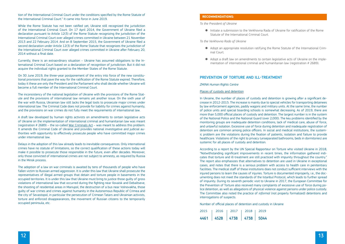tion of the International Criminal Court under the conditions specified by the Rome Statute of the International Criminal Court." It came into force in June 2019.

While the Rome Statute has not been ratified yet, Ukraine still recognized the jurisdiction of the International Criminal Court. On 17 April 2014, the Government of Ukraine filed a declaration pursuant to Article 12(3) of the Rome Statute recognizing the jurisdiction of the International Criminal Court over alleged crimes committed in Ukraine between 21 November 2013 and 22 February 2014. And on 8 September 2015, the Government of Ukraine filed a second declaration under Article 12(3) of the Rome Statute that recognizes the jurisdiction of the International Criminal Court over alleged crimes committed in Ukraine after February 20, 2014 without a final date.

Currently, there is an extraordinary situation – Ukraine has assumed obligations to the International Criminal Court based on a declaration of recognition of jurisdiction. But it did not acquire the individual rights granted to the Member States of the Rome Statute.

On 30 June 2019, the three-year postponement of the entry into force of the new constitutional provisions that pave the way for the ratification of the Rome Statute expired. Therefore, today it these are only the President and the Parliament who shall decide whether Ukraine will become a full member of the International Criminal Court.

The inconsistency of the national legislation of Ukraine with the provisions of the Rome Statute and the provisions of international law remains yet another issue. On the sixth year of the war with Russia, Ukrainian law still lacks the legal tools to prosecute major crimes under international law. The Criminal Code does not provide for liability for crimes against humanity, and the provisions on war crimes do not fully meet the requirements of international law.

A draft law developed by human rights activists on amendments to certain legislative acts of Ukraine on the implementation of international criminal and humanitarian law was meant (registration # 2689) – the so-called [War Criminals Act](https://ccl.org.ua/news/pravozakhysnyky-i-deputaty-pryynialy-rezoliutsiiu-kruhloho-stolu-z-pytannia-zakonu-pro-voiennykh-zlochyntsiv/) – was meant to address this problem. It amends the Criminal Code of Ukraine and provides national investigative and judicial authorities with opportunity to effectively prosecute people who have committed major crimes under international law.

Delays in the adoption of this law already leads to inevitable consequences. Only international crimes have no statute of limitations, so the correct qualification of these actions today will make it possible to prosecute those responsible in the future, even after decades. Moreover, only those convicted of international crimes are not subject to amnesty, as required by Russia in the Minsk process.

The adoption of a law on war criminals is awaited by tens of thousands of people who have fallen victim to Russian armed aggression. It is under this law that Ukraine shall prosecute the representatives of illegal armed groups that detain and torture people in basements in the occupied territories. It is under this law that Ukraine must bring to justice those guilty of gross violations of international law that occurred during the fighting near Ilovaisk and Debaltseve, the shooting of residential areas in Mariupol, the destruction of a bus near Volnovakha, those guilty of war crimes and crimes against humanity in the Autonomous Republic of Crimea and the city of Sevastopol, in particular the persecution of Crimean Tatars and Ukrainian activists, torture and enforced disappearances, the movement of Russian citizens to the temporarily occupied peninsula, etc.

# **Recommendations:**

#### *To the President of Ukraine*

● Initiate a submission to the Verkhovna Rada of Ukraine for ratification of the Rome

Statute of the International Criminal Court.

#### *To the Verkhovna Rada of Ukraine*

● Adopt an appropriate resolution ratifying the Rome Statute of the International Crim-

- inal Court.
- 

# PREVENTION OF TORTURE AND ILL-TREATMENT

● Adopt a draft law on amendments to certain legislative acts of Ukraine on the implementation of international criminal and humanitarian law (registration # 2689).

#### *ZMINA Human Rights Centre*

### Places of custody and detention

In Ukraine, the number of places of custody and detention is growing after a significant decrease in 2012-2015. The increase is mainly due to special vehicles for transporting detainees by law enforcement agencies, paddy wagons and military units. At the same time, the number of police units and special boarding schools is somewhat decreasing. As of 2019, there are more than 5,000 official places of custody and detention. The largest number is in the system of the National Police and the National Guard (over 2,000). The key problems identified by the monitoring groups are inadequate detention conditions, lack of medical care, abuse of force, and unlawful isolation. Excessive use of force during detention and inadequate registration of detention are common among police officers. In social and medical institutions, the systemic problem are the violations during the fixation of patients, isolation and failure to provide healthcare. Violations of the right to privacy (unseparated bathrooms, beds in dormitories) are systemic for all places of custody and detention.

According to a report by the UN Special Rapporteur on Torture who visited Ukraine in 2018, "Notwithstanding significant improvements in recent times, the information gathered indicates that torture and ill-treatment are still practiced with impunity throughout the country." The report also emphasizes that alternatives to detention are used in Ukraine in exceptional cases, and notes that there is a serious problem with access to health care in penitentiary facilities. The medical staff of these institutions does not conduct sufficient interviews with the injured persons to learn the causes of injuries. Torture is documented improperly, i.e., the documenting does not meet the standards of the Istanbul Protocol, which leads to further spread of impunity. During its seventh periodic visit to Ukraine in 2017, the European Committee for the Prevention of Torture also received many complaints of excessive use of force during police detention, as well as allegations of physical violence against persons under police custody. The Committee also noted the practice of *informal* (not properly formalized) detentions and interrogations of suspects.

Number of official places of detention and custody in Ukraine

|  | 4461 4528 4738 4738 5044         |  |
|--|----------------------------------|--|
|  | 2015   2016   2017   2018   2019 |  |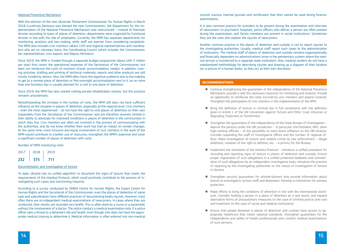# National Preventive Mechanism

With the election of the new Ukrainian Parliament Commissioner for Human Rights in March 2018 (Lyudmyla Denisova was elected the new Commissioner), the Department for the Implementation of the National Preventive Mechanism was restructured – instead of thematic division according to types of places of detention, departments were organized by functional division in line with the role of employees. Currently, the NPM has separate departments for monitoring, analytics and law-making, while staff are exempt from considering complaints. The NPM also includes civic monitors (about 150) and regional representatives and coordinators who act on voluntary basis, the Coordinating Council (which includes the Commissioner, her representatives, civic experts and Deputy Ministers).

Since 2019, the NPM is funded through a separate budget programme (about UAH 3 million per year) that covers the operational expenses of the Secretariat of the Commissioner, but does not reimburse the costs of monitors (travel, accommodation, meals). In addition, training activities, drafting and printing of technical materials, reports and other products are still mostly funded by donors. Also, the NPM often faces the logistical problems due to the inability to get to a remote place of detention or find overnight accommodation next to it, as no more than one business day is usually planned for a visit to one place of detention.

Since 2019, the NPM has also started visiting private rehabilitation centres, but this practice remains unsystematic.

Notwithstanding the increase in the number of visits, the NPM still does not have sufficient influence on the situation in places of detention, especially at the regional level. Civic monitors – even the most experienced – do not have the right to visit places of detention on their own (separately from the Secretariat of the Commissioner) and are therefore severely limited in their ability to advocate for improved conditions in places of detention in the communities in which they live. Civic monitors are often not involved in the process of communicating with the authorities, and do not know whether their work has had an impact on certain changes. At the same time, more inclusive and equal involvement of civic monitors in the work of the NPM would contribute to a better use of resources, strengthen the NPM's expertise and cover a significant number of places of detention with visits.

Number of NPM monitoring visits

● Continue strengthening the quarantees of the independence of the National Preventive Mechanism, provide it with the necessary resources for monitoring and analysis. Provide an opportunity to reimburse the costs incurred by civic monitors and experts involved. Strengthen the participation of civic monitors in the implementation of the NPM.

| 2017 | 2018 | 2019 |
|------|------|------|
| 232  | 375  | 711  |

### Documentation and investigation of torture

To date, Ukraine has no unified algorithm to document the signs of torture that meets the requirements of the Istanbul Protocol, which could positively contribute to the process of investigating such cases and overcoming impunity.

According to a survey conducted by ZMINA Centre for Human Rights, the Expert Centre for Human Rights and the Secretariat of the Commissioner, even the places of detention of same type and subordination have different practices of documenting bodily injuries. However, most often there are no independent medical examinations of newcomers. In cases where they are conducted, their results are recorded very briefly. This is often done by a nurse or a paramedic without the involvement of a doctor. The police conduct a medical examination only if a police officer sees a threat to a detainee's life and health, even though s/he does not have the appropriate medical training to determine it. Medical information is often entered into non-medical

# records (various internal journals and certificates) that then cannot be used during forensic

examinations.

It is also common practice for outsiders to be present during the examination and interview of newcomers (in psychiatric hospitals, police officers who deliver a person are often present during the examination, and family members are present in social institutions). Sometimes they are the ones who explain the injuries of newcomers.

Another common practice in the places of detention and custody is not to report injuries to the investigating authorities. Usually, medical staff report such cases to the administration of institutions. The medical staff of places of detention and custody remains organizationally and financially dependent on administrations (even in the penitentiary system where the medical service is transferred to a separate state institution). Also, medical workers do not have a standardized methodology for describing injuries and drawing up a diagram of their location (on a picture of a human body), so they act at their own discretion.

# **Recommendations:**

● Bring the definition of torture in criminal law in full compliance with the definition given in Article 1 of the UN Convention against Torture and Other Cruel, Inhuman or

● Strengthen the guarantees of the independence of the State Bureau of Investigation – deprive the persons under the SBI jurisdiction - in particular, the President, MPs, other high-ranking officials – of the possibility to exert direct influence on the SBI Director. Consider expanding the staff of investigative offices and the number of regional offices. Make investigation of torture and related crimes by law enforcement – illegal detention, violation of the right to defence, etc. – a priority for the Bureau.

● Implement the standards of the Istanbul Protocol – introduce a unified procedure for recording and reporting signs of torture in places of detention and custody. Ensure proper registration of such allegations in a unified protected database and consideration of such allegations by an independent investigative body. Introduce the practice of reporting by the investigating authorities on the status of investigation of torture

- 
- Degrading Treatment or Punishment.
- 
- in Ukraine.
- protection.
- and treatment (in the case of social and medical institutions).
- of such persons.

● Strengthen security guarantees for whistle-blowers who provide information about torture to investigators (prison staff and detainees). Develop a mechanism for witness

● Make efforts to bring the conditions of detention in line with the international standards. Consider holding a person in a place of detention as a last resort, and expand alternative forms of precautionary measures (in the case of criminal justice) and care

● Ensure that people detained in places of detention and custody have access to appropriate healthcare that meets national standards. Strengthen guarantees for the independence and safety of health professionals who conduct medical examinations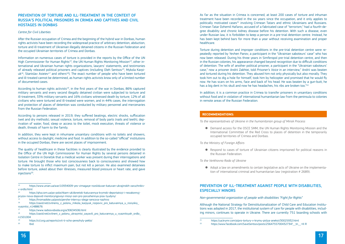# PREVENTION OF TORTURE AND ILL-Treatment IN THE CONTEXT OF RUSSIA's POLITICAL PRISONERS IN CRIMEA AND CAPTIVES AND CIVIL HOSTAGES IN DONBAS

# *Centre for Civil Liberties*

After the Russian occupation of Crimea and the beginning of the hybrid war in Donbas, human rights activists have been recording the widespread practice of arbitrary detention, abduction, torture and ill-treatment of Ukrainian illegally detained citizens in the Russian Federation and the occupied Ukrainian territories of Crimea and Donbas.

According to human rights activists<sup>19</sup>, in the first years of the war in Donbas, 86% captured military servants and every second illegally detained civilian were subjected to torture and ill-treatment, 33% military servants and 16% civilians witnessed death by torture; 12% of all civilians who were tortured and ill-treated were women, and in 44% cases, the interrogation and protection of places of detention was conducted by military personnel and mercenaries from the Russian Federation.

Information on numerous cases of torture is provided in the reports by the Office of the UN High Commissioner for Human Rights<sup>13</sup>, the UN Human Rights Monitoring Mission<sup>14</sup>, other international and Ukrainian human rights organizations, lawyers' statements, and testimonies of already released political prisoners and captives (including Oleh Sentsov<sup>15</sup>, Mykola Karpi $uk^{16}$ , Stanislav Asieiev<sup>17</sup> and others<sup>18</sup>). The exact number of people who have been tortured and ill-treated cannot be determined, as human rights activists know only of a limited number of documented cases.

The quality of healthcare in these facilities is clearly illustrated by the evidence provided to the Office of the UN High Commissioner for Human Rights by several persons detained in Isolation Centre in Donetsk that a medical worker was present during their interrogations and torture. He brought those who lost consciousness back to consciousness and showed how to make torture to inflict maximum pain, but not kill a person. He also examined detainees before torture, asked about their illnesses, measured blood pressure or heart rate, and gave injections<sup>20</sup>.

According to persons released in 2019, they suffered beatings, electric shocks, suffocation (wet and dry methods), sexual violence, torture, removal of body parts (nails and teeth), deprivation of water, food, sleep or access to the toilet, mock execution, threats of violence or death, threats of harm to the family.

Torture during detention and improper conditions in the pre-trial detention centre were repeatedly reported by Yevhen Panov, a participant in the "Ukrainian saboteurs' case" who has now been released. During his three years in Simferopol pre-trial detention centre, and then in the Russian colonies, his appearance changed beyond recognition due to difficult conditions of detention. The wife of another political prisoner, a participant in the "Ukrainian saboteurs' case," now a prisoner Andrii Zakhtei, told *Prisoner's Voice* in an interview," Andrii was beaten and tortured during his detention. They abused him not only physically but also morally. They took him out to dig a hole for himself, took him by helicopter and promised that he would fly now. He has scars on his arms, face and back of his head. He was beaten by a gun-butt, he has a big dent in his skull and now he has headaches, his ribs are broken too."<sup>22</sup>

In addition, they were kept in inhumane unsanitary conditions with no toilets and showers, without access to daylight, medicine and food. In addition to the so-called "official" institutions in the occupied Donbas, there are secret places of imprisonment.

● Demand access for the OSCE SMM, the UN Human Rights Monitoring Mission and the International Committee of the Red Cross to places of detention in the temporarily

As far as the situation in Crimea is concerned, at least 200 cases of torture and inhuman treatment have been recorded in the six years since the occupation, and it only applies to politically motivated cases<sup>21</sup> involving Crimean Tatars and ethnic Ukrainians and Russians. Crimean Tatar Dzhemil Hafarov, accused of a fabricated case of "terrorism," had a fourth-degree disability and chronic kidney disease before his detention. With such a disease, even under Russian law, it is forbidden to keep a person in a pre-trial detention centre. Instead, he has been kept behind bars for more than a year without receiving examination and proper healthcare.

In addition, it is a common practice in Crimea to transfer prisoners in unsanitary conditions without food and in violation of international humanitarian law from the peninsula to colonies in remote areas of the Russian Federation.

# **Recommendations:**

*To the representatives of Ukraine in the humanitarian group of Minsk Process*

occupied territories of Crimea and Donbas.

*To the Ministry of Foreign Affairs*

● Respond to cases of torture of Ukrainian citizens imprisoned for political reasons in

the Russian Federation.

*To the Verkhovna Rada of Ukraine*

● Adopt a law on amendments to certain legislative acts of Ukraine on the implementa-

21 https://ua.krymr.com/a/pro-tortury-v-krymu-pislya-aneksii/30025932.html<br> $\frac{22}{h}$  https://www.facebook.com/SaveSentsoy/posts/25647557004327342 tp

tion of international criminal and humanitarian law (registration # 2689).

# PREVENTION OF ILL-Treatment AGAINST PEOPLE WITH DISABILITIES, ESPECIALLY MINORS

*Non-governmental organization of people with disabilities "Fight for Rights"*

Although the National Strategy for Deinstitutionalization of Child Care and Education Institutions was adopted in 2017, the institutional system of care for people with disabilities, including minors, continues to operate in Ukraine. There are currently 751 boarding schools with

<sup>18</sup> [https://zaxid.net/zvilneni\\_z\\_polonu\\_ukrayintsi\\_zayavili\\_pro\\_katuvannya\\_u\\_vyaznitsyah\\_ordlo\\_](https://zaxid.net/zvilneni_z_polonu_ukrayintsi_zayavili_pro_katuvannya_u_vyaznitsyah_ordlo_n1501004) [n1501004](https://zaxid.net/zvilneni_z_polonu_ukrayintsi_zayavili_pro_katuvannya_u_vyaznitsyah_ordlo_n1501004)

<sup>13</sup> [https://www.unian.ua/war/10934009-yes-vimagaye-rozsliduvan-katuvan-ukrajinskih-zaruchnikiv](https://www.unian.ua/war/10934009-yes-vimagaye-rozsliduvan-katuvan-ukrajinskih-zaruchnikiv-v-ordlo.html)[v-ordlo.html](https://www.unian.ua/war/10934009-yes-vimagaye-rozsliduvan-katuvan-ukrajinskih-zaruchnikiv-v-ordlo.html)

<sup>14</sup> [https://qha.com.ua/po-polochkam-uk/donetski-katuvannya-krymski-deportatsiyi-i-nezakonnyj](https://qha.com.ua/po-polochkam-uk/donetski-katuvannya-krymski-deportatsiyi-i-nezakonnyj-pryzov-nova-dopovid-monitoryngovoyi-misiyi-oon-pro-porushennya-prav-lyudyny/)[pryzov-nova-dopovid-monitoryngovoyi-misiyi-oon-pro-porushennya-prav-lyudyny/](https://qha.com.ua/po-polochkam-uk/donetski-katuvannya-krymski-deportatsiyi-i-nezakonnyj-pryzov-nova-dopovid-monitoryngovoyi-misiyi-oon-pro-porushennya-prav-lyudyny/)

<sup>15</sup> https://hromadske.ua/posts/pershe-intervyu-olega-sencova-nazhivo<br><sup>16</sup> [https://zaxid.net/zvilneniy\\_z\\_polonu\\_mikola\\_karpyuk\\_rozpoviv\\_pro\\_katuvannya\\_u\\_rosiyskiy\\_](https://zaxid.net/zvilneniy_z_polonu_mikola_karpyuk_rozpoviv_pro_katuvannya_u_rosiyskiy_vyaznitsi_n1488676) [vyaznitsi\\_n1488676](https://zaxid.net/zvilneniy_z_polonu_mikola_karpyuk_rozpoviv_pro_katuvannya_u_rosiyskiy_vyaznitsi_n1488676)<br>https://www.radiosvoboda.org/a/30634506.html

<sup>19</sup><https://ccl.org.ua/reports/zvit-ti-scho-perezhyly-peklo/>

<sup>20</sup> Ibid.

https://www.facebook.com/SaveSentsov/posts/2564755700432734? tn =K-R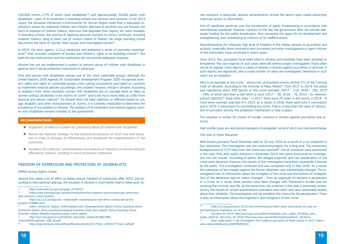106,000 minors (17% of whom have disabilities<sup>23</sup>) and approximately 50,000 adults with disabilities. Cases of ill-treatment in boarding schools are common and systemic. In her 2019 report, the Ukrainian Parliament Commissioner for Human Rights noted that in education institutions where the orphaned children and children deprived of parental care are housed, the facts of isolation of children indoors, exercises that degrades their dignity, etc. were revealed. In boarding schools, the practice of applying physical restraint to minors continues, including isolation indoors, tying to beds, use of various means of fixation. No single boarding school documents the facts of injuries, their causes and investigates injuries $24$ .

In 2019, the news agency 112.ua conducted and published a series of journalist investigations<sup>25</sup> that recorded violations of human and children's rights in six boarding schools<sup>26</sup>. But both the law enforcement and the authorities did not provide adequate response.

Ukraine has not yet implemented a system to prevent abuse of children with disabilities in general and in social protection institutions in particular.

Girls and women with disabilities remain one of the most vulnerable groups. Although the United Nations 2030 Agenda for Sustainable Development Program 2030 recognized women's rights and rights of vulnerable groups cross-cutting components and called on countries to implement national policies accordingly, the problem remains critical in Ukraine. According to statistics from other countries, women with disabilities are on average twice as likely as women without disabilities to be victims of crime<sup>27</sup> and to be much more likely to suffer from physical and sexual violence<sup>28</sup>. As Ukraine does not keep statistics on offenses based on sex, age, disability and other characteristics of victims, it is currently impossible to determine the prevalence of the problem in Ukraine. The problem of ill-treatment and violence against women with disabilities remains invisible to the government.

# **Recommendations:**

- Implement an effective system for preventing abuse of children with disabilities.
- Review the National Strategy for the Deinstitutionalization of Child Care and Education in order to increase its effectiveness and accelerate the implementation of the provisions.
- Introduce the collection, systematization and analysis of statistics on women and girls affected by violence, including in social protection institutions.

# FREEDOM OF EXPRESSION AND PROTECTION OF JOURNALISTS

### *ZMINA Human Rights Centre*

Ukraine has taken a lot of effort to better ensure freedom of expression after 2014, and according to international rankings, the situation in Ukraine is much better than in other post-Soviet countries. In particular, positive achievements include the launch open media ownership, improved access to information.

Data made public in the investigative film made by journalists of Radio Liberty in 2017; https://

One of significant positives was the introduction of public broadcasting in accordance with international standards. However, contrary to the law, the government does not provide adequate funding for the public broadcaster, thus narrowing the space for its development and strengthening, and contributing to criticism of its ineffectiveness.

Notwithstanding the relatively high level of freedom in the media, attacks on journalists and activists, especially those involved in anti-corruption and other investigations or open criticism of the authorities, have continued in recent years.

Since 2015, four journalists have been killed in Ukraine and hundreds have been attacked or threatened. The vast majority of such cases were left without proper investigation. Police often refuse to register crime reports in cases of attacks or threats against journalists or activists. If such reports are registered, only a small number of cases are investigated. Sentences in such cases are an exception.

Here is an example of one crime – *obstruction of journalist activity* (Article 171 of the Criminal Code of Ukraine). According to the Institute of Mass Media<sup>29</sup>, from 2017 to 2019, the police was registering about 200 reports of this crime annually (2017 – 219, 2018 – 195, 2019 – 190), of which less than a half went to court (2017 – 90, 2018 – 76, 2019 – 6). However, judicial statistics<sup>30</sup> show other data – in 2017, there were 20 cases in the courts, in 2018 – 9 more were received, and also 9 in 2019. As a result, in 2018, there were only 5 convictions, and in 2019, 3 convictions for committing this crime. That is, in less than 3% cases of obstruction of journalist activity, the protection mechanism is fully in place.

The situation is similar for crimes of murder, violence or threats against journalists and activists.

High-profile cases are also being improperly investigated, some of which are mentioned below.

# *The case of Pavel Sheremet*

Well-known journalist Pavel Sheremet died on 20 July 2016 as a result of a car explosion in Kyiv downtown. The investigation was not conducted properly for a long time. The mysterious disappearance of CCTV data from the scene was reported $31$ , not all witnesses were questioned in the case. Only after public pressure in December 2019, the police announced an investigation into the murder. According to police, the alleged organizer and two perpetrators of the crime were detained. However, the results of the investigation have been repeatedly criticized by the public. The investigation continued and was completed only in May 2020. As a result, the substance of the charges against the former detainees was substantially changed. The investigation has no information about the instigator of the crime and the motives of instigator. One of the detainees had his status changed – from an organizer he became a perpetrator of a crime. As a result, three persons have been charged with Sheremet's murder and are studying the criminal case file. At the same time, the evidence in the case is extremely contradictory, the results of certain examinations contradict each other and raise reasonable doubts about their reliability. The investigation did not establish the motive for the perpetrators. There is also no information about the organizers and instigators of this crime.

<sup>&</sup>lt;sup>23</sup> https://www.adm-km.gov.ua/?page\_id=40310<br><sup>24</sup> https://www.minrogion.gov.ua/proce/powe/cbbo

<sup>24</sup> [https://www.minregion.gov.ua/press/news/shhorichna-dopovid-upovnovazhenogo-verhovnoyi](https://www.minregion.gov.ua/press/news/shhorichna-dopovid-upovnovazhenogo-verhovnoyi-rady-ukrayiny-z-prav-lyudyny/)[rady-ukrayiny-z-prav-lyudyny/](https://www.minregion.gov.ua/press/news/shhorichna-dopovid-upovnovazhenogo-verhovnoyi-rady-ukrayiny-z-prav-lyudyny/)

<sup>25</sup> [https://ua.112.ua/statji/yak-v-internatakh-znushchaiutsia-nad-ditmy-rozsliduvannia-lihy](https://ua.112.ua/statji/yak-v-internatakh-znushchaiutsia-nad-ditmy-rozsliduvannia-lihy-koruptsii-478981.html)[koruptsii-478981.html](https://ua.112.ua/statji/yak-v-internatakh-znushchaiutsia-nad-ditmy-rozsliduvannia-lihy-koruptsii-478981.html)

<sup>26</sup> Teteriv (Zhytomyr oblast), Verkhniodniprovskyi (Dnipropetrovsk oblast), Khotyn boarding school (Chernivtsi oblast), Skvyra psychoneurological boarding school (Kyiv oblast), Nizhyn boarding school (Chernihiv oblast), Bilopillia boarding school (Sumy oblast).

https://ovc.ncjrs.gov/ncvrw2018/info\_flyers/fact\_sheets/2018NCVRW [VictimsWithDisabilities\\_508\\_QC.pdf](https://ovc.ncjrs.gov/ncvrw2018/info_flyers/fact_sheets/2018NCVRW_VictimsWithDisabilities_508_QC.pdf)<br><sup>28</sup> [https://eige.europa.eu/sites/default/files/documents/20175822\\_mh0417775enn\\_pdf.pdf](https://eige.europa.eu/sites/default/files/documents/20175822_mh0417775enn_pdf.pdf)

<sup>&</sup>lt;sup>30</sup> See data for 2019[: https://court.gov.ua/userfiles/media/dsa\\_pres\\_slujba\\_2019/dsa\\_pres\\_](https://court.gov.ua/userfiles/media/dsa_pres_slujba_2019/dsa_pres_slujba_2020/1k_2019.xlsx) [slujba\\_2020/1k\\_2019.xlsx;](https://court.gov.ua/userfiles/media/dsa_pres_slujba_2019/dsa_pres_slujba_2020/1k_2019.xlsx) for 2018[: https://court.gov.ua/userfiles/media/media/1k\\_2018.xlsx](https://court.gov.ua/userfiles/media/media/1k_2018.xlsx) www.radiosvoboda.org/a/28478928.html

<sup>29</sup> [https://imi.org.ua/news/u-2019-rotsi-zmenshylasya-kilkist-sprav-skerovanyh-do-sudu-za](https://imi.org.ua/news/u-2019-rotsi-zmenshylasya-kilkist-sprav-skerovanyh-do-sudu-za-zhurnalistskymy-stattyamy-imi-i31332)[zhurnalistskymy-stattyamy-imi-i31332](https://imi.org.ua/news/u-2019-rotsi-zmenshylasya-kilkist-sprav-skerovanyh-do-sudu-za-zhurnalistskymy-stattyamy-imi-i31332)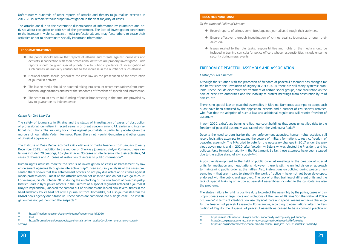Unfortunately, hundreds of other reports of attacks and threats to journalists received in 2017-2019 remain without proper investigation in the vast majority of cases.

The attacks are due to the systematic dissemination of information by journalists and activists about corruption or criticism of the government. The lack of investigation contributes to the increase in violence against media professionals and may force others to cease their activities or not to disseminate socially important information.

# **Recommendations:**

The Institute of Mass Media recorded 226 violations of media freedom from January to early December 2019. In addition to the murder of Cherkasy journalist Vadym Komarov, these violations included 20 beatings, 16 cyberattacks, 93 cases of interference into their activities, 34 cases of threats and 21 cases of restriction of access to public information<sup>32</sup>.

- The police should ensure that reports of attacks and threats against journalists and activists in connection with their professional activities are properly investigated. Such reports should be given special priority due to public importance of investigation of such crimes, as impunity contributes to the increase in the number of such attacks.
- National courts should generalize the case law on the prosecution of for obstruction of journalist activity.
- The law on media should be adopted taking into account recommendations from international organizations and meet the standards of freedom of speech and information.
- The state must ensure full funding of public broadcasting in the amounts provided by law to guarantee its independence.

Human rights activists monitor the status of investigation of cases of harassment by law enforcement agencies through an interactive map<sup>33</sup>. Even a cursory analysis of the cases presented there shows that law enforcement officers do not pay due attention to crimes against media professionals – most of the attacks remain not unsolved and do not even go to court. For example, on 24 October 2017, during the unblocking of the courtroom of Sviatoshynskyi District Court in Kyiv, police officers in the uniform of a special regiment attacked a journalist Dmytro Replianchuk, knocked the camera out of his hands and kicked him several times in the head and body. Police beat not only a journalist from Hromadske, but also journalists from the UNIAN news agency and Strana.ua. These cases are combined into a single case. The investigation has not yet identified the suspects $34$ .

### *Centre for Civil Liberties*

The safety of journalists in Ukraine and the status of investigation of cases of obstruction of professional journalism in recent years is of great concern among Ukrainian and international institutions. The impunity for crimes against journalists is particularly acute, given the murders of journalists Vadym Komarov, Pavel Sheremet, Heorhii Gongadze and other cases of physical aggression.

In April 2020, a draft law banning rallies near court buildings that poses unjustified risks to the freedom of peaceful assembly was tabled with the Verkhovna Rada<sup>35</sup>.

Despite the need to demilitarize the law enforcement agencies, human rights activists still record legislative attempts to expand the powers of military formations to restrict freedom of peaceful assembly. The MPs tried to vote for the necessary changes in 2017 under the previous government, and in 2020, after Volodymyr Zelenskyi was elected the President, and his political force formed a majority in the Parliament. So far, these attempts have been stopped due to the active stand of civil society $36,37$ .

# **Recommendations:**

 $35$ <https://zmina.info/news/v-ukrayini-hochtu-zaboronyty-mitynguvaty-pid-sudamy/><br> $36$  https://ccl.org.ua/statements/zajava-neprypustymosti-nolitsevs-kykh-funktsiv/  $36$ <https://ccl.org.ua/statements/zaiava-neprypustymosti-politseys-kykh-funktsiy/><br> $37$  https://ccl.org.ua/statements/schodo-proektu-zakonu-ukrajiny-6556-y-konteksi 37<https://ccl.org.ua/statements/schodo-proektu-zakonu-ukrajiny-6556-v-konteksti-svobody/>

*To the National Police of Ukraine*

● Record reports of crimes committed against journalists through their activities.

● Ensure effective, thorough investigation of crimes against journalists through their

● Issues related to the role, tasks, responsibilities and rights of the media should be included in training curricula for police officers whose responsibilities include ensuring

- 
- activities.
- security during mass events.

# FREEDOM OF PEACEFUL ASSEMBLY AND ASSOCIATION

# *Centre for Civil Liberties*

Although the situation with the protection of freedom of peaceful assembly has changed for the better since the Revolution of Dignity in 2013-2014, there are still many systemic problems. These include discriminatory treatment of certain social groups, poor facilitation on the part of executive authorities and the inability to protect meetings from obstruction by third parties, etc.

There is no special law on peaceful assemblies in Ukraine. Numerous attempts to adopt such a law have been criticized by the opposition, experts and a number of civil society activists, who fear that the adoption of such a law and additional regulations will restrict freedom of assembly.

A positive development in the field of public order at meetings is the creation of special units for mediation and negotiations. However, there is still no unified vision or approach to maintaining public order at the rallies. Also, instructions on policing during peaceful assemblies – that are meant to simplify the work of police – have not yet been developed, endorsed with the public and approved. The lack of unified training of different units and the lack of special training on action at peaceful assemblies included in the curricula are also the problems.

The state's failure to fulfil its positive duty to protect the assembly by the police, cases of disproportionate use of legal force and violations of the Law of Ukraine "On the National Police of Ukraine" in terms of identification, use physical force and special means remain a challenge for the freedom of peaceful assembly. For example, according to observations, after the Revolution of Dignity, the dispersal of peaceful assemblies ceased to be a common practice of

 $32$ <https://freedomhouse.org/country/ukraine/freedom-world/2020><br> $33$  hid

 $33$  Ibid.

<sup>34</sup> [https://hromadske.ua/posts/pobittya-zhurnalista-hromadske-2-roki-tomu-zrushen-u-spravi](https://hromadske.ua/posts/pobittya-zhurnalista-hromadske-2-roki-tomu-zrushen-u-spravi-nemaye)[nemaye](https://hromadske.ua/posts/pobittya-zhurnalista-hromadske-2-roki-tomu-zrushen-u-spravi-nemaye)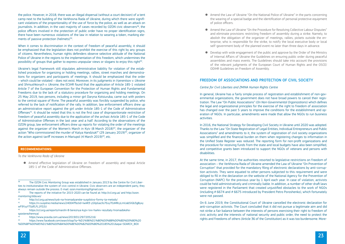the police. However, in 2018, there was an illegal dispersal (without a court decision) of a tent camp next to the building of the Verkhovna Rada of Ukraine, during which there were significant violations of the proportionality of the use of force by the police, as well as an attack on journalists. In addition, in the vast majority of cases recorded by OZON civic observers<sup>38</sup>, the police officers involved in the protection of public order have no proper identification signs, there have been numerous violations of the law in relation to wearing a token, marking elements of passive protection (helmets)<sup>39</sup>.

Ukraine's legal framework still stipulates administrative liability for violation of the established procedure for organizing or holding meetings, rallies, street marches and demonstrations for organizers and participants of meetings. It should be emphasized that the order – which could be violated – does not exist. Moreover, in its judgments in *Vyerentsov v. Ukraine* and *Shmushkovych v. Ukraine*, the ECtHR found that the application of Article 185-1 violated Article 7 of the European Convention for the Protection of Human Rights and Fundamental Freedoms due to the lack of a statutory procedure for organizing and holding meetings. On 25 May 2019, two persons, including a minor girl Daryna Kotsiuruba, came out with posters to the central square of Rivne. The peaceful assembly was forcibly suspended by police, who referred to the lack of notification of the rally. In addition, law enforcement officers drew up an administrative report against the girl under Article 185-1 of the Code of Administrative Offenses<sup>41</sup>. It should be noted that this is not the first case of disproportionate restriction of freedom of peaceful assembly due to the application of the archaic Article 185-1 of the Code of Administrative Offenses in the last year and a half. According to the observations of the OZON group, law enforcement officers drew up reports for violating the order of the meetings against the organizer of the Women's March in Kyiv  $(8 \text{ March } 2018)^{42}$ , the organizer of the action "Who commissioned the murder of Katya Handziuk?" (29 January 2019)<sup>43</sup>, organizer of the action against tariff increases in Mariupol (4 March 2019)<sup>44</sup>, etc.

When it comes to discrimination in the context of freedom of peaceful assembly, it should be emphasized that the legislation does not prohibit the exercise of this right by any groups of citizens. Nevertheless, human rights defenders observe selective attitude of the National Police of Ukraine in the regions to the implementation of this freedom, which undermines the possibility of groups that gather to express unpopular views or slogans to enjoy this right40.

40<http://ccl.org.ua/news/tysk-na-hromadyanske-suspilstvo-formy-ta-metody/><br>41 https://p/suspilpe.media/news/240042fbclid=lwAB3-vSXnGacXs7Exv7EcMBe

- 42 [https://ccl.org.ua/reports/marshi-8-bereznya-kyjiv-lviv-harkiv-rezultaty-hromadskoho](https://ccl.org.ua/reports/marshi-8-bereznya-kyjiv-lviv-harkiv-rezultaty-hromadskoho-sposterezhennya/)[sposterezhennya/](https://ccl.org.ua/reports/marshi-8-bereznya-kyjiv-lviv-harkiv-rezultaty-hromadskoho-sposterezhennya/)
- 43<https://www.pravda.com.ua/news/2019/01/29/7205216/><br>44 https://www.facebook.com/soarch/ton/2008/01060606010

● Develop with wide engagement of the public and approve by the Order of the Ministry of Internal Affairs of Ukraine the Guidelines on ensuring public order during peaceful assemblies and mass events. The Guidelines should take into account the provisions of the relevant judgments of the European Court of Human Rights and the OSCE/

# **Recommendations:**

*To the Verkhovna Rada of Ukraine*

● Amend effective legislation of Ukraine on freedom of assembly and repeal Article 185-1 of the Code of Administrative Offenses.

<sup>41</sup> [https://rv.suspilne.media/news/24004?fbclid=IwAR3-ySXpGacXs7Exy7EsMRcyLmIJab5IGb3g8yxy](https://rv.suspilne.media/news/24004?fbclid=IwAR3-ySXpGacXs7Exy7EsMRcyLmIJab5IGb3g8yxywF9YyyYTGdfLFL1FD2U) [wF9YyyYTGdfLFL1FD2U](https://rv.suspilne.media/news/24004?fbclid=IwAR3-ySXpGacXs7Exy7EsMRcyLmIJab5IGb3g8yxywF9YyyYTGdfLFL1FD2U)

<sup>44</sup> [https://www.facebook.com/search/top/?q=%D1%96%D1%80%D0%B8%D0%BD%D0%B0%20](https://www.facebook.com/search/top/?q=%D1%96%D1%80%D0%B8%D0%BD%D0%B0 %D0%BF%D0%B5%D1%80%D0%BA%D0%BE%D0%B2%D0%B0 185 1&epa=SEARCH_BOX) [%D0%BF%D0%B5%D1%80%D0%BA%D0%BE%D0%B2%D0%B0%20185%201&epa=SEARCH\\_BOX](https://www.facebook.com/search/top/?q=%D1%96%D1%80%D0%B8%D0%BD%D0%B0 %D0%BF%D0%B5%D1%80%D0%BA%D0%BE%D0%B2%D0%B0 185 1&epa=SEARCH_BOX) 

● Amend the Law of Ukraine "On the National Police of Ukraine" in the parts concerning the wearing of a special badge and the identification of personal protective equipment

● Amend the Law of Ukraine "On the Procedure for Resolving Collective Labour Disputes" and eliminate provisions restricting freedom of assembly during a strike. Namely, to abolish the obligation of the organizer of meetings, rallies, pickets outside the enterprise, who is responsible for the strike, to notify the local executive body or local self-government body of the planned event no later than three days in advance.

- of police officers.
- 
- ODIHR Guidelines on Freedom of Assembly.

# FREEDOM OF ASSOCIATIONS AND PROTECTION OF CIVIL SOCIETY

# *Centre for Civil Liberties and ZMINA Human Rights Centre*

In general, Ukraine has a fairly simple process of registration and establishment of non-governmental organizations, the government does not have broad powers to cancel their registration. The Law "On Public Associations" (*On Non-Governmental Organizations*) which defines the legal and organizational principles for the exercise of the right to freedom of association has changed over the past 5 years to improve the conditions for the establishment and operation of NGOs. In particular, amendments were made that allow the NGOs to run business activities.

In 2016, the National Strategy for Developing Civil Society in Ukraine until 2020 was adopted. Thanks to the Law "On State Registration of Legal Entities, Individual Entrepreneurs and Public Associations" and amendments to it, the system of registration of civil society organizations was simplified and the financial burden on them when registering changes to information in the Unified State Register was reduced. The reporting form for non-profit organizations and the procedure for receiving funds from the state and local budgets have also been simplified, and competitive grants been introduced to support the NGOs of veterans and persons with disabilities.

At the same time, in 2017, the authorities resorted to legislative restrictions on freedom of association – the Verkhovna Rada of Ukraine amended the Law of Ukraine "On Prevention of Corruption" that provided for the mandatory filing of electronic declarations by anti-corruption activists. They were equated to other persons subjected to this requirement and were obliged to fill in the declaration on the website of the National Agency for the Prevention of Corruption (NAPC) for the previous year by 1 April each year. In case of violation, activists could be held administratively and criminally liable. In addition, a number of other draft laws were registered in the Parliament that created unjustified obstacles to the work of NGOs (including # 6674 and # 6675 introduced by President Petro Poroshenko), which fortunately were not passed.

On 6 June 2019, the Constitutional Court of Ukraine cancelled the electronic declaration for anti-corruption activists. The Court concluded that it did not pursue a legitimate aim and did not strike a fair balance between the interests of persons exercising their right to freedom of civic activity and the interests of national security and public order, the need to protect the rights and freedoms of others (Article 36 of the Constitution) as it was too burdensome. More-

<sup>&</sup>lt;sup>38</sup> The OZON Civic Monitoring Group was established in January 2013 by the Centre for Civil Liberties to institutionalize the system of civic control in Ukraine. Civic observers are an independent party, they always remain outside the process. E-mail: [ozon.monitoring@gmail.com](mailto:ozon.monitoring@gmail.com) 

<sup>&</sup>lt;sup>39</sup> The reports of the initiative for 2015-2020 can be found at:<http://ccl.org.ua/>and [http://ozon.](http://ozon.monitoring.tilda.ws/) [monitoring.tilda.ws/](http://ozon.monitoring.tilda.ws/)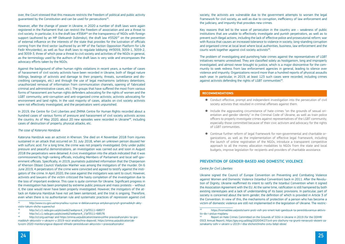over, the Court stressed that this measure restricts the freedom of political and public activity guaranteed by the Constitution and can be used for persecutions<sup>45</sup>.

However, after the change of power in Ukraine, in 2020 a number of draft laws were again registered in the Parliament that can restrict the freedom of association and are a threat to civil society. In particular, it is the draft law #356446 on the transparency of NGOs with foreign support (authored by an MP Oleksandr Dubinskyi), the draft law  $#3326^{47}$  on the prevention of external influence on the interests of the state that provides for the lustration of officials coming from the third sector (authored by an MP of the faction Opposition Platform for Life Fedir Khrystenko), as well as four draft laws to regulate lobbying: ##3059, 3059-1, 3059-2, and 3059-3, three of which pose a threat to civil society and activities of the NGOs in general, as the terminology used by the authors of the draft laws is very wide and encompasses the advocacy efforts taken by the NGOs.

Against the background of other human rights violations in recent years, a number of cases of harassment of civil society activists have been recorded in Ukraine, both of illegal nature (killings, beatings of activists and damage to their property, threats, surveillance and discrediting campaigns, etc.) and through the use of legal mechanisms (arbitrary detentions, unauthorized removal of information from communication channels, opening of fabricated criminal and administrative cases, etc.). The groups that have suffered the most from various forms of harassment are human rights defenders advocating for the rights of women and the LGBT community; anti-corruption and anti-organized crime activists; activists advocating for environment and land rights. In the vast majority of cases, attacks on civil society activists were not effectively investigated, and the perpetrators went unpunished.

In 2019, the Centre for Civil Liberties and ZMINA Centre for Human Rights recorded about a hundred cases of various forms of pressure and harassment of civil society activists across the country. As of May 2020, about 20 new episodes were recorded in Ukraine<sup>48</sup>, including cases of destruction of property, physical attacks, etc.

Key reasons that led to the wave of persecution in the country are – weakness of public institutions that are unable to effectively investigate and punish perpetrators, as well as to prevent such illegal actions, including the lack of effective police and prosecutorial reform; war with Russia that causes an increased tolerance to violence in society; long-standing corruption and organized crime at local level where local authorities, business, law enforcement and the courts work together against civil society activists<sup>49</sup>.

# *The case of Kateryna Handziuk*

The problem of investigating and punishing hate crimes against the representatives of LGBT initiatives remains unresolved. They are classified solely as hooliganism, long and improperly investigated, and almost never brought to justice, which is a major disincentive for the community to seek redress from law enforcement agencies in general, leading to silence over violence and impunity. Organizations record more than a hundred reports of physical assaults each year. In particular, in 2019, at least 123 such cases were recorded, including crimes against activists defending the rights of LGBT communities<sup>50</sup>.

Kateryna Handziuk was an activist in Kherson. She died on 4 November 2018 from injuries sustained in an attack that occurred on 31 July 2018, when an unknown person doused her with sulfuric acid. For a long time, the crime was not properly investigated. Only under public pressure and peaceful demonstrations, an investigation was carried out and soon in August 2018 the perpetrators were detained. A civic investigation into the attack indicated that it was commissioned by high-ranking officials, including Members of Parliament and local self-government officials. Specifically, in 2019, journalists published information that the Chairperson of Kherson Oblast Council Vladyslav Manher was among the instigators of the murder. On 6 June 2019, 4 perpetrators of the crime were convicted and agreed to testify against the instigators of the crime. In April 2020, the case against the instigators was sent to court. However, activists and lawyers of the victim criticized the hasty completion of the investigation due to the loss of important evidence. This case is quite common for Ukraine. Significant progress in the investigation has been prompted by extreme public pressure and mass protests – without it, the case would never have been properly investigated. However, the instigators of the attack on Kateryna Handziuk have not yet been sentenced, and the trial is ongoing. Therefore, even when there is no authoritarian rule and systematic practices of repression against civil

society, the activists are vulnerable due to the government attempts to worsen the legal framework for civil society, as well as due to corruption, inefficiency of law enforcement and the judiciary, and impunity that provokes new crimes.

# **Recommendations:**

● Conduct effective, prompt and independent investigation into the persecution of civil

- society activists that resulted in criminal offenses against them.
- of LGBT communities.
- 

● Include the aggravating circumstance of hate crimes "on the grounds of sexual orientation and gender identity" in the Criminal Code of Ukraine, as well as train police officers to properly investigate crimes against representatives of the LGBT community, especially those committed because of their civic activism and advocacy for the rights

● Continue further reform of legal framework for non-governmental and charitable organizations, as well as the implementation of effective legal framework, including the launch of online registration of the NGOs, introduce a transparent competitive approach to all the money allocation modalities to NGOs from the state and local budgets, improve legislation for recipients and providers of charitable assistance.

# PREVENTION OF GENDER-BASED AND DOMESTIC VIOLENCE

# *Centre for Civil Liberties*

Ukraine signed the Council of Europe Convention on Preventing and Combating Violence against Women and Domestic Violence (Istanbul Convention) back in 2011. After the Revolution of Dignity, Ukraine reaffirmed its intent to ratify the Istanbul Convention when it signed the Association Agreement with the EU. At the same time, ratification is still hampered by both existing stereotypes and a lack of understanding of its basic provisions. In particular, part of society is concerned about the term *gender*, the definition of which is provided in Article 3 of the Convention. In view of this, the mechanisms of protection of a person who has become a victim of domestic violence are still not implemented in the legislation of Ukraine. The restric-

49 [https://hromadske.ua/posts/sami-proti-vsih-pro-smert-kati-gandzyuk-ta-peresliduvannya-aktivis](https://hromadske.ua/posts/sami-proti-vsih-pro-smert-kati-gandzyuk-ta-peresliduvannya-aktivistiv-do-i-pislya-majdanu)-

<sup>50</sup> Report on Hate Crimes Committed on the Grounds of SOGI in Ukraine in 2019 (for the ODIHR/ OSCE Annual Report), https://gay.org.ua/blog/2020/04/27/zvit-pro-zlochyny-na-grunti-nenavysti-skoieni-za-

<sup>45</sup> [http://www.ccu.gov.ua/novyna/ksu-vyznav-e-deklaruvannya-antykorupciynyh-gromadskyh-akty](http://www.ccu.gov.ua/novyna/ksu-vyznav-e-deklaruvannya-antykorupciynyh-gromadskyh-aktyvistiv-takym-shcho-superechyt)[vistiv-takym-shcho-superechyt](http://www.ccu.gov.ua/novyna/ksu-vyznav-e-deklaruvannya-antykorupciynyh-gromadskyh-aktyvistiv-takym-shcho-superechyt)

<sup>46</sup> http://w1.c1.rada.gov.ua/pls/zweb2/webproc4\_1?pf3511=68977<br>47 http://w1.c1.rada.gov.ua/pls/zweb2/webproc4\_12pf3511=68576

<sup>47</sup> http://w1.c1.rada.gov.ua/pls/zweb2/webproc4\_1?pf3511=68576<br>48 http://ccl.org.ua/map/.and.https://zmina.ua/publication/stapowsbl

<sup>48</sup><http://ccl.org.ua/map/> and [https://zmina.ua/publication/stanovyshhe-pravozahysnykiv-ta-gro](https://zmina.ua/publication/stanovyshhe-pravozahysnykiv-ta-gromadskyh-aktyvistiv-v-ukrayini-u-2019-roczi-analitychna-dopovid/)[madskyh-aktyvistiv-v-ukrayini-u-2019-roczi-analitychna-dopovid/,](https://zmina.ua/publication/stanovyshhe-pravozahysnykiv-ta-gromadskyh-aktyvistiv-v-ukrayini-u-2019-roczi-analitychna-dopovid/) [https://zmina.ua/publication/ak](https://zmina.ua/publication/aktyvizm-2020-monitoryngova-dopovid-shhodo-peresliduvan-aktyvistiv-i-pravozahysnykiv/)[tyvizm-2020-monitoryngova-dopovid-shhodo-peresliduvan-aktyvistiv-i-pravozahysnykiv/](https://zmina.ua/publication/aktyvizm-2020-monitoryngova-dopovid-shhodo-peresliduvan-aktyvistiv-i-pravozahysnykiv/) 

[tiv-do-i-pislya-majdanu](https://hromadske.ua/posts/sami-proti-vsih-pro-smert-kati-gandzyuk-ta-peresliduvannya-aktivistiv-do-i-pislya-majdanu)

oznakamy-sohi-v-ukraini-u-2019-r-dlia-shchorichnoho-zvitu-bdipl-obsie/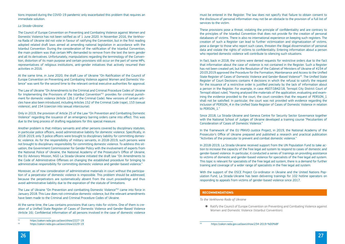tions imposed during the COVID-19 pandemic only exacerbated this problem that requires an immediate solution.

### *La Strada-Ukraine*

The Council of Europe Convention on Preventing and Combating Violence against Women and Domestic Violence has not been ratified as of 1 June 2020. In November 2016, the Verkhovna Rada of Ukraine did not vote in favour of ratifying the Convention, but in the first reading adopted related draft laws aimed at amending national legislation in accordance with the Istanbul Convention. During the consideration of the ratification of the Istanbul Convention, the main problem was that certain MPs demanded to remove from the text the term *gender* and all its derivatives. Unfortunately, manipulations regarding the terminology of the Convention, distortion of its main purpose and certain provisions still occur on the part of some MPs, representatives of religious institutions, anti-gender initiatives that actively resumed their activities in 2016.

At the same time, in June 2020, the draft Law of Ukraine "On Ratification of the Council of Europe Convention on Preventing and Combating Violence against Women and Domestic Violence" was sent for the second time to the relevant central executive authorities for approval.

The Law of Ukraine "On Amendments to the Criminal and Criminal Procedure Codes of Ukraine for Implementing the Provisions of the Istanbul Convention<sup>"51</sup> provides for criminal punishment for domestic violence (Article 126.1 of the Criminal Code). New versions of certain articles have also been introduced, including Articles 152 of the Criminal Code (rape), 153 (sexual violence), and 154 (coercion into sexual intercourse).

Only in 2019, the provision of Article 25 of the Law "On Prevention and Combatting Domestic Violence" regarding the issuance of an emergency barring orders came into effect. This was due to the long process of drafting regulations for this special measure.

In fact, back in 2018, the victims were denied requests for restrictive orders due to the fact that information about the case of violence is not contained in the Register. Such a Register has not been created yet, but the Resolution of the Cabinet of Ministers of Ukraine of #234 of 20.03.2019 approved the Procedure for the Formation, Maintenance and Access to the Unified State Register of Cases of Domestic Violence and Gender-Based Violence<sup>53</sup>. The Unified State Register of Court Decisions contains 4 decisions in which the refusal to satisfy the request for the issuance of a restrictive order is justified precisely by the lack of information about a person in the Register. For example, in case #607/1842/18, Ternopil City District Court of Ternopil oblast ruled, "Having analysed the materials of the application, evaluating and examining the evidence provided to the court, the court considers that the request of PERSON\_1 shall not be satisfied. In particular, the court was not provided with evidence regarding the inclusion of PERSON 4 in the Unified State Register of Cases of Domestic Violence in relation to PERSON 1."

Another problem is that military servants and other persons covered by disciplinary statutes, in particular police officers, avoid administrative liability for domestic violence. Specifically, in 2018-2019, only 3 police officers were brought to disciplinary liability for committing domestic violence. As for the responsibility of military servants, in 2018-2019, such persons were not brought to disciplinary responsibility for committing domestic violence. To address this situation, the Government Commissioner for Gender Policy with the involvement of experts from the National Police of Ukraine, the National Academy of the Prosecutor's Office of Ukraine, the EU Advisory Mission, NGO La Strada-Ukraine initiated the draft law "On Amendments to the Code of Administrative Offenses on changing the established procedure for bringing to administrative responsibility for committing domestic violence and gender-based violence."

Moreover, as of now consideration of administrative materials in court without the participation of a perpetrator of domestic violence is impossible. This problem should be addressed, because the perpetrators are systematically absent from the court proceedings and thus avoid administrative liability due to the expiration of the statute of limitations.

The Law of Ukraine "On Prevention and combatting Domestic Violence"52 came into force in January 2018. This Law does not criminalize domestic violence, but the relevant amendments have been made to the Criminal and Criminal Procedure Codes of Ukraine.

At the same time, the Law contains provisions that carry risks for victims. One of them is creation of a Unified State Register of Cases of Domestic Violence and Gender-Based Violence (Article 16). Confidential information of all persons involved in the case of domestic violence must be entered in the Register. The law does not specify that failure to obtain consent to the disclosure of personal information may not be an obstacle to the provision of a full list of services to the victim.

These provisions pose a threat, violating the principle of confidentiality and are contrary to the principles of the Istanbul Convention that does not provide for the creation of personal databases of victims. There is also no international experience on keeping such registers. The creation of such a Register can lead to further victimization and stigmatization of victims, pose a danger to those who report such cases, threaten the illegal dissemination of personal data and violate the rights of victims to confidentiality. Entering information about a person who reported domestic violence will contribute to silencing such situations.

Since 2018, La Strada-Ukraine and Geneva Centre for Security Sector Governance together with the National School of Judges of Ukraine developed a training course "Peculiarities of Consideration of Cases of Domestic Violence."

In the framework of the EU PRAVO-Justice Project, in 2019, the National Academy of the Prosecutor's Office of Ukraine prepared and published a research and practical publication "Activities of the prosecutor to prevent and combat domestic violence."

In 2018-2019, La Strada-Ukraine received support from the UN Population Fund to take action to increase the capacity of the free legal aid system to respond to cases of domestic and gender-based violence. In particular, it conducted a series of trainings on providing assistance to victims of domestic and gender-based violence for specialists of the free legal aid system. This topic is relevant for specialists of the free legal aid system, there is a demand for further training and coverage of a wider range of specialists in the free legal aid system.

With the support of the OSCE Project Co-ordinator in Ukraine and the United Nations Population Fund, La Strada-Ukraine has been delivering trainings for 102 hotline operators on responding to appeals from victims of gender-based violence since 2017.

# **Recommendations:**

*To the Verkhovna Rada of Ukraine*

Women and Domestic Violence (Istanbul Convention).

● Ratify the Council of Europe Convention on Preventing and Combating Violence against

 $51$  https://zakon.rada.gov.ua/laws/show/2227-19<br> $52$  https://zakon.rada.gov.ua/laws/show/2220-19

<sup>52</sup> https://zakon.rada.gov.ua/laws/show/2229-19

<sup>53</sup> https://zakon.rada.gov.ua/laws/show/234-2019-%D0%BF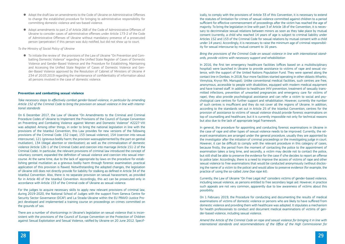- Adopt the draft law on amendments to the Code of Ukraine on Administrative Offenses to change the established procedure for bringing to administrative responsibility for committing domestic violence and sex-based violence.
- Adopt amendments to part 2 of Article 268 of the Code of Administrative Offenses of Ukraine to consider cases of administrative offenses under Article 173-2 of the Code of Administrative Offenses of Ukraine without mandatory presence of a prosecuted person (perpetrator) if this person was duly notified, but did not show up to court.

*To the Ministry of Social Policy of Ukraine*

● To initiate the review of the provisions of the Law of Ukraine "On Prevention and Combatting Domestic Violence" regarding the Unified State Register of Cases of Domestic Violence and Gender-Based Violence and the Procedure for Establishing, Maintaining and Accessing the Unified State Register of Cases of Domestic Violence and Gender-Based Violence approved by the Resolution of Cabinet of Ministers of Ukraine # 234 of 20.03.2019 regarding the maintenance of confidentiality of information about all persons involved in the case of domestic violence.

# **Prevention and combatting sexual violence**

*Take necessary steps to effectively combat gender-based violence, in particular by amending Article 152 of the Criminal Code to bring the provision on sexual violence in line with international standards*

On 6 December 2017, the Law of Ukraine "On Amendments to the Criminal and Criminal Procedure Codes of Ukraine to Implement the Provisions of the Council of Europe Convention on Preventing and Combating Violence against Women and Domestic Violence" #2227-VIII was adopted. Among other things, in order to bring the national legislation in line with the provisions of the Istanbul Convention, this Law provides for new versions of the following provisions of the Criminal Code: 152 (rape), 153 (sexual violence), 154 (coercion into sexual intercourse), 121 (grievous bodily harm; the provision wassupplemented by the part on genital mutilation), 134 (illegal abortion or sterilization); as well as the criminalization of domestic violence (Article 126-1 of the Criminal Code) and coercion into marriage (Article 151-2 of the Criminal Code). In particular, the relevant provisions of criminal law introduced the concept of voluntary consent, expanded the definition of sexual violence and coercion into sexual intercourse. At the same time, due to the lack of appropriate by-laws on the procedure for establishing genital mutilation as a grievous bodily harm through forensic examination, practical application of this provision is flawed. Notwithstanding the adopted changes, the legislation of Ukraine still does not directly provide for liability for stalking as defined in Article 34 of the Istanbul Convention. Also, there is no separate provision on sexual harassment, as provided for in Article 40 of the Istanbul Convention. Accordingly, this act can be prosecuted only in accordance with Article 153 of the Criminal code of Ukraine as sexual violence.

For the judges to acquire necessary skills to apply new relevant provisions of criminal law, during 2019-2020, the National School of Judges with the support from Geneva Centre for Security Sector Governance (DCAF) and La Strada-Ukraine within the EU PRAVO-Justice Project developed and implemented a training course on proceedings on crimes committed on the grounds of sex.

There are a number of shortcomings in Ukraine's legislation on sexual violence that is inconsistent with the provisions of the Council of Europe Convention on the Protection of Children against Sexual Exploitation and Sexual Violence, ratified by Ukraine on 20 June 2012. Specif-

ically, to comply with the provisions of Article 33 of this Convention, it is necessary to extend the statutes of limitation for crimes of sexual violence committed against children to a period sufficient for effective commencement of proceedings after the victim has reached the age of majority. To bring the legislation in line with part 3 of Article 18 of the Convention, it is necessary to decriminalize sexual relations between minors as soon as they take place by mutual consent (currently, a child who reached 14 years of age is subject to criminal liability under Articles 152 and 153 of the Criminal Code for sexual relations by mutual consent with a child under 14 years). Accordingly, it is necessary to raise the minimum age of criminal responsibility for sexual intercourse by mutual consent to 16 years.

# *Bring the provisions of the Criminal Code on sexual violence in line with international stand-*

*ards, provide victims with necessary support and rehabilitation*

In 2016, the first ten emergency healthcare facilities (offices based on a multidisciplinary hospital) were launched in Ukraine to provide assistance to victims of rape and sexual violence, with the support of the United Nations Population Fund. They were opened along the contact line in Donbas. In 2018, four more facilities started operating in other oblasts (Kharkiv, Vinnytsia, Kryvyi Rih, Mariupol). Unlike conventional medical facilities, such centres are free, anonymous, accessible to people with disabilities, equipped with modern medical equipment and have trained staff. In addition to healthcare (HIV prevention, treatment of sexually transmitted infections, prevention of unwanted pregnancies and emergency care for victims of rape), they also provide psychological assistance and can refer a victim to social and psychological care centres for further support and rehabilitation. However, currently the number of such centres is insufficient and they do not cover all the regions of Ukraine. In addition, according to the standards set out in Article 25 of the Istanbul Convention, centres for the provision of assistance to victims of sexual violence should provide forensic examinations on top of counselling and healthcare, but it is currently impossible not only for technical reasons but also due to the lack of appropriate legal framework.

In general, the procedure for appointing and conducting forensic examinations in Ukraine in the case of rape and other types of sexual violence needs to be improved. Currently, the relevant examinations are arranged under the general procedure, usually they are appointed by the investigator after the initiation of criminal proceedings or the investigating judge in court. However, it can be difficult to comply with the relevant procedure in this category of cases, because firstly, the period from the moment of contacting the police to the appointment of examination takes a long time, and secondly, a victim may decide not to contact the police, but still shall be able to preserve the evidence for the case if s/he decides to report an offense to police later. Accordingly, there is a need to improve the access of victims of rape and other sexual violence to free examinations that would be conducted anonymously (without disclosing the name of a victim to the police) and would allow to preserve evidence (for example, the practice of using the so-called *Jane Doe rape kit*).

Currently, the Law of Ukraine "On Free Legal Aid" considers victims of gender-based violence, including sexual violence, as persons entitled to free secondary legal aid. However, in practice such appeals are not very common, apparently due to low awareness of victims about this possibility.

On 1 February 2019, the Procedure for conducting and documenting the results of medical examinations of victims of domestic violence or persons who are likely to have suffered from domestic violence and providing them with healthcare was adopted. It stipulates a mechanism for health professionals to conduct and document medical examinations of victims of gender-based violence, including sexual violence.

*Amend the Article of the Criminal Code on rape and sexual violence for bringing it in line with international standards and recommendations of the Office of the High Commissioner for*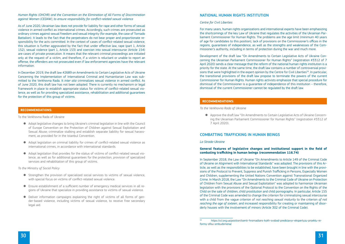# *Human Rights (OHCHR) and the Convention on the Elimination of All Forms of Discrimination against Women (CEDAW), to ensure responsibility for conflict-related sexual violence*

As of June 2020, Ukrainian law does not provide for liability for rape and other forms of sexual violence in armed conflict as international crimes. Accordingly, such crimes are prosecuted as ordinary crimes against sexual freedom and sexual integrity (for example, the case of Tornado Battalion). It leads to the fact that the perpetrators do not bear proper and proportionate responsibility for the acts committed. In the context of cases of conflict-related sexual violence, this situation is further aggravated by the fact that under effective law, rape (part 1, Article 152), sexual violence (part 1, Article 153) and coercion into sexual intercourse (Article 154) are cases of private prosecution. It means that the relevant criminal proceedings are initiated only at the request of a victim, and therefore, if a victim is reluctant or unable to report an offense, the offenders are not prosecuted even if law enforcement agencies have the relevant information.

In December 2019, the draft law #2689 on Amendments to Certain Legislative Acts of Ukraine Concerning the Implementation of International Criminal and Humanitarian Law was submitted to the Verkhovna Rada. It *inter alia* criminalizes sexual violence in armed conflict. As of June 2020, this draft law has not been adopted. There is currently no mechanism or legal framework in place to establish appropriate status for victims of conflict-related sexual violence, as well as for providing specialized assistance, rehabilitation and additional guarantees for the protection of this group of victims.

# **Recommendations:**

To the Verkhovna Rada of Ukraine

- Adopt legislative changes to bring Ukraine's criminal legislation in line with the Council of Europe Convention on the Protection of Children against Sexual Exploitation and Sexual Abuse; criminalize stalking and establish separate liability for sexual harassment, as provided for in the Istanbul Convention.
- Adopt legislation on criminal liability for crimes of conflict-related sexual violence as international crimes, in accordance with international standards.
- Adopt legislation that provides for the status of victims of conflict-related sexual violence, as well as for additional guarantees for the protection, provision of specialized services and rehabilitation of this group of victims.

*To the Ministry of Social Policy*

- Strengthen the provision of specialized social services to victims of sexual violence, with special focus on victims of conflict-related sexual violence.
- Ensure establishment of a sufficient number of emergency medical services in all regions of Ukraine that specialize in providing assistance to victims of sexual violence.
- Deliver information campaigns explaining the right of victims of all forms of gender-based violence, including victims of sexual violence, to receive free secondary legal aid.

# National Human Rights Institution

# *Centre for Civil Liberties*

For many years, human rights organizations and international experts have been emphasizing the shortcomings of the key Law of Ukraine that regulates the activities of the Ukrainian Parliament Commissioner for Human Rights. The problems are the age limit (minimum 40 years of age for candidates to this position), lack of provisions on the Commissioner's offices in the regions, guarantees of independence, as well as the strengths and weaknesses of the Commissioner's authority, including in terms of protection during the war and much more.

Development of the draft law "On Amendments to Certain Legislative Acts of Ukraine Concerning the Ukrainian Parliament Commissioner for Human Rights" (registration #3312 of 7 April 2020) sends a clear message that the reform of the national human rights institution is a priority for the state. At the same time, the draft law contains a number of controversial provisions that were highlighted in the expert opinion by the Centre for Civil Liberties<sup>54</sup>. In particular, the transitional provisions of the draft law propose to terminate the powers of the current Commissioner for Human Rights. Human rights activists emphasize that special procedure for dismissal of the Commissioner is a guarantee of independence of this institution – therefore, dismissal of the current Commissioner cannot be regulated by the draft law.

# **Recommendations:**

*To the Verkhovna Rada of Ukraine*

● Approve the draft law "On Amendments to Certain Legislative Acts of Ukraine Concerning the Ukrainian Parliament Commissioner for Human Rights" (registration #3312 of

7 April 2020).

# Combatting trafficking in Human Beings

# *La Strada-Ukraine*

# **General features of legislative changes and institutional support in the field of combating trafficking in human beings (recommendation 116.74)**

In September 2018, the Law of Ukraine "On Amendments to Article 149 of the Criminal Code of Ukraine on Alignment with International Standards" was adopted. The provisions of this Article, as well as the responsibilities to be established, have been brought in line with the provisions of the Protocol to Prevent, Suppress and Punish Trafficking in Persons, Especially Women and Children, supplementing the United Nations Convention against Transnational Organized Crime. In March 2018, the Law "On Amendments to the Criminal Code of Ukraine on Protection of Children from Sexual Abuse and Sexual Exploitation" was adopted to harmonize Ukrainian legislation with the provisions of the Optional Protocol to the Convention on the Rights of the Child on the sale of children, child prostitution and child pornography. In particular, Article 155 of the Criminal Code was amended to change the criterion for criminalizing sexual intercourse with a child from the vague criterion of *not reaching sexual maturity* to the criterion *of not reaching the age of sixteen*, and increased responsibility for creating or maintaining of disorderly houses with the involvement of minors (Article 302 of the Criminal Code).

54 [https://ccl.org.ua/position/tsentr-hromadians-kykh-svobod-predstavyv-ekspertyzu-proektu-re](https://ccl.org.ua/position/tsentr-hromadians-kykh-svobod-predstavyv-ekspertyzu-proektu-reformy-ofisu-ombudsmena/)-

[formy-ofisu-ombudsmena/](https://ccl.org.ua/position/tsentr-hromadians-kykh-svobod-predstavyv-ekspertyzu-proektu-reformy-ofisu-ombudsmena/)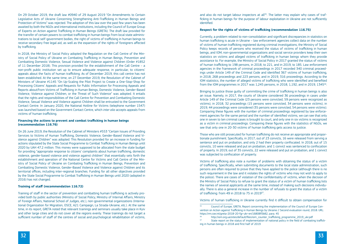On 29 October 2019, the draft law #0940 of 29 August 2019 "On Amendments to Certain Legislative Acts of Ukraine Concerning Strengthening Anti-Trafficking in Human Beings and Protection of Victims" was rejected. The adoption of this law over the past few years has been awaited by both the NGOs and international institutions, including the Council of Europe Group of Experts on Action against Trafficking in Human Beings (GRETA). The draft law provided for the transfer of certain powers to combat trafficking in human beings from local state administrations to local self-government bodies, the right of victims of trafficking in human beings to receive secondary free legal aid, as well as the expansion of the rights of foreigners affected by trafficking.

In 2018, the Ministry of Social Policy adopted the Regulation on the Call Centre of the Ministry of Social Policy of Ukraine on Combating Trafficking in Human Beings, Prevention and Combatting Domestic Violence, Sexual Violence and Violence against Children (Order #1852 of 11 December 2018). This provision provided for the establishment of the Call Centre – a non-profit public institution set up to ensure adequate response, in particular, to citizens' appeals about the facts of human trafficking. As of December 2019, this call centre has not been established. At the same time, on 27 December 2019, the Resolution of the Cabinet of Ministers of Ukraine #1145 "On Up-Scaling the Pilot Project to Create a One-Stop-Shop for Processing Citizens' Appeals and Requests for Public Information for Processing Appeals and Reports about/from Victims of Trafficking in Human Beings, Domestic Violence, Gender-Based Violence, Violence against Children, or the Threat of Such Violence" was adopted. It entails that the rights and responsibilities of the Call Centre for Prevention and Combatting Domestic Violence, Sexual Violence and Violence against Children shall be entrusted to the Government Contact Centre. In January 2020, the National Hotline for Victims (telephone number 1547) was launched based on the Government Contact Centre, which *inter alia* accepts appeals from victims of human trafficking.

and also do not target labour inspectors at all<sup>55</sup>. The latter may explain why cases of trafficking in human beings for the purpose of labour exploitation in Ukraine are not sufficiently identified.

# **Financing the actions to prevent and combat trafficking in human beings (recommendation 116.76)**

On 26 June 2019, the Resolution of the Cabinet of Ministers #553 "Certain Issues of Providing Services to Victims of Human Trafficking, Domestic Violence, Gender-Based Violence and Violence against Children" was adopted. This Resolution provided for an increase in funding for actions stipulated by the State Social Programme to Combat Trafficking in Human Beings until 2020 by UAH 47.2 million. This money were supposed to be allocated from the state budget for providing "appropriate response to citizens' complaints about human trafficking, domestic violence, gender-based violence and violence against children" that essentially sets forth the establishment and operation of the National Centre for Victims and Call Centre of the Ministry of Social Policy of Ukraine on Combating Trafficking in Human Beings, Prevention and Combatting Domestic Violence, Gender-Based Violence and Violence against Children and its territorial offices, including inter-regional branches. Funding for all other objectives provided by the State Social Programme to Combat Trafficking in Human Beings until 2020 (adopted in 2016) has not changed.

### **Training of staff (recommendation 116.72)**

Training of staff in the sector of prevention and combatting human trafficking is actively provided both by public authorities (Ministry of Social Policy, Ministry of Internal Affairs, Ministry of Foreign Affairs, National School of Judges, etc.), non-governmental organizations (International Organization for Migration, OSCE, A21 Campaign, La Strada-Ukraine, etc.). At the same time, in its report, GRETA noted that relevant trainings and seminars usually take place in Kyiv and other large cities and do not cover all the regions evenly. These trainings do not target a sufficient number of staff of the centres of social and psychological rehabilitation of victims,

- 55 Council of Europe, GRETA, Report concerning the implementation of the Council of Europe Convention on Action against Trafficking in Human Beings by Ukraine // Second evaluation round, 2018. URL:
	-
	- State report on the status of implementation of national policy in the field of combating traffick-

# **Respect for the rights of victims of trafficking (recommendation 116.75)**

Currently, a problem related to non-consolidation and significant discrepancies in statistics on human trafficking is acute in Ukraine – law enforcement agencies collect data on the number of victims of human trafficking registered during criminal investigations, the Ministry of Social Policy keeps records of persons who received the status of victims of trafficking in human beings, and IOM, non-governmental organizations and social service providers keep their own statistics on victims and alleged victims of trafficking in human beings whom they provide assistance to. For example, the Ministry of Social Policy in 2017 granted the status of victims of human trafficking to 198 persons, in 2018, to 221, and in 2019, to 185. Law enforcement agencies in the framework of criminal proceedings in 2017 recorded 340 criminal proceedings under Article 149 of the Criminal Code and identified 367 victims of human trafficking, in 2018, 268 proceedings and 223 persons, and in 2019, 316 proceedings. According to the IOM statistics, the number of alleged victims of trafficking who were identified and benefited from the IOM programmes in 2017 was 1,245 persons, in 2018, 1,192, and in 2019, 134556.

Bringing to justice those guilty of committing the crime of trafficking in human beings is also an issue. Namely, in 2017, the courts of Ukraine considered 36 proceedings in cases under Article 149 of the Criminal Code (23 persons were convicted, 59 persons were recognized as victims), in 2018, 32 proceedings (15 persons were convicted, 34 persons were victims), in 2019, 44 proceedings were considered (35 persons were convicted, 54 persons were victims). Comparing these figures with the number of criminal proceedings registered by law enforcement agencies for the same period and the number of identified victims, we can see that only one in seven to ten criminal cases is brought to court, and only one in six victims is recognized as a victim in criminal proceedings. Comparing these figures with the statistics of NGOs, we see that only one in 20-30 victims of human trafficking gets access to justice.

Those who are still prosecuted for human trafficking do not receive an appropriate and proportionate punishment. Specifically, in 2017, out of 23 convicts, 16 were released from serving a sentence and put on probation, and only 2 had their property confiscated. In 2018, out of 15 convicts, 10 were released and put on probation, and 1 convict was sentenced to confiscation of property. In 2019, out of 35 convicts, 22 were released and put on probation, and 1 convict was subjected to confiscation of property.

Victims of trafficking also note a number of problems with obtaining the status of a victim of trafficking. Specifically, when submitting documents to the local state administration, such persons are often required to prove that they have applied to the police (although there is no such requirement in the law and it violates the rights of victims who may not wish to apply to the police). There are cases of violation of the confidentiality of victims, when the decision of the Ministry of Social Policy to refuse to grant the status of a victim of human trafficking lists the names of several applicants at the same time, instead of making such decisions individually. There is also a general increase in the number of refusals to grant the status of a victim of trafficking: from 49 in 2018 to 75 in 2019<sup>57</sup>.

Victims of human trafficking in Ukraine currently find it difficult to obtain compensation for

https://rm.coe.int/greta-2018-20-fgr-ukr-en/16808f0b82, para. 45<br>bttp://iom.org.ua/citos/dofault/files/iom.counter.trafficking <sup>56</sup> http://iom.org.ua/sites/default/files/iom\_counter\_trafficking\_programme\_2019\_ukr.pdf<br><sup>57</sup> State report on the status of implementation of pational policy in the field of combating ing in human beings in 2018 and first half of 2019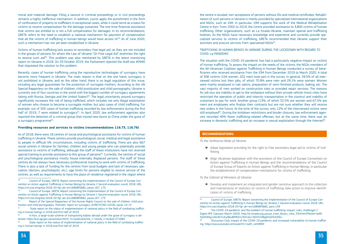moral and material damage. Filing a lawsuit in criminal proceedings or in civil proceedings remains a highly ineffective mechanism. In addition, courts apply the punishment in the form of confiscation of property to traffickers in exceptional cases, while it could serve as a basis for victims to receive compensation for the damage sustained. The one-time financial assistance that victims are entitled to is not a full compensation for damages. In its recommendations, GRETA refers to the need to establish a national mechanism for payment of compensation that all the victims of trafficking in human beings would have access to<sup>58</sup>. As of June 2020, such a mechanism has not yet been established in Ukraine.

Recently, cases of human trafficking using the reproductive technologies of surrogacy have become more frequent in Ukraine. The main reason is that on the one hand, surrogacy is not prohibited in Ukraine, and on the other hand, there is no legal regulation of this issue, including any legal guarantees for the protection of surrogate mothers. According to the UN Special Rapporteur on the sale of children, child prostitution and child pornography, Ukraine is currently one of four countries in the world with the biggest number of surrogacy agreements (along with Russia, Georgia and the United States)<sup>60</sup>. The legal uncertainty around surrogacy significantly increases the risk of being trafficked, which includes not only illegal exploitation of women who choose to become a surrogate mother, but also cases of child trafficking. For example, out of 505 cases of human trafficking recorded by law enforcement during the first half of 2019, 7 were related to surrogacy $61$ . In April 2020, law enforcement agencies also reported the detection of a criminal group that moved new-borns to China under the guise of a surrogacy programme<sup>62</sup>.

Victims of human trafficking lack access to secondary free legal aid, as they are not included in the groups of persons for whom the Law of Ukraine "On Free Legal Aid" enshrines the right to receive such aid<sup>59</sup>. This problem was also mentioned by GRETA in the latest monitoring report on Ukraine in 2018. On 29 October 2019, the Parliament rejected the draft law #0940 that stipulated the solution to this problem.

the centre is located, non-acceptance of persons without IDs and medical certificates. Rehabilitation of such persons in Ukraine is mainly provided by specialized international organizations and NGOs, such as IOM. In particular, IOM supports the work of the Medical Rehabilitation Centre in Kyiv. From 2002 to 2019, the Centre provided assistance to 3,800 victims of human trafficking. Other organizations, such as La Strada-Ukraine, maintain special anti-trafficking hotlines. As the NGOs have necessary knowledge and experience and currently provide specialized services to victims of trafficking, GRETA recommended that Ukraine support their activities and procure services from specialized NGOs<sup>64</sup>.

#### **Providing resources and services to victims (recommendations 116.73, 116.76)**

The situation with the COVID-19 pandemic has had a particularly negative impact on victims of human trafficking. To assess the impact on the needs of the victims, the NGOs members of the All-Ukrainian Coalition against Trafficking in Human Beings conducted a survey of beneficiaries who received assistance from the IOM from December 2019 to March 2020. A total of 306 victims (104 women, 202 men) took part in the survey. In general, 59.5% of all interviewed victims lost their jobs, of which 70.9% were men and 29.1% were women. Women were mainly employed in nail salons, preparation of semi-finished products, baking, etc. The vast majority of men worked on construction sites or provided repair services. The reasons for job loss are inability to get to the workplace without their private vehicle (most cities have restricted the operation of public and intercity transportation in the country) and inability of customers to pay for work. Another group (13%, of which 32.5% are women and 67.5% are men) are employees who finalize their contracts but are not sure whether they will receive new orders in the future. At the time of the survey, only 12% of the interviewed victims were still employed<sup>65</sup>. During the lockdown restrictions and border closures, law enforcement agencies recorded 40% fewer trafficking-related offenses, but at the same time, there was an increase in domestic trafficking and an increase in sexual exploitation through the Internet<sup>66</sup>.

As of 2018, there were 18 centres of social and psychological assistance for victims of human trafficking in Ukraine. These centres provide psychological, social, medical and legal assistance to people in difficult life circumstances, including victims of trafficking. There are also 667 social centres in Ukraine for families, children and young people who can potentially provide assistance to victims of trafficking, although the staff of these institutions have not received special training to provide assistance to this group of persons<sup>63</sup>. Currently, the centres of social and psychological assistance mostly house internally displaced persons. The staff of these centres do not always have necessary professional training to work with victims of trafficking. There is also a lack of funding for the centres from local budgets and lack of necessary specialists (doctors, psychologists, etc.), age limits for persons eligible to receive service of the centres, as well as requirements to have the place of residence registered in the region where

# TRAFFICKING IN HUMAN BEINGS IN UKRAINE DURING THE LOCKDOWN WITH REGARD TO COVID-19 PANDEMIC

# **Recommendations:**

*To the Verkhovna Rada of Ukraine*

● Adopt legislation providing for the right to free secondary legal aid to victims of traf-

● Align Ukrainian legislation with the provisions of the Council of Europe Convention on Action against Trafficking in Human Beings and the recommendations of the Council of Europe Group of Experts on Action against Trafficking in Human Beings, in particular

- ficking
- the establishment of compensation mechanisms for victims of trafficking.

*To the Cabinet of Ministers of Ukraine*

● Develop and implement an integrated and gender-sensitive approach to the collection and maintenance of statistics on victims of trafficking; take action to improve identifi-

cation of victims of trafficking.

64 Council of Europe, GRETA, Report concerning the implementation of the Council of Europe Convention on Action against Trafficking in Human Beings by Ukraine // Second evaluation round, 2018. URL:

<sup>66</sup> Discussion Club: Impact of the COVID-19 pandemic and increased vulnerability to human traffick-

State report on the status of implementation of national policy in the field of combating trafficking in human beings in 2018 and first half of 2019

In Kyiv, a large-scale scheme of transporting babies abroad under the quise of surrogacy is detected. https://kyiv.gp.gov.ua/ua/news.html?\_m=publications&\_c=view&\_t=rec&id=271685

State report on the status of implementation of national policy in the field of combating trafficking in human beings in 2018 and first half of 2019

<sup>58</sup> Council of Europe, GRETA, Report concerning the implementation of the Council of Europe Convention on Action against Trafficking in Human Beings by Ukraine // Second evaluation round, 2018. URL: https://rm.coe.int/greta-2018-20-fgr-ukr-en/16808f0b82, paras 167, 173

<sup>59</sup> Council of Europe, GRETA, Report concerning the implementation of the Council of Europe Convention on Action against Trafficking in Human Beings by Ukraine // Second evaluation round, 2018. URL: https://rm.coe.int/greta-2018-20-fgr-ukr-en/16808f0b82, paras.167, 173

<sup>60</sup> Report of the Special Rapporteur of the Human Rights Council on the sale of children, child prostitution and child pornography, Thematic report on surrogacy, A/HRC/37/60 (2018), paras 14-15

https://rm.coe.int/greta-2018-20-fgr-ukr-en/16808f0b82, para 139 The COVID-19 pandemic and the problem of human trafficking: impact, risks, challenges // Digest №3 (January-March 2020). http://la-strada.org.ua/ucp\_mod\_library\_view\_334.html?fbclid=IwAR-3jSXFA0g1xXtcW7rvEw9bu8PtR2mJ3VCskc1XDnFcfZ8gXhUbTk3r0Eic ing. https://www.youtube.com/watch?v=nuEh\_whORKM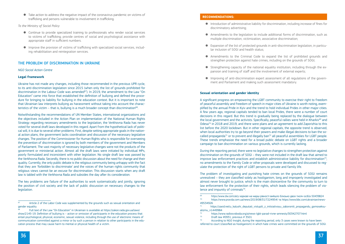● Take action to address the negative impact of the coronavirus pandemic on victims of trafficking and persons vulnerable to involvement in trafficking.

*To the Ministry of Social Policy*

Ukraine has not made any changes, including those recommended in the previous UPR cycle, to its anti-discrimination legislation since 2015 (when only the list of grounds prohibited for discrimination in the Labour Code was amended $67$ ). In 2019, the amendment to the Law "On Education" came into force that established the definition of bullying and defined the procedure for bringing to liability for bullying in the education context. But it is important to note that Ukrainian law interprets bullying as harassment without taking into account the characteristics of the victim – that is, bullying is a much broader concept than discrimination<sup>68</sup>.

- Continue to provide specialized training to professionals who render social services to victims of trafficking; provide centres of social and psychological assistance with appropriate staff in sufficient numbers.
- Improve the provision of victims of trafficking with specialized social services, including rehabilitation and reintegration services.

# The Problem of Discrimination in Ukraine

# *NGO Social Action Centre*

# **Legal framework**

Notwithstanding the recommendations of UN Member States, international organizations and the objectives included in the Action Plan on implementation of the National Human Rights Strategy regarding necessary amendments to the legislation, the Verkhovna Rada has never voted for several draft laws developed in this regard. Apart from the hypothetical lack of political will, it is due to several other problems. First, despite setting appropriate goals in the national action plans, the government lacks coordination and discussion of the necessary legislative changes. The position of the Commissioner for Human Rights who is responsible for overseeing the prevention of discrimination is ignored by both members of the government and Members of Parliament. The vast majority of necessary legislative changes were not the products of the government or ministerial action. Almost all the draft laws were initiated by individual MPs, poorly formulated and inconsistent with other legislation. No single draft law was passed by the Verkhovna Rada. Secondly, there is no public discussion about the need for change and their quality. Currently, the only public debate is the religious community being unhappy with the fact that they are 'forbidden to discriminate' and the voices of the human rights community that religious views cannot be an excuse for discrimination. This discussion starts when any draft law is tabled with the Verkhovna Rada and subsides the day after its consideration.

The key problems are failure of the authorities to work systematically and jointly, ignoring the position of civil society and the lack of public discussion on necessary changes to the legislation.

The problem of investigating and punishing hate crimes on the grounds of SOGI remains unresolved – they are classified solely as hooliganism, long and improperly investigated and almost never brought to justice, which is the main disincentive for the community to turn to law enforcement for the protection of their rights, which leads silencing the problem of violence and impunity of criminals $74$ .

According to NGO Insight, during the reporting period, only 3 cases were known to have been referred to court (classified as hooliganism) in which hate crimes were committed on the grounds of SOGI.

# **Recommendations:**

● Introduction of administrative liability for discrimination, including increase of fines for

● Amendments to the legislation to include additional forms of discrimination, such as

● Expansion of the list of protected grounds in anti-discrimination legislation, in particu-

- discriminatory advertising;
- multiple discrimination, victimization, associative discrimination;
- lar inclusion of SOGI and health status;
- 
- pansion and training of staff and the involvement of external experts;
- ment and Parliament and making such assessment mandatory.

● Amendments to the Criminal Code to expand the list of prohibited grounds and strengthen protection against hate crimes, including on the grounds of SOGI;

● Strengthening capacity of the national equality institution, including through the ex-

● Improving of anti-discrimination expert assessment of all regulations of the govern-

 $\frac{69}{20}$ https://www.dw.com/uk/y-харкові-на-марш-рівності-вийшло-близько-двох-тисяч-осіб/а-50439824<br>https://www.prayda.com.ua/news/2019/08/31/7224954/ та.https://www.bbc.com/ukrainian/news https://www.pravda.com.ua/news/2019/08/31/7224954/ Ta [https://www.bbc.com/ukrainian/news-](https://www.bbc.com/ukrainian/news-49534926)

 $71$  https://zaxid.net/u kalushi deputati vistupili z initsiativoyu zaboroniti propagandu gomoseksu-

# **Sexual orientation and gender identity**

A significant progress on empowering the LGBT community to exercise their right to freedom of peaceful assembly and freedom of speech in major cities of Ukraine is worth noting, exemplified by the annual Pride in Kyiv and the trend to hold individual Prides in other major cities. A few years ago, regional capitals tended to ban local Prides, there were a number of court decisions in this regard. But this trend is gradually being replaced by the dialogue between the local government and the activists. Specifically, peaceful rallies were held in Kharkiv<sup>69</sup> and Odesa<sup>70</sup> in 2018 and 2019, and there were plans and an agreement to add Zaporizhia to this list before the 2020 lockdown. But in other regional capitals, the opposite trend is observed, when local authorities try to go beyond their powers and make illegal decisions to ban the socalled propaganda<sup>71</sup> or to prevent and illegally ban<sup>72</sup> all peaceful assemblies for LGBT people. These trends emphasize the need for a broad public debate on LGBT rights and a broader campaign to ban discrimination on various grounds, which is currently lacking.

During the reporting period, there were no legislative changes to strengthen protection against discrimination on the grounds of SOGI – they were not included in the draft law that aimed to improve law enforcement practices and establish administrative liability for discrimination<sup>73</sup>. no amendments to the Family Code or other proposals were developed and discussed to regulate the protection of the right of LGBT persons to private and family life.

 $67$  Article 2 of the Labor Code was supplemented by the grounds such as sexual orientation and gender equality.

<sup>68</sup> Full text of the Law "On Education" in Ukrainian is available at [https://zakon.rada.gov.ua/laws/](https://zakon.rada.gov.ua/laws/show/2145-19) [show/2145-19](https://zakon.rada.gov.ua/laws/show/2145-19). Definition of bullying is – action or omission of participants in the education process that entail psychological, physical, economic, sexual violence, including through the use of electronic means of communication committed against a minor or by such a person in relation to other participants in the education process that may cause harm to mental or physical health of a victim.

[<sup>49534926</sup>](https://www.bbc.com/ukrainian/news-49534926) 

alizmu\_n $1449984$ 

<sup>72</sup> https://www.radiosvoboda.org/a/news-lgbt-parad-rivne-amnesty/30342707.html<br> $73$  Draft law #0931, previous # 3501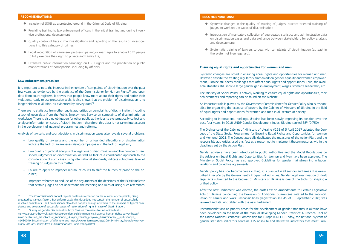# **recommendations:**

- Inclusion of SOGI as a protected ground in the Criminal Code of Ukraine;
- Providing training to law enforcement officers in the initial training and during in-service professional development
- Quality control of hate crime investigations and reporting on the results of investigations into this category of crimes;
- Legal recognition of same-sex partnerships and/or marriages to enable LGBT people to fully exercise their right to private and family life;
- Extensive public information campaign on LGBT rights and the prohibition of public manifestations of homophobia, including by officials.

It is important to note the increase in the number of complaints of discrimination over the past few years, as evidenced by the statistics of the Commissioner for Human Rights<sup>75</sup> and open data from court registers. It proves that people know more about their rights and notice their violations, ready to use protection tools. It also shows that the problem of discrimination is no longer hidden in Ukraine, as evidenced by survey data $76$ .

# **Law enforcement practices**

- Low quality of lawsuits and the number of unfounded allegations of discrimination indicate the lack of awareness-raising campaigns and the lack of legal aid;
- $-$  Low quality of judicial analysis of allegations of discrimination and low number of reasoned judgments on discrimination, as well as lack of a coordinated approach to the consideration of such cases using international standards, indicate suboptimal level of training of judges on this matter;
- $-$  Failure to apply or improper refusal of courts to shift the burden of proof on the accused;
- Improper reference to and use of the arguments of the decisions of the ECtHR indicate that certain judges do not understand the meaning and rules of using such references.

There are no statistics from other public authorities on complaints of discrimination, including a lack of open data from the Public Employment Service on complaints of discrimination at workplace. There is also no obligation for other public authorities to systematically collect and analyse information on cases of discrimination – therefore, this data is not taken into account in the development of national programmes and reforms.

Analysis of lawsuits and court decisions in discrimination cases also reveals several problems:

# **Recommendations:**

● Systemic changes in the quality of training of judges, practice-oriented training of

● Introduction of mandatory collection of segregated statistics and administrative data on discrimination cases and data exchange between stakeholders for policy analysis

- judges to work on the cases of discrimination;
- and development;
- the system of free legal aid).

● Systematic training of lawyers to deal with complaints of discrimination (at least in

# **Ensuring equal rights and opportunities for women and men**

Systemic changes are noted in ensuring equal rights and opportunities for women and men. However, despite the existing regulatory framework on gender equality and women empowerment, Ukraine still faces challenges that affect equal rights and opportunities. Thus, the available statistics still show a large gender gap in employment, wages, women's leadership, etc.

The Ministry of Social Policy is actively working to ensure equal rights and opportunities, their achievements and reporting can be found on the website.

An important role is played by the Government Commissioner for Gender Policy who is responsible for organizing the exercise of powers by the Cabinet of Ministers of Ukraine in the field of equal rights and opportunities for women and men in all sectors of society.

According to international rankings, Ukraine has been slowly improving its position over the past four years. In 2018 UNDP Gender Development Index, Ukraine ranked 88th (0.750).

The Ordinance of the Cabinet of Ministers of Ukraine #229 of 5 April 2017 adopted the Concept of the State Social Programme for Ensuring Equal Rights and Opportunities for Women and Men until 2021. The Concept partially duplicates the measures of the Action Plan, and the responsible authorities used this fact as a reason not to implement these measures within the deadlines set by the Action Plan.

Gender advisers have been introduced in public authorities and the Model Regulations on the Adviser on Equal Rights and Opportunities for Women and Men have been approved. The Ministry of Social Policy has also approved Guidelines for gender mainstreaming in labour relations and collective agreements.

Gender policy has now become cross-cutting, it is pursued in all sectors and areas. It is exemplified *inter alia* by the Government's Program of Activities. Gender legal examination of draft legal acts submitted to the Cabinet of Ministers of Ukraine is one of the tools for shaping a unified policy.

After the new Parliament was elected, the draft Law on Amendments to Certain Legislative Acts of Ukraine Concerning the Provision of Additional Guarantees Related to the Reconciliation of Family and Work Responsibilities (registration #9045 of 5 September 2018) was revoked and still not tabled with the new Parliament.

Recommendations on priority areas for the development of gender statistics in Ukraine have been developed on the basis of the manual Developing Gender Statistics: A Practical Tool of the United Nations Economic Commission for Europe (UNECE). Today, the national system of gender statistics indicators contains 115 absolute and derivative indicators that meet Euro-

 $75$  The Commissioner's annual reports contain information on the number of complaints, disaggregated by various factors. But unfortunately, this data does not contain the number of successfully resolved complaints. The Commissioner also does not pay enough attention to the analysis of typical complaints and coverage of successful cases of restoration of rights in case of discrimination. 76 Survey on gender discrimination [https://tns-ua.com/news/tretina-opitanih-zhi](https://tns-ua.com/news/tretina-opitanih-zhinok-vvazhaye-shho-v-ukrayini-isnuye-genderna-diskriminatsiya)-

[nok-vvazhaye-shho-v-ukrayini-isnuye-genderna-diskriminatsiya](https://tns-ua.com/news/tretina-opitanih-zhinok-vvazhaye-shho-v-ukrayini-isnuye-genderna-diskriminatsiya), National human rights survey [https://](https://zaxid.net/tretina_meshkantsiv_zahidnoyi_ukrayini_zaznali_proyaviv_diskriminatsiyi__opituvannya_n1460049) zaxid.net/tretina\_meshkantsiv\_zahidnoyi\_ukrayini\_zaznali\_proyaviv\_diskriminatsiyi\_opituvannya\_ [n1460049](https://zaxid.net/tretina_meshkantsiv_zahidnoyi_ukrayini_zaznali_proyaviv_diskriminatsiyi__opituvannya_n1460049), Discrimination of ATO veterans [https://www.unian.ua/society/10842449-mayzhe-polovina-vet](https://www.unian.ua/society/10842449-mayzhe-polovina-veteraniv-ato-oos-stikayutsya-z-diskriminaciyeyu-opituvannya.html)[eraniv-ato-oos-stikayutsya-z-diskriminaciyeyu-opituvannya.html](https://www.unian.ua/society/10842449-mayzhe-polovina-veteraniv-ato-oos-stikayutsya-z-diskriminaciyeyu-opituvannya.html)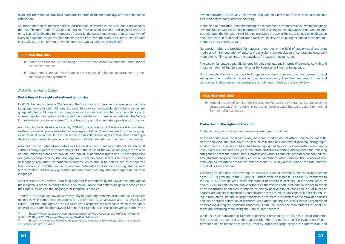pean and international statistical standards in terms of the methodology of their definition or calculation.

An important step to increase political participation of women is the 40% quota provided by the new Electoral Code of Ukraine: during the formation of national and regional electoral party lists of candidates for members of councils, the party must ensure that at least two of every five candidates (places from the first to the fifth, from the sixth to the tenth, etc.) of each electoral list are either men or women (not less two candidates of each sex).

In 2019, the Law of Ukraine "On Ensuring the Functioning of Ukrainian Language as the State Language" was adopted in Ukraine. Although this Law can be considered the best law on language adopted in Ukraine, it has many significant shortcomings in terms of compliance with international human rights standards and the Constitution of Ukraine. In particular, the Venice Commission in its opinion referred<sup>77</sup> to contradictory and discriminatory provisions of the law.

# **Recommendations:**

- Stable and continuous functioning of the institution of the Government Commissioner for Gender Equality;
- Programme (National Action Plan) on ensuring equal rights and opportunities, its periodic review and adjustment.

# *ZMINA Human Rights Centre*

According to the analysis conducted by ZMINA<sup>78</sup>, the provisions of this law are discriminatory, as they give certain preferences to the languages of EU countries compared to other languages of national minorities. In fact, the scope of possible human rights that a person can enjoy depends on a specific language, which is a form of discrimination on the basis of language.

# **Protection of the rights of national minorities**

Also, the law on national minorities in Ukraine does not meet international standards. It contains many significant shortcomings, but in the sense of the law on language, the law on national minorities does not provide any individual additional rights at all. These problems are greatly complicated by the language law. In certain cases, it refers to the particularities of language regulation for national minorities, which should be determined by a separate law. However, in fact the law on national minorities does not define anything. That is, such a referral does not actually guarantee national minorities any additional rights to use their languages.

● Amend the Law of Ukraine "On Ensuring the Functioning of Ukrainian Language as the State Language" by revising in particular those articles that contradict international

An exception is the Crimean Tatar language that is interpreted by the law as the language of the indigenous people, although there is no law in Ukraine that defines indigenous peoples and their rights, as well as the languages of indigenous peoples.

Therefore, the language law provides virtually no rights to members of national and linguistic minorities, with some minor exceptions for the Crimean Tatar language and – to even lesser extent – for the languages of the EU countries. Exceptions are only cases when these rights are explicitly stated in other laws of Ukraine. For example, such exceptions are set forth by the

law on education. But usually, the law on language only refers to the law on national minorities, which does not guarantee anything.

In the field of education, notwithstanding the requirements of international law, the language law prohibits private education institutions from teaching in the languages of national minorities. Although the Constitution of Ukraine regulates the use of the state language in education only for state and municipal education facilities, the law on language extended these requirements to private ones as well.

No special rights are provided for national minorities in the field of audio-visual and print media and in the regulation of culture, in particular in the regulation of cultural and entertainment events, film screenings, the activities of theatres, museums, etc.

The Law on language generally ignores Ukraine's obligations in terms of compliance with and implementation of the European Charter for Regional or Minority Languages.

Unfortunately, the law – contrary to European practice – does not give any powers to local self-government bodies in regulating the language policy. Even the language of municipal companies, institutions and organizations is fully determined at the level of law.

# **Recommendations:**

human rights standards.

# **Protection of the rights of the child**

# *Continue its efforts to ensure access to education for all children*

At the national level, the reasons why individual children do not attend school are not sufficiently analysed. The problem of the lack of collection and analysis of properly disaggregated data on out-of-school children has been highlighted by inter-governmental human rights institutions over the last ten years. The state statistical reporting distinguishes the following categories of reasons: health status, professions without complete general secondary education, students in special secondary education institutions, other reasons. The number of children who do not attend school "for other reasons" is usually almost half of the total number of out-of-school children.

According to statistics, the coverage of complete general secondary education for children aged 6-18 is growing (in the 2018/2019 school year, an increase is about 5% compared to the 2016/2017 school year), while the number of schools is declining (in the same years, by about 8.3%). In addition, the public authorities themselves note problems in the organization of transportation of children to schools caused by poor quality of roads and lack of buses of appropriate quality. It significantly complicates access to education, especially for children living in rural areas. Instead, in large schools in cities there is a problem of overcrowded classes and lack of proper sanitation of premises, ventilation, lighting, etc. In this context, organization of schooling during the pandemic caused by COVID-19 – when the requirements to social distance are becoming more stringent – are of great concern.

While inclusive education in Ukraine is generally developing, it also has a lot of problems. Most schools are architecturally inaccessible. There is no data on the evaluation of performance of the teacher assistants. Properly organized large-scale state information and

<sup>77</sup> [https://www.venice.coe.int/webforms/documents/?pdf=CDL-AD\(2019\)032-e&fbclid=IwAR0KN](https://www.venice.coe.int/webforms/documents/?pdf=CDL-AD(2019)032-e&fbclid=IwAR0KN8f28KLeWP8AuddeWfKVAjcairgZ2TNqqsMEzg8tKW8fxF76TTiZwpU)-[8f28KLeWP8AuddeWfKVAjcairgZ2TNqqsMEzg8tKW8fxF76TTiZwpU](https://www.venice.coe.int/webforms/documents/?pdf=CDL-AD(2019)032-e&fbclid=IwAR0KN8f28KLeWP8AuddeWfKVAjcairgZ2TNqqsMEzg8tKW8fxF76TTiZwpU)

<sup>78</sup> [https://zmina.info/articles/lozhka-dogtyu-v-dizhczi-medu-analiz-movnogo-zakonu-na-vidpovid](https://zmina.info/articles/lozhka-dogtyu-v-dizhczi-medu-analiz-movnogo-zakonu-na-vidpovidnist-standartam-prav-lyudyny/)[nist-standartam-prav-lyudyny/](https://zmina.info/articles/lozhka-dogtyu-v-dizhczi-medu-analiz-movnogo-zakonu-na-vidpovidnist-standartam-prav-lyudyny/)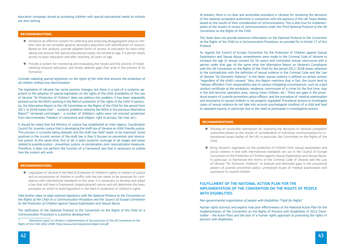education campaign aimed at accepting children with special educational needs to schools are also lacking.

# **Recommendations:**

- Introduce an effective system for collecting and analyzing disaggregated data on children who do not complete general secondary education with identification of reasons. Based on this analysis, provide adapted forms of access to education for each child, taking into account the special educational needs, not limited to age, if a person needs access to basic education and after reaching 18 years of age.
- Provide a system for monitoring and evaluating the results and the process of implementing inclusive education, and timely address gaps that arise in the process of its formation.

*Consider adopting special legislation on the rights of the child that ensures the protection of all children without any discrimination*

The legislation of Ukraine has some positive changes, but there is a lack of a systemic approach to the adoption of special legislation on the rights of the child. Availability of the Law of Ukraine "On Protection of Children" does not address this problem. It has been repeatedly pointed out by the NGOs working in the field of protection of the rights of the child. In particular, the Alternative Report to the UN Committee on the Rights of the Child for the period from 2011 to 2018 states that "... systemic problems noted by the NGOs in the previous Alternative Report<sup>79</sup> remained unchanged – a number of children's rights were not ensured (protection from discrimination, freedom of conscience and religion, right to privacy, fair trial, etc.)

It should be noted that the Ministry of Justice has established an Inter-Agency Coordination Council for Juvenile Justice that is developing the draft law of Ukraine on child-friendly justice. This process is currently being delayed, and the draft law itself needs to be improved. Some positives in the current version of the draft law is that it focuses on prevention and restorative justice. At the same time, first of all, it lacks systemic coverage of all stages and areas related to juvenile justice – prevention, justice, re-socialization, post-resocialization measures. Therefore, it does not perform the function of a framework law that is necessary to outline how the system will work.

# **Recommendations:**

● Legislation of Ukraine in the field of protection of children's rights, in matters of justice and re-socialization of children in conflict with the law needs to be assessed for compliance with international standards in this area. It is necessary to develop and adopt a law that will have a framework (organizational) nature and will determine the basic principles on which to build legislation in the field of protection of children's rights.

*Take further steps to align national legislation with the Optional Protocol to the Convention on the Rights of the Child on a Communication Procedure and the Council of Europe Convention on the Protection of Children against Sexual Exploitation and Sexual Abuse*

The ratification of the Optional Protocol to the Convention on the Rights of the Child on a Communication Procedure is a positive development.

At present, there is no clear and accessible procedure in Ukraine for reviewing the decisions of the national competent authorities in connection with the opinions of the UN Treaty Bodies based on the results of their consideration of communications. This is also true for implementation of the results of review of communications under the Third Optional Protocol to the UN Convention on the Rights of the Child.

The State does not provide extensive information on the Optional Protocol to the Convention on the Rights of the Child on a Communication Procedure, as provided for in Article 17 of this Protocol.

As regards the Council of Europe Convention for the Protection of Children against Sexual Exploitation and Sexual Abuse, amendments were made to the Criminal Code of Ukraine to increase the age of sexual consent (to 16 years) and criminalize sexual intercourse with a person under that age. At the same time, the Alternative Report on Ukraine's Compliance with the UN Convention on the Rights of the Child for the period 2011-2018 draws attention to the contradiction with the definition of sexual violence in the Criminal Code and the Law of Ukraine "On Domestic Violence." In the latter, sexual violence is defined as certain actions "regardless of the child's consent." Also, this Report mentions that in fact, the courts tend to "release offenders from responsibility due to various mitigating circumstances, such as a god conduct certificate at the workplace, residence, commission of a crime for the first time, stay in the anti-terrorist operation area, raising minor children, etc." There are gaps in the procedural powers of juvenile prevention police officers, and the procedure of medical examination and assistance to injured children is not properly regulated. Procedural actions to investigate cases of sexual violence do not take into account psychological condition of a child and lead to repeated trauma, in particular due to the need to participate in investigative actions.

# **Recommendations:**

● Develop an accessible mechanism for reviewing the decisions of national competent authorities based on the results of consideration of individual communications by international treaty bodies of the UN, in particular, the Committee on the Rights of the

● Bring Ukraine's legislation on the protection of children from sexual exploitation and social violence in line with international standards set out in the Council of Europe Convention on the Protection of Children against Sexual Exploitation and Sexual Abuse. In particular, to harmonize the norms of the Criminal Code of Ukraine and the Law of Ukraine "On Domestic Violence", to analyze and eliminate gaps in the procedural powers of juvenile prevention police, unresolved issues of medical examination and

- Child.
- assistance to injured children.

# FULFILLMENT OF THE NATIONAL ACTION PLAN FOR THE IMPLEMENTATION OF THE CONVENTION ON THE RIGHTS OF PEOPLE WITH DISABILITIES

# *Non-governmental organization of people with disabilities "Fight for Rights"*

Human rights activists and experts note poor effectiveness of the National Action Plan for the Implementation of the Convention on the Rights of Persons with Disabilities of 2012 (hereinafter – the Acton Plan) and the lack of a human rights approach to promoting the rights of persons with disabilities.

Alternative report on Ukraine's implementation of the provisions of the UN Convention on the Rights of the Child 2002-2008:<https://www.unicef.org/ukraine/report-ukr.pdf>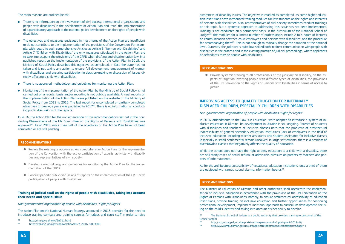The main reasons are outlined below:

- There is no information on the involvement of civil society, international organizations and people with disabilities in the development of Action Plan and, thus, the implementation of a participatory approach to the national policy development on the rights of people with disabilities.
- The objectives and measures envisaged in most items of the Action Plan are insufficient or do not contribute to the implementation of the provisions of the Convention. For example, with regard to such comprehensive Articles as Article 6 "Women with Disabilities" and Article 7 "Children with Disabilities," the only measures stipulated in the Action Plan are to take into account the provisions of the CRPD when drafting anti-discrimination law. In a published report on the implementation of the provisions of the Action Plan in 2015, the Ministry of Social Policy described this objective as completed. In fact, the state has not taken and is not taking any action to ensure full development, empowerment of women with disabilities and ensuring participation in decision-making or discussion of issues directly affecting a child with disabilities.
- There is no approved methodology and guidelines for monitoring the Action Plan.
- Monitoring of the implementation of the Action Plan by the Ministry of Social Policy is not carried out on a regular basis and/or reporting is not publicly available. Annual reports on the implementation of the Action Plan were published on the website of the Ministry of Social Policy from 2012 to 2015. The last report for uncompleted or partially completed objectives of previous years was published in 201780. There is no information on conducting public discussions of the reports.

- $\bullet$  Review the existing or approve a new comprehensive Action Plan for the implementation of the Convention with the active participation of experts, activists with disabilities and representatives of civil society.
- Develop a methodology and guidelines for monitoring the Action Plan for the implementation of the CRPD.
- Conduct periodic public discussions of reports on the implementation of the CRPD with participation of people with disabilities.

In 2016, the Action Plan for the implementation of the recommendations set out in the Concluding Observations of the UN Committee on the Rights of Persons with Disabilities was approved<sup>81</sup>. As of 2019, more than half of the objectives of the Action Plan have not been completed or are still pending.

# **Recommendations**

# **Training of judicial staff on the rights of people with disabilities, taking into account their needs and special skills**

While the school does not have the right to deny education to a child with a disability, there are still many cases of actual refusal of admission, pressure on parents by teachers and parents of other students.

As for the architectural accessibility of vocational education institutions, only a third of them are equipped with ramps, sound alarms, information boards<sup>84</sup>.

*Non-governmental organization of people with disabilities "Fight for Rights"*

The Action Plan on the National Human Strategy approved in 2015 provided for the need to introduce training curricula and training courses for judges and court staff in order to raise

awareness of disability issues. The objective is marked as completed, as some higher education institutions have introduced training modules for law students on the rights and interests of persons with disabilities. Also, representatives of civil society sometimes conduct trainings on this topic. But a systemic approach to addressing this issue has not been implemented. Training is not conducted on a permanent basis. In the curriculum of the National School of Judges $^{82}$ , the modules for a limited number of professionals include 2 to 4 hours of lectures on communication between court employees and persons with disabilities, and the procedure for accompanying them<sup>83</sup>. This is not enough to radically change the situation at the national level. Currently, the judiciary is quite low-skilled both in direct communication with people with disabilities in the process and in the existing practice of judicial proceedings, where applicants or defendants may be people with disabilities.

# **Recommendations:**

● Provide systemic training to all professionals of the judiciary on disability, on the aspects of litigation involving people with different types of disabilities, the provisions of the UN Convention on the Rights of Persons with Disabilities in terms of access to

 $\overline{82}$  The National School of Judges is a public authority that provides training to personnel of the

justice.

# IMPROVING ACCESS TO QUALITY EDUCATION FOR INTERNALLY DISPLACED CHILDREN, ESPECIALLY CHILDREN WITH DISABILITIES

*Non-governmental organization of people with disabilities "Fight for Rights"*

In 2016, amendments to the Law "On Education" were adopted to introduce a system of inclusive education in Ukraine. Its development in Ukraine is still ongoing. Parents of students with disabilities and teachers of inclusive classes note that the problems of architectural inaccessibility of general secondary education institutions, lack of employees in the field of inclusive education, including teacher assistants and student assistants for inclusive classes (especially in small settlements) remain unsolved. In large settlements, there is a problem of overcrowded classes that negatively affects the quality of education.

# **Recommendations**

The Ministry of Education of Ukraine and other authorities shall accelerate the implementation of inclusive education in accordance with the provisions of the UN Convention on the Rights of Persons with Disabilities, namely, to ensure architectural accessibility of education institutions, provide training on inclusive education and further opportunities for continuing professional development, implement individual approach to curriculum development, focusing on the child's identity and taking into account his/her ability to develop.

 $80$ <http://mtu.gov.ua/news/28711.html><br> $81$  https://zakon2.rada.gov.ua/laws/show

<sup>81</sup><https://zakon2.rada.gov.ua/laws/show/1073-2016-%D1%80>

justice system.

<sup>83</sup><http://nsj.gov.ua/pidgotovka-pratsivnikiv-aparativ-sudiv/tipovi-plani-2019-rik/><br>84 http://www.ombudsman.gov.ua/ua/page/secretariat/docs/presentations/&page=4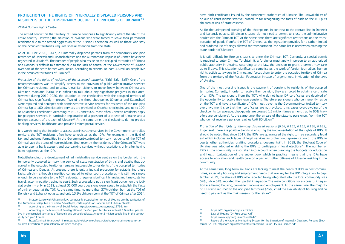# PROTECTION OF THE RIGHTS OF INTERNALLY DISPLACED PERSONS AND RESIDENTS OF THE TEMPORARILY OCCUPIED TERRITORIES OF UKRAINE85

#### *ZMINA Human Rights Centre*

As of 10 June 2020, 1,447,537 internally displaced persons from the temporarily occupied territories of Donetsk and Luhansk oblasts and the Autonomous Republic of Crimea have been registered in Ukraine<sup>86</sup>. The number of people who reside on the occupied territories of Crimea and Donbas is difficult to estimate due to the lack of control of the Government of Ukraine over part of the state border with Russia. According to experts, at least 3.6 million people live in the occupied territories of Ukraine<sup>87</sup>.

The armed conflict on the territory of Ukraine continues to significantly affect the life of the entire country. However, the situation of civilians who were forced to leave their permanent residence due to the armed aggression of the Russian Federation, as well as those who stay on the occupied territories, requires special attention from the state.

*Protection of the rights of residents of the occupied territories (6.60, 6.61, 6.63)*. One of the recommendations was to simplify access to the provision of public administrative services for Crimean residents and to allow Ukrainian citizens to move freely between Crimea and Ukraine's mainland (6.60). It is difficult to talk about any significant progress in this area, however, during 2019-2020, the situation at the checkpoints with the occupied territory of Crimea has significantly improved. Two of the three checkpoints (Chonhar and Kalanchak) were repaired and equipped with administrative service centres for residents of the occupied Crimea. Up to 160 administrative services are provided at Chonhar checkpoint, and up to 100, at Kalanchak checkpoint. According to NGO CrimeaSOS, most often Crimean residents apply for passport services, in particular, registration of a passport of a citizen of Ukraine and a foreign passport of a citizen of Ukraine<sup>88</sup>. At the same time, the checkpoints do not provide banking services, healthcare, and provide limited postal service.

It is worth noting that in order to access administrative services in the Government-controlled territory, the TOT residents often have to register as the IDPs. For example, in the field of tax and customs formalities in the Government-controlled territory, residents of the TOT of Crimea have the status of non-residents. Until recently, the residents of the Crimean TOT were able to open a bank account and use banking services without restrictions only after having been registered as the IDPs.

One of the most pressing issues is the payment of pensions to residents of the occupied territories. Currently, in order to receive their pension, they are forced to obtain a certificate of an IDPs. The pensioners from the TOTs who do not have IDP certificates are deprived of the opportunity to receive their own pensions. Therefore, pensioners who permanently reside on the TOT and have a certificate of IDPs must travel to the Government-controlled territory every two months so that their certificates are not revoked. It increases overcrowding of the checkpoints (on average, checkpoints are crossed 1.3 million times a month, up to 60% travellers are pensioners). At the same time, the arrears of the state to pensioners from the TOT who do not receive a pension reaches UAH 80 billion<sup>89</sup>.

Notwithstanding the development of administrative service centres on the border with the temporarily occupied territory, the service of state registration of births and deaths that occurred in the occupied territories remains inaccessible to residents of the occupied territories of Crimea and Donbas. At present, there is only a judicial procedure for establishing these facts, which – although simplified compared to other court procedures – is still not simple enough to be available to the TOT residents. It requires significant financial and time costs for travel, accommodation, going to court. Such a procedure put a significant burden on the judicial system – only in 2019, at least 31,000 court decisions were issued to establish the facts of birth or death at the TOT. At the same time, no more than 37% children born at the TOT of Donetsk and Luhansk oblasts, and only 13.5% children born at the TOT of Crimea after 2014,

At the same time, long-term solutions are lacking to meet the needs of IDPs in host communities, especially housing and employment needs that are key for the IDP integration. In September 2019, the share of IDPs who reported being integrated into the local community was 54%, while 34% reported their partial integration. The main conditions for successful integration are having housing, permanent income and employment. At the same time, the majority of IDPs who returned to the occupied territories (76%) cited the availability of housing and no need to pay rent as the main reason for the return<sup>92</sup>.

have birth certificates issued by the competent authorities of Ukraine. The unavailability of an out-of-court (administrative) procedure for recognizing the facts of birth on the TOT puts children at risk of statelessness.

As for the unimpeded crossing of the checkpoints, in contrast to the contact line in Donetsk and Luhansk oblasts, Ukrainian citizens do not need a permit to cross the administrative border with the Crimean TOT. At the same time, there are significant restrictions on the transportation of goods from/to the TOT of Crimea, as the legislation provides for a rather limited and outdated list of things allowed for transportation (the same list is used when crossing the state border of Ukraine).

It is still difficult for foreign citizens to enter the Crimean TOT. Currently, a special permit is required to enter Crimea. To obtain it, a foreigner must apply in person to an authorized public authority in Ukraine. According to the law, the decision to grant a permit may take up to 5 days. This situation significantly complicates the work of foreign journalists, human rights activists, lawyers in Crimea and forces them to enter the occupied territory of Crimea from the territory of the Russian Federation in case of urgent need, in violation of the laws of Ukraine.

*Protection of the rights of internally displaced persons (6.34, 6.133, 6.135, 6.188, 6.189).* In general, there are positive trends in ensuring the implementation of the rights of IDPs. It should be noted that since 2017, the IDPs are guaranteed the right to free secondary legal aid which includes such types of legal services as protection, representation of the IDPs in courts, other authorities, drafting procedural documents)<sup>90</sup>. In 2019, the Electoral Code of Ukraine was adopted enabling the IDPs to participate in local elections<sup>91</sup>. The number of IDPs in the community is also taken into account when planning the budgets for education and health (calculation of the subvention), which in practice means that the IDPs have access to education and health care on a par with other citizens of Ukraine residing in the community.

92 Report of the National Monitoring System for the Situation of Internally Displaced Persons (Sep-

In accordance with Ukrainian law, temporarily occupied territories of Ukraine are the territories of the Autonomous Republic of Crimea, Sevastopol, certain parts of Donetsk and Luhansk oblasts.

<sup>86</sup> According to the Ministry of Social Policy, <https://www.msp.gov.ua/news/18756.html><br>87 According to the Ministry of Reintegration of the Occupied Territories, at least 1.6 million people live in the occupied territories of Donetsk and Luhansk oblasts. Another 2 million people live in the temporarily occupied Crimea.

 $89$  <https://r2p.org.ua/pensiyi-vs-minfin/><br> $89$  have of Historia "On Free Logal Aid"

 $\frac{90}{21}$  Law of Ukraine "On Free Legal Aid"

 $\frac{91}{22}$ <https://www.vplyv.org.ua/archives/4428>

<sup>88</sup> [https://zmina.info/articles/minreintegracziyi-obiczyaye-cherez-pivroku-povnoczinnu-robotu-ha](https://zmina.info/articles/minreintegracziyi-obiczyaye-cherez-pivroku-povnoczinnu-robotu-habu-dlya-krymchan-ta-pereselencziv-na-kpvv-chongar/)[bu-dlya-krymchan-ta-pereselencziv-na-kpvv-chongar/](https://zmina.info/articles/minreintegracziyi-obiczyaye-cherez-pivroku-povnoczinnu-robotu-habu-dlya-krymchan-ta-pereselencziv-na-kpvv-chongar/)

tember 2019), [http://iom.org.ua/sites/default/files/nms\\_round\\_15\\_ukr\\_screen.pdf](http://iom.org.ua/sites/default/files/nms_round_15_ukr_screen.pdf)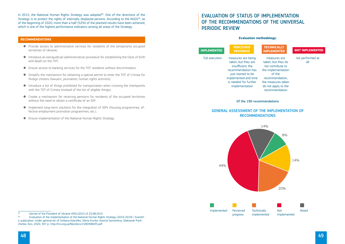In 2015, the National Human Rights Strategy was adopted<sup>93</sup>. One of the directions of the Strategy is to protect the rights of internally displaced persons. According to the NGOs<sup>94</sup>, as of the beginning of 2020, more than a half (52%) of the planned results have been achieved, which is one of the highest performance indicators among all areas of the Strategy.

# **Recommendations**

- Provide access to administrative services for residents of the temporarily occupied territories of Ukraine;
- Introduce an extrajudicial (administrative) procedure for establishing the facts of birth and death on the TOT;
- Ensure access to banking services for the TOT residents without discrimination;
- Simplify the mechanism for obtaining a special permit to enter the TOT of Crimea for foreign citizens (lawyers, journalists, human rights activists);
- Introduce a list of things prohibited for transportation when crossing the checkpoints with the TOT of Crimea (instead of the list of eligible things);
- Create a mechanism for receiving pensions for residents of the occupied territories without the need to obtain a certificate of an IDP;
- Implement long-term solutions for the integration of IDPs (housing programmes, effective employment promotion programmes, etc.);
- Ensure implementation of the National Human Rights Strategy.

# EVAluation of Status of IMPLEMENTATION OF THE RECOMMENDATIONS OF THE UNIVERSAL PERIODIC REVIEW

# General assessment of the implementation of recommendations

### **Evaluation methodology:**

Of the 190 recommendations

not performed at all

measures are taken, but they do not contribute to the implementation of the recommendation, the measures taken do not apply to the recommendation

measures are being taken, but they are insufficient, the recommendation has just started to be implemented and time is needed for further implementation

full execution

**Implemented**

**Perceived progress** 

# **Technically**

# **implemented Not implemented**



<sup>94</sup> Evaluation of the implementation of the National Human Rights Strategy (2016-2019) / Scientific publication. Under general ed. of Svitlana Kolyshko, Olena Kryvko, Kseniia Semiorkina, Oleksandr Pavlichenko, Kyiv, 2020, 307 p., <http://hro.org.ua/files/docs/1590308435.pdf>

<sup>93</sup> Decree of the President of Ukraine  $#501/2015$  of 25.08.2015<br>94 Evaluation of the implementation of the National Human Bight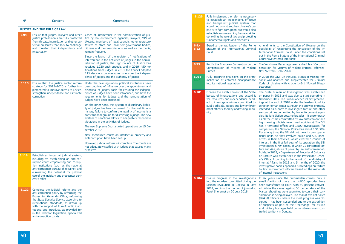| N <sup>2</sup> |  |  |  |
|----------------|--|--|--|
|                |  |  |  |

№ Content Comments

| <b>JUSTICE AND THE RULE OF LAW</b> |  |  |  |  |
|------------------------------------|--|--|--|--|
|------------------------------------|--|--|--|--|

| 6.94  | Ensure that judges, lawyers and other<br>justice professionals are fully protected<br>from threats, intimidation and other ex-<br>ternal pressures that seek to challenge<br>and threaten their independence and<br>impartiality                                                                                                                                          | Cases of interference in the administration of jus-<br>tice by law enforcement agencies, lawyers, MPs of<br>Ukraine, members of local councils, other represen-<br>tatives of state and local self-government bodies,<br>citizens and their associations, as well as the media,<br>remain frequent.                                                                                        |
|-------|---------------------------------------------------------------------------------------------------------------------------------------------------------------------------------------------------------------------------------------------------------------------------------------------------------------------------------------------------------------------------|--------------------------------------------------------------------------------------------------------------------------------------------------------------------------------------------------------------------------------------------------------------------------------------------------------------------------------------------------------------------------------------------|
|       |                                                                                                                                                                                                                                                                                                                                                                           | Since the launch of the register of notifications of<br>interference in the activities of judges in the admin-<br>istration of justice, the High Council of Justice has<br>received 1,220 such appeals, and in 2019, 450 no-<br>tifications from judges. In 2019, the Council adopted<br>115 decisions on measures to ensure the indepen-<br>dence of judges and the authority of justice. |
| 6.110 | Ensure that the justice sector reform<br>strategy for 2015-2020 is further im-<br>plemented to improve access to justice,<br>strengthen independence and eliminate<br>corruption                                                                                                                                                                                          | Under the new legislation, political institutions have<br>been deprived of influence over the appointment and<br>dismissal of judges, tools for ensuring the indepen-<br>dence of judges have been introduced, and both the<br>requirements for judges and the remuneration of<br>judges have been increased.                                                                              |
|       |                                                                                                                                                                                                                                                                                                                                                                           | On the other hand, the system of disciplinary liabili-<br>ty of judges has been improved. For the first time in<br>history, failure to confirm the legality of income is a<br>constitutional ground for dismissing a judge. The new<br>system of sanctions allows to adequately respond to<br>violations in the activities of judges.                                                      |
|       |                                                                                                                                                                                                                                                                                                                                                                           | The new Supreme Court started operations on 15 De-<br>cember 2017.                                                                                                                                                                                                                                                                                                                         |
|       |                                                                                                                                                                                                                                                                                                                                                                           | New specialized courts on intellectual property and<br>anti-corruption have been set up.                                                                                                                                                                                                                                                                                                   |
|       |                                                                                                                                                                                                                                                                                                                                                                           | However, judicial reform is incomplete. The courts are<br>not adequately staffed with judges that causes many<br>problems.                                                                                                                                                                                                                                                                 |
| 6.118 | Establish an impartial judicial system,<br>including by: establishing an anti-cor-<br>ruption court; empowering anti-corrup-<br>tion institutions (such as the national<br>anti-corruption bureau of Ukraine); and<br>eliminating the potential for political<br>use of the judiciary and prosecutor gen-<br>eral's office                                                |                                                                                                                                                                                                                                                                                                                                                                                            |
| 6.122 | Complete the judicial reform and the<br>anti-corruption policy by reforming the<br>Prosecutor General's Office, reforming<br>the State Security Service according to<br>international standards, as drawn up<br>with the support of Euro-Atlantic insti-<br>tutions, and introduce, as provided for<br>in the relevant legislation, specialized<br>anti-corruption courts |                                                                                                                                                                                                                                                                                                                                                                                            |

he Verkhovna Rada registered a draft law "On compensation for victims of violent criminal offenses" №3892 from 17.07.2020

12018, the Law "On the Legal Status of Missing Perons" was adopted and supplemented the Criminal ode of Ukraine with Article 146-1 "Forced Disappearance."

he State Bureau of Investigation was established on paper in 2015 and was due to start operating in November 2017. The Bureau opened its first proceedngs at the end of 2018 under the leadership of its Director Roman Truba. Although the SBI was primarily ntended as a body to investigate torture and other erious crimes committed by law enforcement agenies, its jurisdiction became broader - it encompasses all the crimes committed by law enforcement and igh-ranking officials (even road accidents). The SBI has 7 territorial offices and 1,500 investigators (for comparison, the National Police has about 130,000). or a long time, the SBI did not have its own operaional units, so they involved police and SBU opertives in their activities, which created a conflict of iterest. In the first full year of its operation, the SBI 1 rvestigated 5,794 cases, of which 22 concerned torure and 442, abuse of power by law enforcement oficials. In 2019, a Department of Procedural Guidance on Torture was established in the Prosecutor-Generl's Office. According to the report of the Ministry of Iternal Affairs, in 2019 and 5 months of 2020, the ivestigative bodies opened 4 proceedings on torture y law enforcement officers based on the materials f internal inspections.

**6.125** Fully implement the reforms necessary

mendments to the Constitution of Ukraine on the possibility of recognizing the jurisdiction of the Inernational Criminal Court under the conditions set ut in the Rome Statute of the International Criminal Court have entered into force.

six years since the Euromaidan crimes, only a mall fraction of more than 4,000 episodes have been transferred to court, with 59 persons convicted. While the cases against 55 perpetrators of the Maidan shootings were submitted to court, their conideration is being delayed. The trial of five riot police Berkut) officers – where the most progress was oberved – has been suspended due to the extradition f suspects as part of their "exchange" for civilian nd military hostages held on non-Government-controlled territory in Donbas.

|                 | Fully implement the refurns necessary<br>to establish an independent, effective<br>and transparent judicial system that<br>would not only strengthen Ukraine's ca-<br>pacity to fight corruption, but would also<br>establish an overarching framework for<br>upholding the rule of law and protecting<br>fundamental rights and freedoms |                                                                                                                                                |
|-----------------|-------------------------------------------------------------------------------------------------------------------------------------------------------------------------------------------------------------------------------------------------------------------------------------------------------------------------------------------|------------------------------------------------------------------------------------------------------------------------------------------------|
| $6.8 -$<br>6.12 | Expedite the ratification of the Rome<br>Statute of the International Criminal<br>Court                                                                                                                                                                                                                                                   | Aı<br>p <sub>o</sub><br>te<br>Οl<br>$\overline{C}$                                                                                             |
| 6.25            | Ratify the European Convention on the<br>Compensation of Victims<br>of Violent<br>Crimes                                                                                                                                                                                                                                                  | Tł<br>p <sub>6</sub><br>N <sup>9</sup>                                                                                                         |
| 6.65            | Fully integrate provisions on the crim-<br>inalization of enforced disappearance<br>into its national legislation                                                                                                                                                                                                                         | In<br>S)<br>$\overline{C}$<br>p <sub>6</sub>                                                                                                   |
| 6.101           | Finalize the establishment of the State<br>bureau of investigations and accord it<br>the resources and independence need-<br>ed to investigate crimes committed by<br>public officials, judges and law enforce-<br>ment officers, thereby addressing impu-<br>nity                                                                        | Tł<br>OI<br>N<br>in<br>D<br>in<br>S6<br>ci<br>es<br>hi<br>h<br>C<br>Fα<br>ti<br>at<br>in<br>ın<br>tı<br>fio<br>O<br>al<br>In<br>in<br>b١<br>of |
| 6.104           | Ensure progress in the investigations<br>into the murders committed during the<br>Maidan revolution in Odessa in May<br>2014, and into the murder of journalist<br>Pavel Sheremet on 20 July 2016                                                                                                                                         | In<br>Sr<br>b<br>e<br>M<br>si<br>(E)<br>S <sub>6</sub><br>of<br>aı<br>tr                                                                       |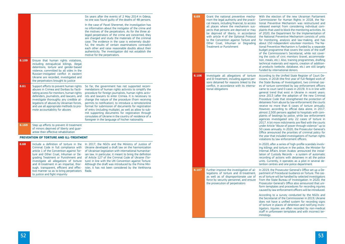According to the Unified State Register of Court Deisions, in 2018 (the first year of full-fledged work of the State Bureau of Investigation), two criminal casof torture committed by law enforcement officers ame to court (and 0 cases in 2019). It is in line with eneral trend that exist in Ukraine in recent years: ince 2013 (after the adoption of the new Criminal rocedure Code that strengthened the protection of etainees from abuse by law enforcement) the courts eceive no more than 6 cases of torture annually. owever, according to official data alone, in 2017, almost 2,500 persons applied to hospitals with comlaints of beatings by police, while law enforcement agencies investigated only 22 cases of torture in 017. A bit more indictments are filed with the courts nder Article "Abuse of power through violence:" up to 50 cases annually. In 2020, the Prosecutor-General's Iffice announced the priorities of criminal policy for the year that included investigations of human rights iolations by law enforcement officers.

In 2020, after a series of high-profile scandals involving killings and torture in the police, the Minister for Internal Affairs Arsen Avakov announced the installation of Custody Records – a system of automatic ecording of actions with detainees in all the police nits. Currently, it operates as a pilot in several deention centres and one police department.

In 2019, the Prosecutor-General's Office set up a Department of Procedural Guidance on Torture. The cass of torture will be handled by selected investigators fom the State Bureau of Investigation. In 2020, the rosecutor-General's Office also announced that uniorm templates and procedures for recording injuries aused by law enforcement officers will be introduced.

|      |       |                                                                                                                                                                                                                                                                                                                                               | Six years after the events of 2 May 2014 in Odesa,<br>no one was found quilty of the deaths of 48 persons.                                                                                                                                                                                                                                                                                                                                                                                                                                                                                                                      | 6.69  | Grant the national preventive mecha- W<br>nism the legal authority and the practi-                                                                                                                                                                                                                                             | <b>C</b>                                                                          |
|------|-------|-----------------------------------------------------------------------------------------------------------------------------------------------------------------------------------------------------------------------------------------------------------------------------------------------------------------------------------------------|---------------------------------------------------------------------------------------------------------------------------------------------------------------------------------------------------------------------------------------------------------------------------------------------------------------------------------------------------------------------------------------------------------------------------------------------------------------------------------------------------------------------------------------------------------------------------------------------------------------------------------|-------|--------------------------------------------------------------------------------------------------------------------------------------------------------------------------------------------------------------------------------------------------------------------------------------------------------------------------------|-----------------------------------------------------------------------------------|
|      |       |                                                                                                                                                                                                                                                                                                                                               | In the case of Pavel Sheremet, the investigation has<br>no information about the instigator of the crime and<br>the motives of the perpetrators. As for the three al-<br>leged perpetrators of the crime are concerned, they<br>are charged and study the materials of the criminal<br>case. The evidence in the case is extremely doubt-<br>ful, the results of certain examinations contradict<br>each other and raise reasonable doubts about their<br>authenticity. The investigation did not establish the<br>motive for the perpetrators.                                                                                 |       | cal means, including financial, to access<br>all places where the mechanism sus-<br>pects that persons are deprived or may<br>be deprived of liberty, in accordance<br>with article 4 of the Optional Protocol<br>to the Convention against Torture and<br>Other Cruel, Inhuman or Degrading<br><b>Treatment or Punishment</b> | tio<br>re<br>pl<br><b>of</b><br>th<br>fo<br>at<br>tio<br>bι<br>of<br>in           |
|      | 6.109 | Ensure that human rights violations,<br>including extrajudicial killings, illegal<br>detentions, torture and gender-based<br>violence, committed by all sides in the<br>Russian-instigated conflict in eastern<br>Ukraine are recorded, investigated and                                                                                      |                                                                                                                                                                                                                                                                                                                                                                                                                                                                                                                                                                                                                                 | 6.106 | Investigate all allegations of torture                                                                                                                                                                                                                                                                                         | tic<br>te<br>al<br>fu<br>A                                                        |
|      |       | the perpetrators brought to justice                                                                                                                                                                                                                                                                                                           |                                                                                                                                                                                                                                                                                                                                                                                                                                                                                                                                                                                                                                 |       | and ill-treatment, including against per-<br>sons detained for reasons linked to the                                                                                                                                                                                                                                           | cis<br>th                                                                         |
| 6.61 |       | Support efforts to prevent human rights<br>abuses in Crimea and Donbas by facili-<br>tating access for monitors, human rights<br>defenders, journalists, and lawyers, and<br>investigate thoroughly any credible al-<br>legations of abuses by Ukrainian forces,<br>and use all appropriate methods to pro-<br>mote accountability for abuses | So far, the government has not supported recom-<br>mendations of human rights activists to simplify the<br>procedure for foreign journalists, human rights activ-<br>ists and lawyers to enter Crimea. It is necessary to<br>change the nature of the procedure (from receiving<br>permits to notification), to introduce a remote/online<br>format for submission of documents for registration<br>of entry (including multiple), as well as allow to sub-<br>mit supporting documents for registration through<br>consulates of Ukraine in the country of residence of a<br>foreigner in the language of his/her nationality. |       | conflict, in accordance with its interna-<br>tional obligations                                                                                                                                                                                                                                                                | es<br>ca<br>ge<br>Sil<br>Pr<br>de<br>re<br>H <sub>0</sub><br>al<br>pl<br>ag<br>20 |
|      | 6.169 | Step up efforts to prevent ill-treatment<br>of minors deprived of liberty and quar-<br>antee their effective rehabilitation                                                                                                                                                                                                                   |                                                                                                                                                                                                                                                                                                                                                                                                                                                                                                                                                                                                                                 |       |                                                                                                                                                                                                                                                                                                                                | <b>ur</b><br>50<br>Of                                                             |
|      |       | <b>PREVENTION OF TORTURE AND ILL-TREATMENT</b>                                                                                                                                                                                                                                                                                                |                                                                                                                                                                                                                                                                                                                                                                                                                                                                                                                                                                                                                                 |       |                                                                                                                                                                                                                                                                                                                                | th<br>vi                                                                          |
|      | 6.68  | Include a definition of torture in the<br>Criminal Code in full compliance with<br>article 1 of the Convention against Tor-<br>ture and Other Cruel, Inhuman or De-<br>grading Treatment or Punishment and<br>investigate all allegations of torture<br>and ill-treatment in an impartial, thor-                                              | In 2017, the NGOs and the Ministry of Justice of<br>Ukraine developed a draft law on the harmonization<br>of Ukrainian legislation with international humanitar-<br>ian law. In particular, it meant to bring the definition<br>of Article 127 of the Criminal Code of Ukraine (Tor-<br>ture) in line with the UN Convention against Torture.<br>Although the draft was introduced by the Prime Min-                                                                                                                                                                                                                            |       |                                                                                                                                                                                                                                                                                                                                | -ln<br>in<br>In<br>la<br>re<br><b>ur</b><br>te                                    |
|      |       | ough, transparent, efficient and effec-<br>tive manner so as to bring perpetrators<br>to justice and fight impunity                                                                                                                                                                                                                           | ister, it has not been considered by the Verkhovna<br>Rada.                                                                                                                                                                                                                                                                                                                                                                                                                                                                                                                                                                     | 6.107 | Further improve the investigation of al-<br>legations of torture and ill-treatment,<br>as well as of disproportionate use of<br>force by security personnel, and ensure<br>the prosecution of perpetrators                                                                                                                     | <u>In</u><br>pa<br>es<br>-fr<br>Pr                                                |
|      |       |                                                                                                                                                                                                                                                                                                                                               |                                                                                                                                                                                                                                                                                                                                                                                                                                                                                                                                                                                                                                 |       |                                                                                                                                                                                                                                                                                                                                | fo<br>ca                                                                          |
|      |       |                                                                                                                                                                                                                                                                                                                                               |                                                                                                                                                                                                                                                                                                                                                                                                                                                                                                                                                                                                                                 |       |                                                                                                                                                                                                                                                                                                                                | A<br>th<br>dc                                                                     |

ccording to a survey conducted by the NGOs and the Secretariat of the Commissioner in 2019, Ukraine oes not have a unified system for recording signs of torture in places of detention and notifying investigators. Injuries are often recorded by non-medical staff in unforeseen templates and with incorrect terminology.

With the election of the new Ukrainian Parliament ommissioner for Human Rights in 2018, the Naonal Preventive Mechanism was restructured and eleased exempt from considering individual comlaints that used to block the monitoring activities. As 2020, the Department for the Implementation of ne National Preventive Mechanism consists of units or monitoring, analysis and law-making, and has bout 150 independent volunteer monitors. The Naonal Preventive Mechanism is funded by a separate budget programme that covers the costs of the staff the Commissioner's Secretariat, while not covering the costs of civic monitors (travel, accommodaon, meals, etc.). Also, training programmes, drafting echnical materials and reports, creation of additionproducts (website, database, etc.) are still largely funded by international donors.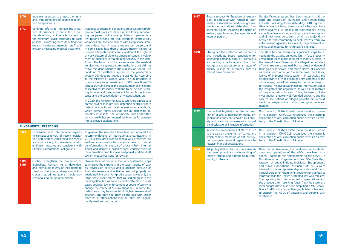On 6 June 2019, the Constitutional Court of Ukraine its decision  $#3-r/2019$  recognized the electronic claration of anti-corruption public activists as conary to the Constitution of Ukraine.

ver the last five years, the conditions for establishent and operations of the NGOs have been simfied. Thanks to the amendments to the Laws "On Non-Government Organizations" and "On State Regration of Legal Entities, Individual Entrepreneurs d Public Associations," the non-profit NGOs were lowed to run entrepreneurship activities, and the fiincial burden on them when registering changes to formation in the Unified State Register was reduced. ie reporting form for non-profit organizations and e procedure for receiving funds from the state and cal budgets have also been simplified (CMU Resoluon  $#$  1049), and competitive grants been introduced support the NGOs of veterans and persons with sabilities

| 6.70          | Increase resources to protect the rights<br>and living conditions of people in deten-<br>tion and prisoners                                                                                                                                                                                            |                                                                                                                                                                                                                                                                                                                                                                                                                                                                                                                                                                                                                                                                                                                                                                                                                  | 6.87 | Ensure respect for freedom of expres-<br>sion, in particular with regard to jour-<br>nalists, associations and non-govern-                                                                                                                                                             | Nc<br>ga<br>ac                                                                              |
|---------------|--------------------------------------------------------------------------------------------------------------------------------------------------------------------------------------------------------------------------------------------------------------------------------------------------------|------------------------------------------------------------------------------------------------------------------------------------------------------------------------------------------------------------------------------------------------------------------------------------------------------------------------------------------------------------------------------------------------------------------------------------------------------------------------------------------------------------------------------------------------------------------------------------------------------------------------------------------------------------------------------------------------------------------------------------------------------------------------------------------------------------------|------|----------------------------------------------------------------------------------------------------------------------------------------------------------------------------------------------------------------------------------------------------------------------------------------|---------------------------------------------------------------------------------------------|
| 6.71          | Continue efforts to improve the situa-<br>tion of prisoners, in particular in pre-<br>trial detention, by, inter alia, increasing<br>the minimum space attributed to each<br>prisoner, allocating necessary financial<br>means, increasing custodial staff and<br>ensuring necessary medical treatment | Inadequate detention conditions are a systemic prob-<br>lem in most places of detention in Ukraine. Monitor-<br>ing groups record the most problems in penitentiary<br>institutions prisons, pre-trial detention centres). Key<br>violations are non-compliance with living space stan-<br>dards (less than 4 square meters per person, and<br>in some cases less than 1 square meter), failure to                                                                                                                                                                                                                                                                                                                                                                                                               |      | mental organizations defending fun-<br>damental rights, including the rights of<br>lesbian, gay, bisexual, transgender and<br>intersex persons                                                                                                                                         | Uk<br>cri<br>as<br>an<br>ce<br>en<br>ole                                                    |
|               |                                                                                                                                                                                                                                                                                                        | provide adequate healthcare, violation of the right to<br>privacy, culture of violence among prisoners, involve-<br>ment of prisoners in maintaining security in the insti-<br>tution. The Ministry of Justice separated the medical<br>service into a separate state institution, but did not<br>move this department to the Ministry of Health. The<br>condition of healthcare system in the penitentiary<br>system still does not meet the standards. According<br>to the Ministry of Justice, about 3,500 prisoners in<br>prisons have tuberculosis and 1,600 have HIV/AIDS<br>(about 10% and 5% of the total number of prisoners,<br>respectively). Prisoners continue to be held in sleep-<br>ing for several dozen people which contributes to vio-<br>lence and the consolidation of violent subculture. | 6.88 | Strengthen the protection of journalists<br>and investigate those responsible for<br>spreading personal data of journalists<br>and inciting attacks against them. In-<br>vestigate and prosecute as a matter of<br>priority killings of journalists, such as<br>that of Pavel Sheremet | Th<br>ve<br>ve<br>th<br><b>of</b><br>th<br>CO<br>ide<br>dis<br>cri<br>ter<br>th<br>of<br>in |
|               |                                                                                                                                                                                                                                                                                                        | In 2020, the Minister for Justice launched a project to<br>create paid cells in pre-trial detention centres, where<br>detention conditions meet international standards,                                                                                                                                                                                                                                                                                                                                                                                                                                                                                                                                                                                                                                         |      |                                                                                                                                                                                                                                                                                        | ca<br>ha<br>tig                                                                             |
|               |                                                                                                                                                                                                                                                                                                        | which human rights activists see as increasing in-<br>equality in prisons. The Verkhovna Rada Committee<br>on Human Rights summoned the Minister for a meet-<br>ing to provide explanations.                                                                                                                                                                                                                                                                                                                                                                                                                                                                                                                                                                                                                     | 6.92 | Ensure that legislation on the declara-<br>tion of assets by non-governmental or-<br>ganizations does not weaken civil soci-<br>ety and does not unnecessarily compel<br>the disclosure of intrusive information                                                                       | Or<br>in<br>de<br>tra                                                                       |
|               | <b>FUNDAMENTAL FREEDOMS</b>                                                                                                                                                                                                                                                                            |                                                                                                                                                                                                                                                                                                                                                                                                                                                                                                                                                                                                                                                                                                                                                                                                                  |      | Revoke the amendments of March 2017                                                                                                                                                                                                                                                    | Or                                                                                          |
| 6.83          | Coordinate with international experts<br>to conduct a review of recent legisla-<br>tion and decrees concerning the media<br>and civil society, to determine wheth-<br>er these measures are consistent with                                                                                            | In general, the new draft laws take into account the<br>recommendations of international organizations. In<br>2019, a new draft law on media was presented, as<br>well as amendments to numerous laws to combat<br>disinformation. As a result of criticism from interna-                                                                                                                                                                                                                                                                                                                                                                                                                                                                                                                                        |      | to the Law on prevention of corruption,<br>which compel members of anti-corrup-<br>tion non-governmental organizations to<br>release financial declarations                                                                                                                            | in<br>de<br>tra                                                                             |
|               | Ukraine's international obligations                                                                                                                                                                                                                                                                    | tional and domestic organizations, consideration of<br>disinformation draft law was postponed, and the draft<br>law on media was sent for revision.                                                                                                                                                                                                                                                                                                                                                                                                                                                                                                                                                                                                                                                              | 6.84 | Adopt legislation that is conducive to<br>the development and safeguarding of<br>today's strong and vibrant NGO com-                                                                                                                                                                   | 0v<br>m<br>pli                                                                              |
| 6.85,<br>6.86 | Further strengthen the protection of<br>journalists, human rights defenders<br>and individuals to ensure their rights to<br>freedom of opinion and expression. It is<br>crucial that crimes against media pro-<br>fessionals do not go unpunished                                                      | Ukraine has not demonstrated any systematic steps<br>to improve the situation. In the vast majority of cas-<br>es, attacks on activists and journalists because of<br>their statements and activities are not properly in-<br>vestigated. In some high-profile cases, it was only the<br>large-scale public protest that caused progress in the<br>investigation, but as soon as public attention to such<br>cases declines, law enforcement or courts often try to<br>change the course of the investigation - in particular,<br>defendants may be subjected to lighter measures of<br>restraint and may flee, may be charged with lesser<br>offenses, or other actions may be taken that signifi-<br>cantly weaken the charge.                                                                                 |      | munity in Ukraine                                                                                                                                                                                                                                                                      | <b>Nc</b><br>ist<br>an<br>all<br>na<br>inf<br>Th<br>th<br>loo<br>tio<br>to<br>dis           |

significant progress has been made in this reard, and attacks on journalists and human rights tivists (including those defending LGBT rights) in traine are not being investigated effectively. Hate mes against LGBT people are classified exclusively hooliganism, are long and improperly investigated, d almost never go to court, which is a major disinntive for the community to seek redress from law forcement agencies. As a result, the problem of vience and impunity for criminals is silenced.

le state has not taken any significant steps to inestigate the attacks on journalists. In fact, proper inestigation takes place in no more than 5% cases. In e case of Pavel Sheremet, the alleged perpetrators the crime were detained, but no direct evidence of eir guilt was shown, and many pieces of evidence ntradict each other. At the same time, there is evence of improper investigation – in particular, the sappearance of video footage from cameras at the ime scene, not all witnesses to the crime were inrviewed. The investigation has no information about e instigators and organizers, as well as the motives the perpetrators. In view of this, the results of the vestigation provoke well-founded criticism, and the se of accusations of alleged perpetrators in court as little prospects due to shortcomings in the invesiation.

16 June 2019, the Constitutional Court of Ukraine its decision  $#3-r/2019$  recognized the electronic claration of anti-corruption public activists as conary to the Constitution of Ukraine.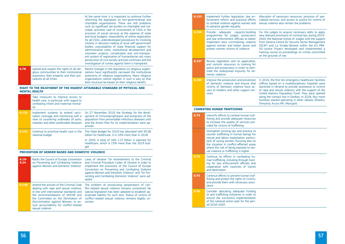|      |                                                                                                                                                           | At the same time, it is important to continue further<br>reforming the legislation on non-governmental and<br>charitable organizations. There are still problems<br>such as significant tax burden on charitable and vol-<br>unteer activities; lack of involvement of CSOs in the<br>provision of social services at the expense of state<br>and local budgets; impossibility of online registration<br>for all CSOs; underdeveloped procedures for involving<br>citizens in decision-making of local self-government<br>bodies; unavailability of state financial support for<br>administrative costs, institutional development and<br>volunteer projects; complicated and non-transpar-<br>ent system of registration of humanitarian aid; mass<br>persecution of civil society activists continues and the<br>investigation of crimes against them is hampered. |
|------|-----------------------------------------------------------------------------------------------------------------------------------------------------------|----------------------------------------------------------------------------------------------------------------------------------------------------------------------------------------------------------------------------------------------------------------------------------------------------------------------------------------------------------------------------------------------------------------------------------------------------------------------------------------------------------------------------------------------------------------------------------------------------------------------------------------------------------------------------------------------------------------------------------------------------------------------------------------------------------------------------------------------------------------------|
| 6.78 | Uphold and respect the rights of all reli-<br>gious communities to their institutional<br>autonomy, their property and their pro-<br>cedures at all times | Recent changes in the legislation on religious organi-<br>zations have significantly narrowed the institutional<br>autonomy of religious organizations. Many religious<br>organizations cannot register in such a way so that<br>their structure be based on their religious beliefs.                                                                                                                                                                                                                                                                                                                                                                                                                                                                                                                                                                                |

# **Right to the enjoyment of the highest attainable standard of physical and mental health**

|       | Take measures to improve access to<br>health care, in particular with regard to<br>combating infant and maternal mortal-<br>ity                                 |                                                                                                                                                                                                                                  |
|-------|-----------------------------------------------------------------------------------------------------------------------------------------------------------------|----------------------------------------------------------------------------------------------------------------------------------------------------------------------------------------------------------------------------------|
| 6.132 | Implement systems to extend vacci-<br>nation coverage and monitoring with a<br>view to countering outbreaks of polio,<br>measles and other predictable diseases | On 27 November 2019, the Strategy for the devel-<br>opment of immunoprophylaxis and protection of the<br>population from preventable infectious diseases until<br>and the Action Plan for its implementation were ap-<br>proved. |
| 6.131 | Continue to prioritize health care in the<br>national budget                                                                                                    | The State Budget for 2019 has allocated UAH 95.08<br>billion for healthcare. It is 10% more than in 2018.                                                                                                                        |
|       |                                                                                                                                                                 | In 2020, a total of UAH 113 billion is planned for<br>healthcare, which is 13% more than the 2019 bud-<br>get.                                                                                                                   |

# **Prevention of gender-based and domestic violence**

| $6.19 -$<br>6.24 | Ratify the Council of Europe Convention<br>on Preventing and Combating Violence<br>against Women and Domestic Violence                                                                                                                                                                                          | Laws of Ukraine "On Amendments to the Criminal<br>and Criminal Procedure Codes of Ukraine in order to<br>implement the provisions of the Council of Europe<br>Convention on Preventing and Combating Violence<br>against Women and Domestic Violence" and "On Pre-<br>venting and Combating Domestic Violence" were ad-<br>opted. |
|------------------|-----------------------------------------------------------------------------------------------------------------------------------------------------------------------------------------------------------------------------------------------------------------------------------------------------------------|-----------------------------------------------------------------------------------------------------------------------------------------------------------------------------------------------------------------------------------------------------------------------------------------------------------------------------------|
| 6.146            | Amend the articles of the Criminal Code<br>dealing with rape and sexual violence,<br>in line with international standards and<br>the recommendations of OHCHR and<br>the Committee on the Elimination of<br>Discrimination against Women, to en-<br>sure accountability for conflict-related<br>sexual violence | The problem of prosecuting perpetrators of con-<br>flict-related sexual violence remains unresolved. No<br>special legislation has been adopted to establish ap-<br>propriate liability for such acts. Status of victims of<br>conflict-related sexual violence remains legally un-<br>certain.                                   |

Allocation of necessary resources, provision of specialized services, and access to justice for victims of sexual violence also remain the problems.

For the judges to acquire necessary skills to apply new relevant provisions of criminal law, during 2019- 2020, the National School of Judges with the support from Geneva Centre for Security Sector Management (DCAF) and La Strada-Ukraine within the EU PRA-VO-Justice Project developed and implemented a training course on proceedings on crimes committed on the grounds of sex

| 6.153 | Implement further legislation, law en-<br>forcement reform and practical efforts<br>to combat violence against women and<br>to advance gender equality                                                                                                                                                   | A<br>C<br>S                                                      |
|-------|----------------------------------------------------------------------------------------------------------------------------------------------------------------------------------------------------------------------------------------------------------------------------------------------------------|------------------------------------------------------------------|
| 6.156 | Provide<br>adequate capacity-building<br>programmes for judges, prosecutors<br>and law enforcement officials to better<br>implement laws criminalizing violence<br>against women and better assist and<br>protect women victims of violence                                                              | F<br>n<br>$\overline{a}$<br>f<br>$\overline{(\ }$<br>٧<br>t<br>O |
| 6.157 | Review legislation and its application,<br>and commit resources to training for<br>police and prosecutors in order to elim-<br>inate the widespread impunity for do-<br>mestic violence                                                                                                                  |                                                                  |
| 6.160 | Improve the prosecution and prevention<br>of domestic violence and ensure that<br>victims of domestic violence have ac-<br>cess to shelters and other support ser-<br>vices                                                                                                                              | It<br>$\overline{(\ }$<br>l<br>О<br>ι<br>a<br>f<br>V             |
|       | <b>COMBATING HUMAN TRAFFICKING</b>                                                                                                                                                                                                                                                                       |                                                                  |
| 6.73  | Intensify efforts to combat human traf-                                                                                                                                                                                                                                                                  |                                                                  |
|       | ficking and provide adequate resources<br>to increase the quality of services pro-<br>vided for victims of trafficking                                                                                                                                                                                   |                                                                  |
|       | Strengthen existing law and practice to<br>counter trafficking in human beings for<br>sexual and labour exploitation, particu-<br>larly of young women, focusing also on<br>the situation in conflict-affected areas<br>where the risk of being exposed to sex-<br>ual violence or trafficking is higher |                                                                  |
| 6.72  | Continue its efforts in combating hu-<br>man trafficking, including through train-<br>ing for law enforcement officials and<br>cooperation with countries of transit<br>and destination                                                                                                                  |                                                                  |
| 6.75  | Continue efforts to prevent human traf-<br>ficking and protect the rights of victims,<br>and provide them with necessary assis-<br>tance                                                                                                                                                                 |                                                                  |

In 2016, the first ten emergency healthcare facilities (offices based on a multidisciplinary hospital) were launched in Ukraine to provide assistance to victims of rape and sexual violence, with the support of the United Nations Population Fund. They were opened along the contact line in Donbas. In 2018, four more facilities started operating in other oblasts (Kharkiv, Vinnytsia, Kryvyi Rih, Mariupol).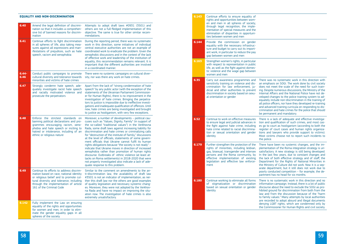#### **Equality and non-discrimination**

| 6.40             | Amend the legal definition of discrimi-<br>nation so that it includes a comprehen-<br>sive list of banned reasons for discrim-<br>ination                                                                                                        | Attempts to adopt draft laws #0931 (3501) and<br>others are not a full-fledged implementation of this<br>objective. The same is true for other similar recom-<br>mendations.                                                                                                                                                                                                                                                                                                                                                                                                                                                                                                                                                                                                                                                                             |
|------------------|--------------------------------------------------------------------------------------------------------------------------------------------------------------------------------------------------------------------------------------------------|----------------------------------------------------------------------------------------------------------------------------------------------------------------------------------------------------------------------------------------------------------------------------------------------------------------------------------------------------------------------------------------------------------------------------------------------------------------------------------------------------------------------------------------------------------------------------------------------------------------------------------------------------------------------------------------------------------------------------------------------------------------------------------------------------------------------------------------------------------|
| 6.41             | Continue efforts to fight discrimination<br>in all spheres of life, also taking mea-<br>sures against all expressions and man-<br>ifestations of prejudices, such as hate<br>speech, racism and xenophobia                                       | During the reporting period, there was no systematic<br>work in this direction, some initiatives of individual<br>central executive authorities are not an example of<br>coordinated work to eradicate the problem. Given the<br>xenophobic discussions and in the context of the lack<br>of effective work and leadership of the institution of<br>equality, this recommendation remains relevant. It is<br>important that the different authorities are involved<br>in a coordinated manner.                                                                                                                                                                                                                                                                                                                                                           |
| $6.44 -$<br>6.46 | Conduct public campaigns to promote<br>cultural diversity and tolerance towards<br>minorities and victims of hate crimes                                                                                                                         | There were no systemic campaigns on cultural diver-<br>sity, nor was there any work on hate crimes.                                                                                                                                                                                                                                                                                                                                                                                                                                                                                                                                                                                                                                                                                                                                                      |
| 6.47             | Strongly condemn hate speech, ade-<br>quately investigate racist hate speech<br>and racially motivated violence and<br>prosecute the perpetrators                                                                                                | Apart from the lack of "strong condemnation of hate<br>speech" by any public actor (with the exception of the<br>statements of the Ukrainian Parliament Commission-<br>er for Human Rights), there is no improvement in the<br>investigation of hate crimes. Bringing the perpetra-<br>tors to justice is impossible due to ineffective investi-<br>gations and inadequate qualification of offences. Until<br>now, hate crimes are being investigated and brought<br>to justice as hooliganism, with very few exceptions.                                                                                                                                                                                                                                                                                                                               |
| 6.48             | Enforce the strictest standards on<br>banning political declarations and pro-<br>grammes encouraging racism, xeno-<br>phobia and hate speech or inciting to<br>hatred or intolerance, including of an<br>ethnic or religious nature              | Moreover, a number of developments - political cau-<br>cuses such as "Values, Dignity, Family" (in support of<br>the so-called "traditional values") in the Verkhovna<br>Rada, some draft laws against increasing liability for<br>discrimination and hate crimes or criminalizing calls<br>for "destruction of the institute of family," discussions<br>at the level of officials, statements of some govern-<br>ment officials that Ukraine cannot fulfil its human<br>rights obligations because "the society is not ready" -<br>indicate that Ukraine moves in direction of increased<br>xenophobia rather than promotion of human rights<br>discourse. Outbreaks of ethnic violence (at least at-<br>tacks on Roma settlements) in 2018-2020 that were<br>not properly investigated also indicate a lack of ade-<br>quate response to this problem. |
| 6.49             | Continue its efforts to address discrim-<br>ination based on race, national identity<br>or religious belief and to promote cul-<br>tural diversity and tolerance, including<br>through the implementation of article<br>161 of the Criminal Code | Similar to the comment on amendments to the an-<br>ti-discrimination law, the availability of draft law<br>#3501 is not an indicator of implementation, as nei-<br>ther this draft law nor the others are good examples<br>of quality legislation and necessary systemic chang-<br>es. Moreover, they were not adopted by the Verkhov-<br>na Rada and have no impact on improving the situ-<br>ation now. The investigation of hate crimes is also<br>extremely unsatisfactory.                                                                                                                                                                                                                                                                                                                                                                          |
| 6.142            | Fully implement the Law on ensuring<br>equality of the rights and opportunities<br>for women and men, in order to elim-<br>inate the gender equality gaps in all<br>spheres of the society                                                       |                                                                                                                                                                                                                                                                                                                                                                                                                                                                                                                                                                                                                                                                                                                                                                                                                                                          |

There is a lack of adequate and effective investigation and qualification of such crimes, and most cases go to court as hooliganism (according to both the register of court cases and human rights organizations and lawyers who provide support to victims). Most victims choose not to report such incidents to the police.

There was no systematic work in this direction with an emphasis on SOGI. The work done by civil society does not meet the scale of the need for such training. Despite numerous discussions, the Ministry of the Internal Affairs and the National Police have not developed changes to the police training system to adequately include non-discrimination in the training of all police officers, nor have they developed re-training and advanced training curricula on responding to discrimination and hate crimes for the police that should be permanent and mandatory.

| 6.143 | Continue efforts to ensure equality of<br>rights and opportunities between wom-<br>en and men in all spheres of society,<br>through legal recognition, the imple-<br>mentation of special measures and the<br>elimination of disparities in opportuni-<br>ties between women and men |                                                       |
|-------|--------------------------------------------------------------------------------------------------------------------------------------------------------------------------------------------------------------------------------------------------------------------------------------|-------------------------------------------------------|
| 6.144 | Provide the commission on<br>gender<br>equality with the necessary infrastruc-<br>ture and budget to carry out its import-<br>ant work, in particular to reduce the pay<br>gap between women and men                                                                                 |                                                       |
| 6.163 | Strengthen women's rights, in particular<br>with respect to representation in public<br>life, as well as the fight against domes-<br>tic violence and the wage gap between<br>women and men                                                                                          |                                                       |
| 6.35  | Carry out awareness programmes and<br>sensitivity training on violence and dis-<br>crimination for law enforcement, ju-<br>dicial and other authorities to prevent<br>discrimination in society based on sexu-<br>al orientation or gender                                           | Τ<br>a<br>d<br>ir<br>Ir<br>V<br>e<br>a<br>a<br>Ċ<br>b |
| 6.52  | Continue to work on effective measures<br>to ensure legal and judicial advances in<br>the fight against hate crime, including<br>hate crime related to racial discrimina-<br>tion or sexual orientation and gender<br>identity                                                       | Т<br>ti<br>e<br>٢ť<br>ti<br>N<br>tł                   |
|       | Further strengthen the protection of the<br>rights of minorities, including lesbian,<br>gay, bisexual, transgender and intersex<br>persons and the Roma community, by<br>effective implementation of existing<br>legislation and effective law enforce-<br>ment                      | T<br>p<br>S<br>Ir<br>tł<br>D<br>tł<br>a<br>р<br>р     |
| 6.180 | Continue working to eliminate all forms<br>stigmatization<br>or discrimination<br>of<br>based on sexual orientation or gender<br>identity                                                                                                                                            | Т<br>ir<br>d<br>h<br>la<br>t(<br>a<br>d<br>tł         |

There have been no systemic changes, and the implementation of the Roma integration strategy is unsatisfactory. A new strategy is still being developed. In the last few years, due to constant changes and the lack of both effective strategy and of staff, the Department for the Rights of National Minorities in the Ministry of Culture did not work. Now it is a separate department, but it still does not work due to poorly conducted competition – for example, the department has no head for six months.

There is no systematic work in this direction and no information campaign. Instead, there is a lot of public discourse about the need to exclude the SOGI as prohibited ground for discrimination from both from the law and from the discussion because of the "harm to family values." Many attempts by local authorities are recorded to adopt absurd and illegal documents denying LGBT rights, which are condemned only by the Commissioner for Human Rights and civil society.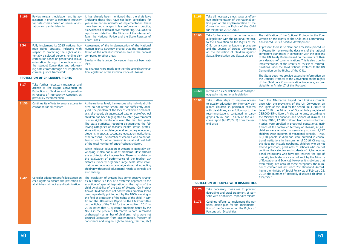ess From the Alternative Report on Ukraine's compliance with the provisions of the UN Convention on the Rights of the Child for the period 2011-2018: "In June 2016, the Ministry of Social Policy registered 235,000 IDP children. At the same time, according to ut- the Ministry of Education and Science of Ukraine, as ec- of May 2016, 17,982 children from uncontrolled territories were enrolled in preschool educational institutions of the controlled territory of Ukraine, 48,411 children were enrolled in secondary schools, 1,777 children were students of vocational schools. . Thus, 68,170 people studied and were enrolled in educational institutions in the summer of 2016. Of course, this does not include newborns, children who do not attend preschool; graduates of schools who do not continue their studies and students of higher educational institutions who have not reached the age of majority (such statistics are not kept by the Ministry of Education and Science). However, it is obvious that even taking into account these categories, the number of children will not reach 235 thousand. According to the Ministry of Social Policy, as of February 25, 2019, the number of internally displaced children is 195,050. "

| 6.185 | Review relevant legislation and its ap-<br>plication in order to eliminate impunity<br>for hate crimes based on sexual orien-<br>tation and gender identity                             | It has already been mentioned that the draft laws<br>(including those that have not been considered for<br>years) are not an indicator of implementation. There<br>have been no changes in law enforcement practice,<br>as evidenced by data of civic monitoring, OSCE/ODIHR<br>reports and data from the Ministry of the Internal Af-                                                                                                                                                                                                                                                                                                                                                                                                                                                                                                                                                                                                                                                                                                                                                                                                                                     | 6.165 | Take all necessary steps towards effec-<br>tive implementation of the national ac-<br>tion plan on the implementation of the<br>Convention on the Rights of the Child<br>for the period 2017-2022                                                                                                           |
|-------|-----------------------------------------------------------------------------------------------------------------------------------------------------------------------------------------|----------------------------------------------------------------------------------------------------------------------------------------------------------------------------------------------------------------------------------------------------------------------------------------------------------------------------------------------------------------------------------------------------------------------------------------------------------------------------------------------------------------------------------------------------------------------------------------------------------------------------------------------------------------------------------------------------------------------------------------------------------------------------------------------------------------------------------------------------------------------------------------------------------------------------------------------------------------------------------------------------------------------------------------------------------------------------------------------------------------------------------------------------------------------------|-------|-------------------------------------------------------------------------------------------------------------------------------------------------------------------------------------------------------------------------------------------------------------------------------------------------------------|
|       |                                                                                                                                                                                         | fairs, the National Police and the State Register of<br>Court Cases.                                                                                                                                                                                                                                                                                                                                                                                                                                                                                                                                                                                                                                                                                                                                                                                                                                                                                                                                                                                                                                                                                                       | 6.166 | Take further steps to harmonize nation-<br>al legislation with the Optional Protocol<br>to the Convention on the Rights of the                                                                                                                                                                              |
| 6.34  | Fully implement its 2015 national hu-<br>man rights strategy, including with<br>respect to protecting the rights of in-<br>ternally displaced persons; ending dis-                      | Assessment of the implementation of the National<br>Human Rights Strategy proved that the implemen-<br>tation of the anti-discrimination area is the poorest<br>compared to other areas.                                                                                                                                                                                                                                                                                                                                                                                                                                                                                                                                                                                                                                                                                                                                                                                                                                                                                                                                                                                   |       | Child on a communications procedure<br>and the Council of Europe Convention<br>on the Protection of Children against<br>Sexual Exploitation and Sexual Abuse                                                                                                                                                |
|       | crimination based on gender and sexual<br>orientation through the ratification of<br>the Istanbul Convention; and address-<br>ing hate crimes through a strengthened                    | Similarly, the Istanbul Convention has not been rat-<br>ified.<br>No changes were made to either the anti-discrimina-                                                                                                                                                                                                                                                                                                                                                                                                                                                                                                                                                                                                                                                                                                                                                                                                                                                                                                                                                                                                                                                      |       |                                                                                                                                                                                                                                                                                                             |
|       | criminal justice framework                                                                                                                                                              | tion legislation or the Criminal Code of Ukraine.                                                                                                                                                                                                                                                                                                                                                                                                                                                                                                                                                                                                                                                                                                                                                                                                                                                                                                                                                                                                                                                                                                                          |       |                                                                                                                                                                                                                                                                                                             |
| 6.17  | <b>PROTECTION OF CHILDREN'S RIGHTS</b>                                                                                                                                                  |                                                                                                                                                                                                                                                                                                                                                                                                                                                                                                                                                                                                                                                                                                                                                                                                                                                                                                                                                                                                                                                                                                                                                                            |       |                                                                                                                                                                                                                                                                                                             |
|       | Take further necessary measures and<br>accede to The Hague Convention on<br>Protection of Children and Cooperation<br>in respect of Intercountry Adoption, as<br>previously recommended |                                                                                                                                                                                                                                                                                                                                                                                                                                                                                                                                                                                                                                                                                                                                                                                                                                                                                                                                                                                                                                                                                                                                                                            | 6.168 | Introduce a clear definition of child por-<br>nography into national legislation                                                                                                                                                                                                                            |
| 6.135 | Continue its efforts to ensure access to<br>education for all children                                                                                                                  | At the national level, the reasons why individual chil-<br>dren do not attend school are not sufficiently anal-<br>ysed. The problem of the lack of collection and anal-<br>ysis of properly disaggregated data on out-of-school<br>children has been highlighted by inter-governmental<br>human rights institutions over the last ten years.<br>The state statistical reporting distinguishes the fol-<br>lowing categories of reasons: health status, profes-<br>sions without complete general secondary education,<br>students in special secondary education institutions,<br>other reasons. The number of children who do not at-<br>tend school "for other reasons" is usually almost half<br>of the total number of out-of-school children.<br>While inclusive education in Ukraine is generally de-<br>veloping, it also has a lot of problems. Most schools<br>are architecturally inaccessible. There is no data on<br>the evaluation of performance of the teacher as-<br>sistants. Properly organized large-scale state infor-<br>mation and education campaign aimed at accepting<br>children with special educational needs to schools are<br>also lacking. | 6.189 | Take further steps to improve access<br>to quality education for internally dis-<br>placed children, in particular children<br>with disabilities, as a follow-up to the<br>recommendations contained in para-<br>graphs 97.42 and 97.126 of the out-<br>come report (A/HRC/22/7) from the sec-<br>ond cycle |
| 6.164 | Consider adopting specific legislation on<br>child rights to ensure the protection of<br>all children without any discrimination                                                        | The legislation of Ukraine has some positive chang-<br>es, but there is a lack of a systemic approach to the<br>adoption of special legislation on the rights of the<br>child. Availability of the Law of Ukraine "On Protec-                                                                                                                                                                                                                                                                                                                                                                                                                                                                                                                                                                                                                                                                                                                                                                                                                                                                                                                                              | 6.170 | <b>PROTECTION OF PEOPLE WITH DISABILITIES</b><br>Take necessary measures to prevent                                                                                                                                                                                                                         |
|       |                                                                                                                                                                                         | tion of Children" does not address this problem. It has<br>been repeatedly pointed out by the NGOs working in<br>the field of protection of the rights of the child. In par-                                                                                                                                                                                                                                                                                                                                                                                                                                                                                                                                                                                                                                                                                                                                                                                                                                                                                                                                                                                               |       | degrading and cruel treatment of per-<br>sons with disabilities, especially minors                                                                                                                                                                                                                          |
|       |                                                                                                                                                                                         | ticular, the Alternative Report to the UN Committee<br>on the Rights of the Child for the period from 2011 to<br>2018 states that " systemic problems noted by the<br>NGOs in the previous Alternative Report remained<br>unchanged $-$ a number of children's rights were not                                                                                                                                                                                                                                                                                                                                                                                                                                                                                                                                                                                                                                                                                                                                                                                                                                                                                             | 6.171 | Continue efforts to implement the na-<br>tional action plan for the implementa-<br>tion of the Convention on the Rights of<br>Persons with Disabilities                                                                                                                                                     |
|       |                                                                                                                                                                                         | ensured (protection from discrimination, freedom of<br>conscience and religion, right to privacy, fair trial, etc.)                                                                                                                                                                                                                                                                                                                                                                                                                                                                                                                                                                                                                                                                                                                                                                                                                                                                                                                                                                                                                                                        |       |                                                                                                                                                                                                                                                                                                             |

The ratification of the Optional Protocol to the Convention on the Rights of the Child on a Communication Procedure is a positive development.

At present, there is no clear and accessible procedure in Ukraine for reviewing the decisions of the national competent authorities in connection with the opinions of the UN Treaty Bodies based on the results of their consideration of communications. This is also true for implementation of the results of review of communications under the Third Optional Protocol to the UN Convention on the Rights of the Child.

The State does not provide extensive information on the Optional Protocol to the Convention on the Rights of the Child on a Communication Procedure, as provided for in Article 17 of this Protocol.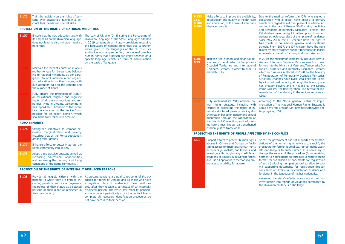| 6.172 | Train the judiciary on the rights of per-<br>sons with disabilities, taking into ac-<br>count their needs and special skills                                                                                                                                                                                                              |                                                                                                                                                                                                                                                                                                                                                                                                                                                                                |
|-------|-------------------------------------------------------------------------------------------------------------------------------------------------------------------------------------------------------------------------------------------------------------------------------------------------------------------------------------------|--------------------------------------------------------------------------------------------------------------------------------------------------------------------------------------------------------------------------------------------------------------------------------------------------------------------------------------------------------------------------------------------------------------------------------------------------------------------------------|
|       | PROTECTION OF THE RIGHTS OF NATIONAL MINORITIES                                                                                                                                                                                                                                                                                           |                                                                                                                                                                                                                                                                                                                                                                                                                                                                                |
| 6.137 | Ensure that the new education law, with<br>its emphasis on the Ukrainian language,<br>does not lead to discrimination against<br>minorities                                                                                                                                                                                               | The Law of Ukraine "On Ensuring the Functioning of<br>Ukrainian Language as the State Language" adopted<br>in 2019 contains discriminatory provisions regarding<br>the languages of national minorities due to prefer-<br>ences given to the languages of the EU countries<br>and indigenous peoples. In fact, the scope of possible<br>human rights that a person can enjoy depends on a<br>specific language, which is a form of discrimination<br>on the basis of language. |
|       | Maintain the level of education in one's<br>mother tongue for the persons belong-<br>ing to national minorities, as per para-<br>graph 167 of its national report regard-<br>ing education in mother tonque, with<br>due attention paid to the content and<br>the number of hours                                                         |                                                                                                                                                                                                                                                                                                                                                                                                                                                                                |
|       | Fully ensure the protection of cultur-<br>al, educational, religious and linguistic<br>rights of all the communities and mi-<br>norities living in Ukraine, welcoming in<br>this regard the submission of the recent<br>Law on education to the Venice Com-<br>mission for an expert opinion, which<br>should be fully taken into account |                                                                                                                                                                                                                                                                                                                                                                                                                                                                                |
|       | <b>ROMA MINORITY</b>                                                                                                                                                                                                                                                                                                                      |                                                                                                                                                                                                                                                                                                                                                                                                                                                                                |
| 6.174 | Strengthen initiatives to combat ex-<br>clusion, marginalization and poverty,<br>including that of the Roma population,<br>among other groups                                                                                                                                                                                             |                                                                                                                                                                                                                                                                                                                                                                                                                                                                                |
| 6.177 | Enhance efforts to better integrate the<br>Roma community into society                                                                                                                                                                                                                                                                    |                                                                                                                                                                                                                                                                                                                                                                                                                                                                                |
| 6.178 | Adopt a progressive strategy aimed at<br>increasing educational opportunities<br>and improving the housing and living<br>conditions of the Roma community (                                                                                                                                                                               |                                                                                                                                                                                                                                                                                                                                                                                                                                                                                |
|       | PROTECTION OF THE RIGHTS OF INTERNALLY DISPLACED PERSONS                                                                                                                                                                                                                                                                                  |                                                                                                                                                                                                                                                                                                                                                                                                                                                                                |
|       |                                                                                                                                                                                                                                                                                                                                           |                                                                                                                                                                                                                                                                                                                                                                                                                                                                                |

**6.128** Provide all eligible citizens with the At-present, pensions are paid to residents of the octheir own country

benefits to which they are entitled, in-cupied territories of Ukraine and all those who have cluding pensions and social payments, a registered place of residence in these territories regardless of their status as displaced only after they receive a certificate of an internally persons or their place of residence in displaced person. Therefore, low-mobility pensioners who cannot periodically cross the contact line to complete all necessary identification procedures do not have access to their pension.

| 6.133,<br>135,<br>6.188,<br>6.189 | Make efforts to improve the availability,<br>accessibility and quality of health care<br>and education, in the case of internally<br>displaced people                                                                                                                                                                                                                          | Dι<br>de<br>he<br>C <sub>O</sub><br>ar<br>ID<br>ge<br>Siı<br>fre<br>SC<br>to<br>SC |
|-----------------------------------|--------------------------------------------------------------------------------------------------------------------------------------------------------------------------------------------------------------------------------------------------------------------------------------------------------------------------------------------------------------------------------|------------------------------------------------------------------------------------|
| 6.28,<br>6.29                     | Increase the human and financial re-<br>sources of the Ministry for Temporarily<br>Occupied Territories and International<br>Displaced Persons in order to fulfil its<br>mandate fully.                                                                                                                                                                                        | In<br>rie<br>fo<br>cu<br>wł<br>of<br>St<br>try<br>ha<br>Pr<br>re<br>iss            |
|                                   | Fully implement its 2015 national hu-<br>strategy, including with<br>rights<br>man<br>respect to protecting the rights of in-<br>ternally displaced persons; ending dis-<br>crimination based on gender and sexual<br>orientation through the ratification of<br>the Istanbul Convention; and address-<br>ing hate crimes through a strengthened<br>criminal justice framework | Ac<br>m<br>at<br>te                                                                |
|                                   | PROTECTING THE RIGHTS OF PEOPLE AFFECTED                                                                                                                                                                                                                                                                                                                                       |                                                                                    |

In 2019, the Ministry of Temporarily Occupied Territoes and Internally Displaced Persons was first transormed into the Ministry of Veterans, Temporarily Ocapied Territories and Internally Displaced Persons, hich in turn was replaced in 2020 by the Ministry **Reintegration of Temporarily Occupied Territories.** tructural changes have twice weakened the Minisy's institutional capacity, although the Ministry now as broader powers and is headed by the Deputy rime Minister for Reintegration. The territorial repesentation of the Ministry in the regions remains an issue.

ccording to the NGOs, general status of implementation of the National Human Rights Strategy is bout 33% (the area of IDP rights has somewhat beter progress, 52%).

### **BY THE CONFLICT**

far, the government has not supported recommentions of the human rights activists to simplify the ocedure for foreign journalists, human rights activts and lawyers to enter Crimea. It is necessary to ange the nature of the procedure (from receiving ermits to notification), to introduce a remote/online rmat for submission of documents for registration entry (including multiple), as well as allow to subit supporting documents for registration through nsulates of Ukraine in the country of residence of a reigner in the language of his/her nationality.

sessing the state's efforts to conduct a thorough vestigation into reports of violations committed by e Ukrainian military is a challenge.

| 6.61 | Support efforts to prevent human rights<br>abuses in Crimea and Donbas by facili-<br>tating access for monitors, human rights<br>defenders, journalists, and lawyers, and<br>investigate thoroughly any credible al-<br>legations of abuses by Ukrainian forces,<br>and use all appropriate methods to pro-<br>mote accountability for abuses | So<br>da<br>pro<br>ist<br>ch.<br>pe<br>for<br>of<br>mi<br><b>CO</b><br>foi |
|------|-----------------------------------------------------------------------------------------------------------------------------------------------------------------------------------------------------------------------------------------------------------------------------------------------------------------------------------------------|----------------------------------------------------------------------------|
|      |                                                                                                                                                                                                                                                                                                                                               | As<br>in<br>th(                                                            |

ue to the medical reform, the IDPs who signed a eclaration with a doctor have access to primary ealth care regardless of their place of residence. Acording to the Law of Ukraine "On Ensuring the Rights and Freedoms of Internally Displaced Persons," the IP children have the right to attend pre-schools and eneral schools regardless of their place of residence. ince May 2020, the IDP children have the right to ree meals in pre-schools, general and vocational chools. From 2017, the IDP children have the right  $\alpha$  receive state targeted support for education (social  $\epsilon$ holarships, benefits for living in dormitories, etc.).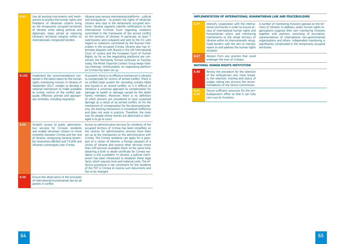| 6.63  | Use all existing instruments and mech-<br>anisms to protect the human rights and<br>freedoms of Ukrainian citizens living<br>on the temporarily occupied territories<br>of Ukraine while taking political and<br>diplomatic steps aimed at restoring<br>Ukraine's territorial integrity within its<br>internationally recognized borders | Ukraine uses various international platforms - judicial<br>and extrajudicial - to protect the rights of Ukrainian<br>citizens who stay in the temporarily occupied terri-<br>tories. Ukraine regularly submits notifications to the<br>International Criminal Court regarding violations<br>committed in the framework of the armed conflict<br>on the territory of Ukraine. In particular, at least 7<br>submissions were prepared and sent to the ICC with<br>regard to violations committed by the Russian Fed-<br>eration in the occupied Crimea. Ukraine also has in-<br>terstate disputes with Russia in the UN International<br>Court of Justice and the European Court of Human<br>Rights. As for as the negotiating platforms are con-<br>cerned, the Normandy format continues to function<br>today, the Minsk Tripartite Contact Group keeps hold-<br>ing meetings. Unfortunately, no negotiating platform<br>on Crimea has been set up. |
|-------|------------------------------------------------------------------------------------------------------------------------------------------------------------------------------------------------------------------------------------------------------------------------------------------------------------------------------------------|-----------------------------------------------------------------------------------------------------------------------------------------------------------------------------------------------------------------------------------------------------------------------------------------------------------------------------------------------------------------------------------------------------------------------------------------------------------------------------------------------------------------------------------------------------------------------------------------------------------------------------------------------------------------------------------------------------------------------------------------------------------------------------------------------------------------------------------------------------------------------------------------------------------------------------------------------------|
| 6.102 | Implement the recommendations con-<br>tained in the latest report by the human<br>rights monitoring mission in Ukraine of<br>September 2017, notably to develop a<br>national mechanism to make available<br>to civilian victims of the conflict ade-<br>quate, effective, prompt and appropri-<br>ate remedies, including reparation    | At present, there is no effective mechanism in Ukraine<br>to compensate for victims of armed conflict. There is<br>no unified state system for recording civilians killed<br>and injured in an armed conflict, so it is difficult to<br>introduce a universal approach to compensation for<br>damage to health or damage caused by the death<br>family members. Moreover, there is no definition<br>of which persons are considered to have sustained<br>damage as a result of an armed conflict. As for the<br>mechanism of compensation for the destroyed prop-<br>erty, the existing mechanism is considered ineffective<br>and does not work in practice. Therefore, the main<br>way for people whose homes are destroyed or dam-<br>aged is to go to court.                                                                                                                                                                                    |
| 6.60  | Simplify access to public administra-<br>tive services for Crimean residents<br>and enable Ukrainian citizens to move<br>smoothly between Crimea and the rest<br>of Ukraine, recognizing General Assem-<br>bly resolutions 68/262 and 71/205 and<br>Ukraine's sovereignty over Crimea                                                    | Access to administrative services for residents of the<br>occupied territory of Crimea has been simplified, as<br>the centres for administrative services have been<br>set up at the checkpoints on the administrative with<br>Crimea. The Crimea residents can apply for a pass-<br>port of a citizen of Ukraine, a foreign passport of a<br>citizen of Ukraine and receive other services (more<br>than 100 services available) there. At the same time,<br>obtaining a birth or death certificate for Crimea res-<br>idents is still a problem. In Ukraine, a judicial mech-<br>anism has been introduced to establish these legal<br>facts, which requires time and material costs. The ef-<br>fective procedure is not convenient for the residents<br>of the TOT in Crimea to receive such documents and<br>has to be changed.                                                                                                                |
| 6.56  | Ensure the observance of the principles<br>of international humanitarian law by all<br>parties in conflict                                                                                                                                                                                                                               |                                                                                                                                                                                                                                                                                                                                                                                                                                                                                                                                                                                                                                                                                                                                                                                                                                                                                                                                                     |

| 6.27 | Intensify cooperation with the interna-<br>tional community in order to ensure ac-<br>cess of international human rights and<br>humanitarian actors and monitoring<br>mechanisms to the whole territory of<br>Ukraine within its internationally recog-<br>nized borders with the aim to monitor,<br>report on and address the human rights<br>situation | A<br>r<br>Č<br>t<br>r<br>O<br>S<br>t |
|------|----------------------------------------------------------------------------------------------------------------------------------------------------------------------------------------------------------------------------------------------------------------------------------------------------------------------------------------------------------|--------------------------------------|
| 6.57 | Abstain from any practice that could<br>endanger the lives of civilians                                                                                                                                                                                                                                                                                  |                                      |
|      | NATIONAL HUMAN RIGHTS INSTITUTION                                                                                                                                                                                                                                                                                                                        |                                      |
| 6.30 | Review the procedure for the selection<br>of the ombudsman and, more broad-<br>ly, the selection, training and status of                                                                                                                                                                                                                                 |                                      |
|      | judges, taking into account the recom-<br>mendations of the Venice Commission                                                                                                                                                                                                                                                                            |                                      |

# **Implementation of international humanitarian law and peacebuilding**

A number of monitoring missions operate on the territory of Ukraine. In addition, public human rights organizations organize their own monitoring missions together with partners, consisting of journalists, representatives of international non-governmental organizations and others. Independent monitoring is significantly complicated in the temporarily occupied territories.